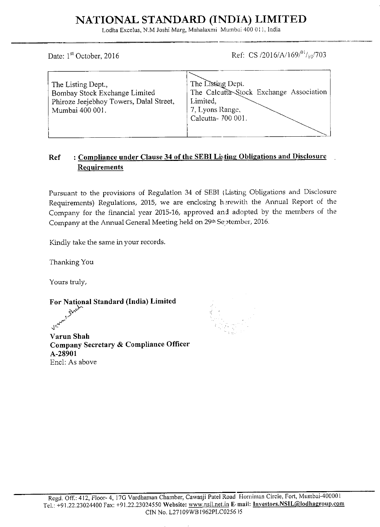Lodha Excelus, N.M Joshi Marg, Mahalaxmi Mumbai 400 011, India

Date: 1<sup>st</sup> October, 2016

Ref: CS /2016/A/169/ $^{01}/_{10}$ /703

| The Listing Dept.,<br>Bombay Stock Exchange Limited<br>Phiroze Jeejebhoy Towers, Dalal Street,<br>Mumbai 400 001. | The Listing Dept.<br>The Calcutta Stock Exchange Association<br>Limited.<br>7, Lyons Range,<br>Calcutta-700 001. |
|-------------------------------------------------------------------------------------------------------------------|------------------------------------------------------------------------------------------------------------------|
|-------------------------------------------------------------------------------------------------------------------|------------------------------------------------------------------------------------------------------------------|

#### : Compliance under Clause 34 of the SEBI Listing Obligations and Disclosure **Ref Requirements**

Pursuant to the provisions of Regulation 34 of SEBI (Listing Obligations and Disclosure Requirements) Regulations, 2015, we are enclosing herewith the Annual Report of the Company for the financial year 2015-16, approved and adopted by the members of the Company at the Annual General Meeting held on 29th September, 2016.

Kindly take the same in your records.

Thanking You

Yours truly,

For National Standard (India) Limited

**Jan** 

Varun Shah Company Secretary & Compliance Officer A-28901 Encl: As above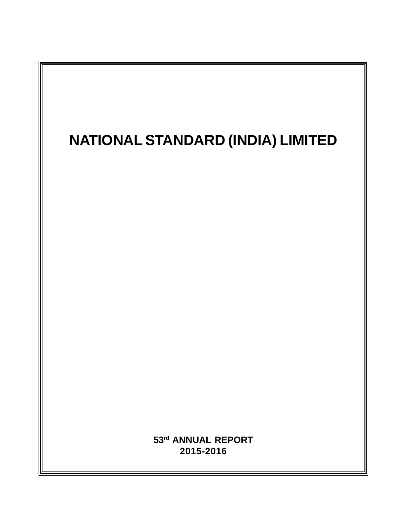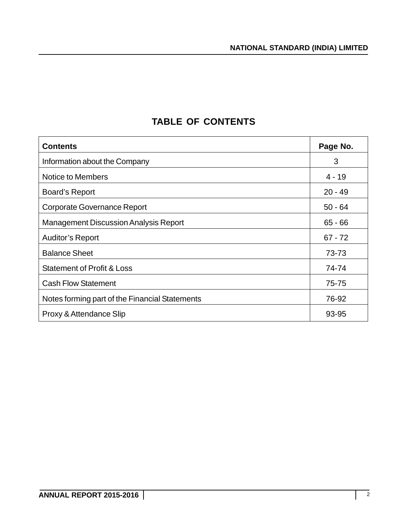| <b>Contents</b>                                | Page No.  |
|------------------------------------------------|-----------|
| Information about the Company                  | 3         |
| Notice to Members                              | $4 - 19$  |
| Board's Report                                 | $20 - 49$ |
| <b>Corporate Governance Report</b>             | $50 - 64$ |
| <b>Management Discussion Analysis Report</b>   | $65 - 66$ |
| <b>Auditor's Report</b>                        | $67 - 72$ |
| <b>Balance Sheet</b>                           | 73-73     |
| Statement of Profit & Loss                     | 74-74     |
| <b>Cash Flow Statement</b>                     | 75-75     |
| Notes forming part of the Financial Statements | 76-92     |
| Proxy & Attendance Slip                        | 93-95     |

# **TABLE OF CONTENTS**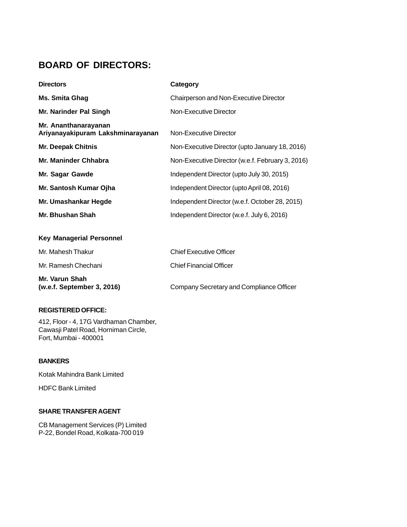# **BOARD OF DIRECTORS:**

| <b>Directors</b>                                          | Category                                         |
|-----------------------------------------------------------|--------------------------------------------------|
| <b>Ms. Smita Ghag</b>                                     | Chairperson and Non-Executive Director           |
| Mr. Narinder Pal Singh                                    | Non-Executive Director                           |
| Mr. Ananthanarayanan<br>Ariyanayakipuram Lakshminarayanan | Non-Executive Director                           |
| <b>Mr. Deepak Chitnis</b>                                 | Non-Executive Director (upto January 18, 2016)   |
| Mr. Maninder Chhabra                                      | Non-Executive Director (w.e.f. February 3, 2016) |
| Mr. Sagar Gawde                                           | Independent Director (upto July 30, 2015)        |
| Mr. Santosh Kumar Ojha                                    | Independent Director (upto April 08, 2016)       |
| Mr. Umashankar Hegde                                      | Independent Director (w.e.f. October 28, 2015)   |
| Mr. Bhushan Shah                                          | Independent Director (w.e.f. July 6, 2016)       |
| <b>Key Managerial Personnel</b>                           |                                                  |
| Mr. Mahesh Thakur                                         | <b>Chief Executive Officer</b>                   |
| Mr. Ramesh Chechani                                       | <b>Chief Financial Officer</b>                   |
| Mr. Varun Shah<br>(w.e.f. September 3, 2016)              | Company Secretary and Compliance Officer         |

## **REGISTERED OFFICE:**

412, Floor - 4, 17G Vardhaman Chamber, Cawasji Patel Road, Horniman Circle, Fort, Mumbai - 400001

### **BANKERS**

Kotak Mahindra Bank Limited

HDFC Bank Limited

### **SHARE TRANSFER AGENT**

CB Management Services (P) Limited P-22, Bondel Road, Kolkata-700 019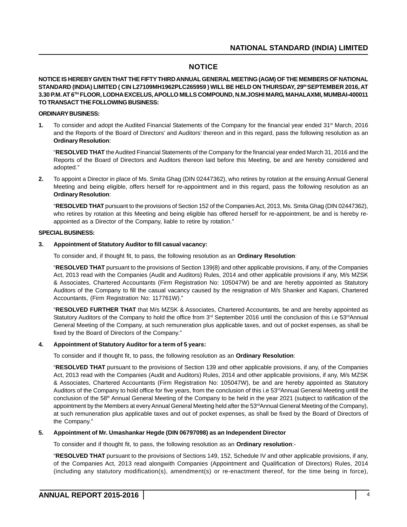## **NOTICE**

**NOTICE IS HEREBY GIVEN THAT THE FIFTY THIRD ANNUAL GENERAL MEETING (AGM) OF THE MEMBERS OF NATIONAL STANDARD (INDIA) LIMITED ( CIN L27109MH1962PLC265959 ) WILL BE HELD ON THURSDAY, 29th SEPTEMBER 2016, AT 3.30 P.M. AT 6TH FLOOR, LODHA EXCELUS, APOLLO MILLS COMPOUND, N.M.JOSHI MARG, MAHALAXMI, MUMBAI-400011 TO TRANSACT THE FOLLOWING BUSINESS:**

#### **ORDINARY BUSINESS:**

**1.** To consider and adopt the Audited Financial Statements of the Company for the financial year ended 31<sup>st</sup> March, 2016 and the Reports of the Board of Directors' and Auditors' thereon and in this regard, pass the following resolution as an **Ordinary Resolution**:

"**RESOLVED THAT** the Audited Financial Statements of the Company for the financial year ended March 31, 2016 and the Reports of the Board of Directors and Auditors thereon laid before this Meeting, be and are hereby considered and adopted."

**2.** To appoint a Director in place of Ms. Smita Ghag (DIN 02447362), who retires by rotation at the ensuing Annual General Meeting and being eligible, offers herself for re-appointment and in this regard, pass the following resolution as an **Ordinary Resolution**:

"**RESOLVED THAT** pursuant to the provisions of Section 152 of the Companies Act, 2013, Ms. Smita Ghag (DIN 02447362), who retires by rotation at this Meeting and being eligible has offered herself for re-appointment, be and is hereby reappointed as a Director of the Company, liable to retire by rotation."

#### **SPECIAL BUSINESS:**

#### **3. Appointment of Statutory Auditor to fill casual vacancy:**

To consider and, if thought fit, to pass, the following resolution as an **Ordinary Resolution**:

"**RESOLVED THAT** pursuant to the provisions of Section 139(8) and other applicable provisions, if any, of the Companies Act, 2013 read with the Companies (Audit and Auditors) Rules, 2014 and other applicable provisions if any, M/s MZSK & Associates, Chartered Accountants (Firm Registration No: 105047W) be and are hereby appointed as Statutory Auditors of the Company to fill the casual vacancy caused by the resignation of M/s Shanker and Kapani, Chartered Accountants, (Firm Registration No: 117761W)."

"**RESOLVED FURTHER THAT** that M/s MZSK & Associates, Chartered Accountants, be and are hereby appointed as Statutory Auditors of the Company to hold the office from  $3^{rd}$  September 2016 until the conclusion of this i.e  $53^{rd}$ Annual General Meeting of the Company, at such remuneration plus applicable taxes, and out of pocket expenses, as shall be fixed by the Board of Directors of the Company."

#### **4. Appointment of Statutory Auditor for a term of 5 years:**

To consider and if thought fit, to pass, the following resolution as an **Ordinary Resolution**:

"**RESOLVED THAT** pursuant to the provisions of Section 139 and other applicable provisions, if any, of the Companies Act, 2013 read with the Companies (Audit and Auditors) Rules, 2014 and other applicable provisions, if any, M/s MZSK & Associates, Chartered Accountants (Firm Registration No: 105047W), be and are hereby appointed as Statutory Auditors of the Company to hold office for five years, from the conclusion of this i.e 53<sup>rd</sup>Annual General Meeting untill the conclusion of the 58<sup>th</sup> Annual General Meeting of the Company to be held in the year 2021 (subject to ratification of the appointment by the Members at every Annual General Meeting held after the 53<sup>rd</sup>Annual General Meeting of the Company), at such remuneration plus applicable taxes and out of pocket expenses, as shall be fixed by the Board of Directors of the Company."

#### **5. Appointment of Mr. Umashankar Hegde (DIN 06797098) as an Independent Director**

To consider and if thought fit, to pass, the following resolution as an **Ordinary resolution**:-

"**RESOLVED THAT** pursuant to the provisions of Sections 149, 152, Schedule IV and other applicable provisions, if any, of the Companies Act, 2013 read alongwith Companies (Appointment and Qualification of Directors) Rules, 2014 (including any statutory modification(s), amendment(s) or re-enactment thereof, for the time being in force),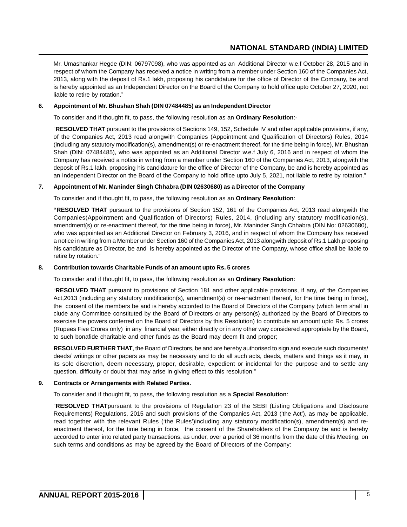Mr. Umashankar Hegde (DIN: 06797098), who was appointed as an Additional Director w.e.f October 28, 2015 and in respect of whom the Company has received a notice in writing from a member under Section 160 of the Companies Act, 2013, along with the deposit of Rs.1 lakh, proposing his candidature for the office of Director of the Company, be and is hereby appointed as an Independent Director on the Board of the Company to hold office upto October 27, 2020, not liable to retire by rotation."

#### **6. Appointment of Mr. Bhushan Shah (DIN 07484485) as an Independent Director**

To consider and if thought fit, to pass, the following resolution as an **Ordinary Resolution**:-

"**RESOLVED THAT** pursuant to the provisions of Sections 149, 152, Schedule IV and other applicable provisions, if any, of the Companies Act, 2013 read alongwith Companies (Appointment and Qualification of Directors) Rules, 2014 (including any statutory modification(s), amendment(s) or re-enactment thereof, for the time being in force), Mr. Bhushan Shah (DIN: 07484485), who was appointed as an Additional Director w.e.f July 6, 2016 and in respect of whom the Company has received a notice in writing from a member under Section 160 of the Companies Act, 2013, alongwith the deposit of Rs.1 lakh, proposing his candidature for the office of Director of the Company, be and is hereby appointed as an Independent Director on the Board of the Company to hold office upto July 5, 2021, not liable to retire by rotation."

#### **7. Appointment of Mr. Maninder Singh Chhabra (DIN 02630680) as a Director of the Company**

To consider and if thought fit, to pass, the following resolution as an **Ordinary Resolution**:

**"RESOLVED THAT** pursuant to the provisions of Section 152, 161 of the Companies Act, 2013 read alongwith the Companies(Appointment and Qualification of Directors) Rules, 2014, (including any statutory modification(s), amendment(s) or re-enactment thereof, for the time being in force), Mr. Maninder Singh Chhabra (DIN No: 02630680), who was appointed as an Additional Director on February 3, 2016, and in respect of whom the Company has received a notice in writing from a Member under Section 160 of the Companies Act, 2013 alongwith deposit of Rs.1 Lakh,proposing his candidature as Director, be and is hereby appointed as the Director of the Company, whose office shall be liable to retire by rotation."

#### **8. Contribution towards Charitable Funds of an amount upto Rs. 5 crores**

To consider and if thought fit, to pass, the following resolution as an **Ordinary Resolution**:

"**RESOLVED THAT** pursuant to provisions of Section 181 and other applicable provisions, if any, of the Companies Act,2013 (including any statutory modification(s), amendment(s) or re-enactment thereof, for the time being in force), the consent of the members be and is hereby accorded to the Board of Directors of the Company (which term shall in clude any Committee constituted by the Board of Directors or any person(s) authorized by the Board of Directors to exercise the powers conferred on the Board of Directors by this Resolution) to contribute an amount upto Rs. 5 crores (Rupees Five Crores only) in any financial year, either directly or in any other way considered appropriate by the Board, to such bonafide charitable and other funds as the Board may deem fit and proper;

**RESOLVED FURTHER THAT**, the Board of Directors, be and are hereby authorised to sign and execute such documents/ deeds/ writings or other papers as may be necessary and to do all such acts, deeds, matters and things as it may, in its sole discretion, deem necessary, proper, desirable, expedient or incidental for the purpose and to settle any question, difficulty or doubt that may arise in giving effect to this resolution."

#### **9. Contracts or Arrangements with Related Parties.**

To consider and if thought fit, to pass, the following resolution as a **Special Resolution**:

"**RESOLVED THAT**pursuant to the provisions of Regulation 23 of the SEBI (Listing Obligations and Disclosure Requirements) Regulations, 2015 and such provisions of the Companies Act, 2013 ('the Act'), as may be applicable, read together with the relevant Rules ('the Rules')including any statutory modification(s), amendment(s) and reenactment thereof, for the time being in force, the consent of the Shareholders of the Company be and is hereby accorded to enter into related party transactions, as under, over a period of 36 months from the date of this Meeting, on such terms and conditions as may be agreed by the Board of Directors of the Company: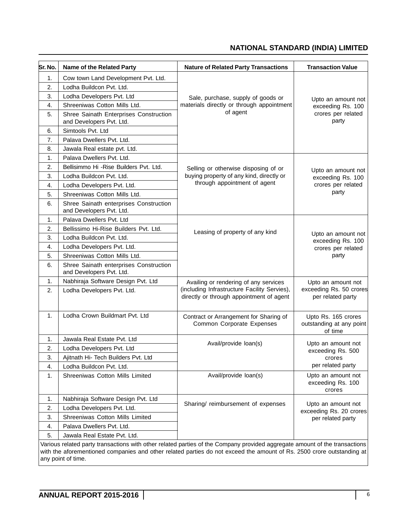| Sr. No. | <b>Name of the Related Party</b>                                                                                                                                                                                                                                          | <b>Nature of Related Party Transactions</b>                                              | <b>Transaction Value</b>                                   |  |
|---------|---------------------------------------------------------------------------------------------------------------------------------------------------------------------------------------------------------------------------------------------------------------------------|------------------------------------------------------------------------------------------|------------------------------------------------------------|--|
| 1.      | Cow town Land Development Pvt. Ltd.                                                                                                                                                                                                                                       |                                                                                          |                                                            |  |
| 2.      | Lodha Buildcon Pvt. Ltd.                                                                                                                                                                                                                                                  |                                                                                          |                                                            |  |
| 3.      | Lodha Developers Pvt. Ltd                                                                                                                                                                                                                                                 | Sale, purchase, supply of goods or                                                       | Upto an amount not                                         |  |
| 4.      | Shreeniwas Cotton Mills Ltd.                                                                                                                                                                                                                                              | materials directly or through appointment                                                | exceeding Rs. 100                                          |  |
| 5.      | Shree Sainath Enterprises Construction                                                                                                                                                                                                                                    | of agent                                                                                 | crores per related                                         |  |
|         | and Developers Pvt. Ltd.                                                                                                                                                                                                                                                  |                                                                                          | party                                                      |  |
| 6.      | Simtools Pvt. Ltd                                                                                                                                                                                                                                                         |                                                                                          |                                                            |  |
| 7.      | Palava Dwellers Pvt. Ltd.                                                                                                                                                                                                                                                 |                                                                                          |                                                            |  |
| 8.      | Jawala Real estate pvt. Ltd.                                                                                                                                                                                                                                              |                                                                                          |                                                            |  |
| 1.      | Palava Dwellers Pvt. Ltd.                                                                                                                                                                                                                                                 |                                                                                          |                                                            |  |
| 2.      | Bellisimmo Hi - Rise Builders Pvt. Ltd.                                                                                                                                                                                                                                   | Selling or otherwise disposing of or                                                     | Upto an amount not                                         |  |
| 3.      | Lodha Buildcon Pvt. Ltd.                                                                                                                                                                                                                                                  | buying property of any kind, directly or                                                 | exceeding Rs. 100                                          |  |
| 4.      | Lodha Developers Pvt. Ltd.                                                                                                                                                                                                                                                | through appointment of agent                                                             | crores per related                                         |  |
| 5.      | Shreeniwas Cotton Mills Ltd.                                                                                                                                                                                                                                              |                                                                                          | party                                                      |  |
| 6.      | Shree Sainath enterprises Construction<br>and Developers Pvt. Ltd.                                                                                                                                                                                                        |                                                                                          |                                                            |  |
| 1.      | Palava Dwellers Pvt. Ltd                                                                                                                                                                                                                                                  |                                                                                          |                                                            |  |
| 2.      | Bellissimo Hi-Rise Builders Pyt. Ltd.                                                                                                                                                                                                                                     | Leasing of property of any kind                                                          |                                                            |  |
| 3.      | Lodha Buildcon Pvt. Ltd.                                                                                                                                                                                                                                                  |                                                                                          | Upto an amount not<br>exceeding Rs. 100                    |  |
| 4.      | Lodha Developers Pvt. Ltd.                                                                                                                                                                                                                                                |                                                                                          | crores per related<br>party                                |  |
| 5.      | Shreeniwas Cotton Mills Ltd.                                                                                                                                                                                                                                              |                                                                                          |                                                            |  |
| 6.      | Shree Sainath enterprises Construction<br>and Developers Pvt. Ltd.                                                                                                                                                                                                        |                                                                                          |                                                            |  |
| 1.      | Nabhiraja Software Design Pvt. Ltd                                                                                                                                                                                                                                        | Availing or rendering of any services                                                    | Upto an amount not                                         |  |
| 2.      | Lodha Developers Pvt. Ltd.                                                                                                                                                                                                                                                | (including Infrastructure Facility Servies),<br>directly or through appointment of agent | exceeding Rs. 50 crores<br>per related party               |  |
| 1.      | Lodha Crown Buildmart Pvt. Ltd                                                                                                                                                                                                                                            | Contract or Arrangement for Sharing of<br>Common Corporate Expenses                      | Upto Rs. 165 crores<br>outstanding at any point<br>of time |  |
| 1.      | Jawala Real Estate Pvt. Ltd                                                                                                                                                                                                                                               | Avail/provide loan(s)                                                                    | Upto an amount not                                         |  |
| 2.      | Lodha Developers Pvt. Ltd                                                                                                                                                                                                                                                 |                                                                                          | exceeding Rs. 500                                          |  |
| 3.      | Ajitnath Hi- Tech Builders Pvt. Ltd                                                                                                                                                                                                                                       |                                                                                          | crores                                                     |  |
| 4.      | Lodha Buildcon Pvt. Ltd.                                                                                                                                                                                                                                                  |                                                                                          | per related party                                          |  |
| 1.      | Shreeniwas Cotton Mills Limited                                                                                                                                                                                                                                           | Avail/provide loan(s)                                                                    | Upto an amount not<br>exceeding Rs. 100<br>crores          |  |
| 1.      | Nabhiraja Software Design Pvt. Ltd                                                                                                                                                                                                                                        |                                                                                          |                                                            |  |
| 2.      | Lodha Developers Pvt. Ltd.                                                                                                                                                                                                                                                | Sharing/ reimbursement of expenses                                                       | Upto an amount not<br>exceeding Rs. 20 crores              |  |
| 3.      | Shreeniwas Cotton Mills Limited                                                                                                                                                                                                                                           |                                                                                          | per related party                                          |  |
| 4.      | Palava Dwellers Pvt. Ltd.                                                                                                                                                                                                                                                 |                                                                                          |                                                            |  |
| 5.      | Jawala Real Estate Pvt. Ltd.                                                                                                                                                                                                                                              |                                                                                          |                                                            |  |
|         | Various related party transactions with other related parties of the Company provided aggregate amount of the transactions<br>with the aforementioned companies and other related parties do not exceed the amount of Rs. 2500 crore outstanding at<br>any point of time. |                                                                                          |                                                            |  |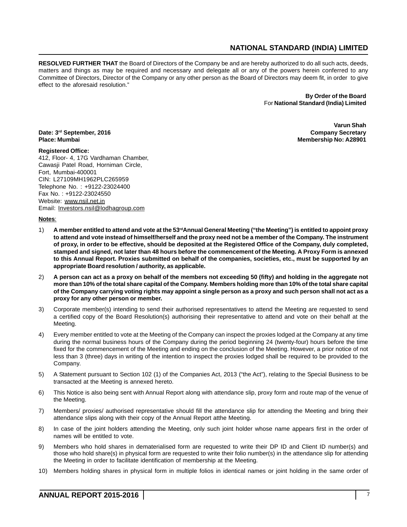**RESOLVED FURTHER THAT** the Board of Directors of the Company be and are hereby authorized to do all such acts, deeds, matters and things as may be required and necessary and delegate all or any of the powers herein conferred to any Committee of Directors, Director of the Company or any other person as the Board of Directors may deem fit, in order to give effect to the aforesaid resolution."

> **By Order of the Board** For **National Standard (India) Limited**

**Date: 3rd September, 2016 Company Secretary**

#### **Registered Office:**

412, Floor- 4, 17G Vardhaman Chamber, Cawasji Patel Road, Horniman Circle, Fort, Mumbai-400001 CIN: L27109MH1962PLC265959 Telephone No. : +9122-23024400 Fax No. : +9122-23024550 Website: www.nsil.net.in Email: Investors.nsil@lodhagroup.com

**Varun Shah Place: Mumbai Membership No: A28901**

#### **Notes**:

- 1) A member entitled to attend and vote at the 53<sup>rd</sup>Annual General Meeting ("the Meeting") is entitled to appoint proxy **to attend and vote instead of himself/herself and the proxy need not be a member of the Company. The instrument of proxy, in order to be effective, should be deposited at the Registered Office of the Company, duly completed, stamped and signed, not later than 48 hours before the commencement of the Meeting. A Proxy Form is annexed to this Annual Report. Proxies submitted on behalf of the companies, societies, etc., must be supported by an appropriate Board resolution / authority, as applicable.**
- 2) **A person can act as a proxy on behalf of the members not exceeding 50 (fifty) and holding in the aggregate not more than 10% of the total share capital of the Company. Members holding more than 10% of the total share capital of the Company carrying voting rights may appoint a single person as a proxy and such person shall not act as a proxy for any other person or member.**
- 3) Corporate member(s) intending to send their authorised representatives to attend the Meeting are requested to send a certified copy of the Board Resolution(s) authorising their representative to attend and vote on their behalf at the Meeting.
- 4) Every member entitled to vote at the Meeting of the Company can inspect the proxies lodged at the Company at any time during the normal business hours of the Company during the period beginning 24 (twenty-four) hours before the time fixed for the commencement of the Meeting and ending on the conclusion of the Meeting. However, a prior notice of not less than 3 (three) days in writing of the intention to inspect the proxies lodged shall be required to be provided to the Company.
- 5) A Statement pursuant to Section 102 (1) of the Companies Act, 2013 ("the Act"), relating to the Special Business to be transacted at the Meeting is annexed hereto.
- 6) This Notice is also being sent with Annual Report along with attendance slip, proxy form and route map of the venue of the Meeting.
- 7) Members/ proxies/ authorised representative should fill the attendance slip for attending the Meeting and bring their attendance slips along with their copy of the Annual Report atthe Meeting.
- 8) In case of the joint holders attending the Meeting, only such joint holder whose name appears first in the order of names will be entitled to vote.
- 9) Members who hold shares in dematerialised form are requested to write their DP ID and Client ID number(s) and those who hold share(s) in physical form are requested to write their folio number(s) in the attendance slip for attending the Meeting in order to facilitate identification of membership at the Meeting.
- 10) Members holding shares in physical form in multiple folios in identical names or joint holding in the same order of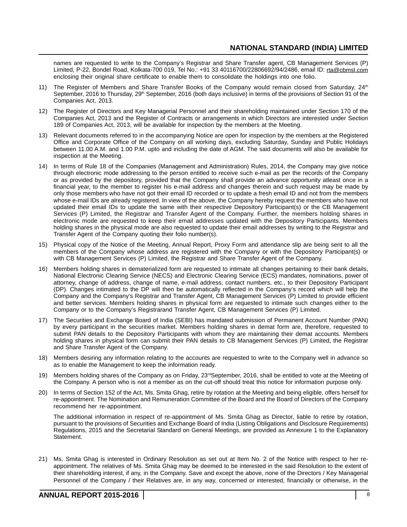names are requested to write to the Company's Registrar and Share Transfer agent, CB Management Services (P) Limited, P-22, Bondel Road, Kolkata-700 019, Tel No.: +91 33 40116700/22806692/94/2486, email ID: rta@cbmsl.com enclosing their original share certificate to enable them to consolidate the holdings into one folio.

- 11) The Register of Members and Share Transfer Books of the Company would remain closed from Saturday, 24<sup>th</sup> September, 2016 to Thursday, 29<sup>th</sup> September, 2016 (both days inclusive) in terms of the provisions of Section 91 of the Companies Act, 2013.
- 12) The Register of Directors and Key Managerial Personnel and their shareholding maintained under Section 170 of the Companies Act, 2013 and the Register of Contracts or arrangements in which Directors are interested under Section 189 of Companies Act, 2013, will be available for inspection by the members at the Meeting.
- 13) Relevant documents referred to in the accompanying Notice are open for inspection by the members at the Registered Office and Corporate Office of the Company on all working days, excluding Saturday, Sunday and Public Holidays between 11.00 A.M. and 1.00 P.M. upto and including the date of AGM. The said documents will also be available for inspection at the Meeting.
- 14) In terms of Rule 18 of the Companies (Management and Administration) Rules, 2014, the Company may give notice through electronic mode addressing to the person entitled to receive such e-mail as per the records of the Company or as provided by the depository, provided that the Company shall provide an advance opportunity atleast once in a financial year, to the member to register his e-mail address and changes therein and such request may be made by only those members who have not got their email ID recorded or to update a fresh email ID and not from the members whose e-mail IDs are already registered. In view of the above, the Company hereby request the members who have not updated their email IDs to update the same with their respective Depository Participant(s) or the CB Management Services (P) Limited, the Registrar and Transfer Agent of the Company. Further, the members holding shares in electronic mode are requested to keep their email addresses updated with the Depository Participants. Members holding shares in the physical mode are also requested to update their email addresses by writing to the Registrar and Transfer Agent of the Company quoting their folio number(s).
- 15) Physical copy of the Notice of the Meeting, Annual Report, Proxy Form and attendance slip are being sent to all the members of the Company whose address are registered with the Company or with the Depository Participant(s) or with CB Management Services (P) Limited, the Registrar and Share Transfer Agent of the Company.
- 16) Members holding shares in dematerialized form are requested to intimate all changes pertaining to their bank details, National Electronic Clearing Service (NECS) and Electronic Clearing Service (ECS) mandates, nominations, power of attorney, change of address, change of name, e-mail address, contact numbers, etc., to their Depository Participant (DP). Changes intimated to the DP will then be automatically reflected in the Company's record which will help the Company and the Company's Registrar and Transfer Agent, CB Management Services (P) Limited to provide efficient and better services. Members holding shares in physical form are requested to intimate such changes either to the Company or to the Company's Registrarand Transfer Agent, CB Management Services (P) Limited.
- 17) The Securities and Exchange Board of India (SEBI) has mandated submission of Permanent Account Number (PAN) by every participant in the securities market. Members holding shares in demat form are, therefore, requested to submit PAN details to the Depository Participants with whom they are maintaining their demat accounts. Members holding shares in physical form can submit their PAN details to CB Management Services (P) Limited, the Registrar and Share Transfer Agent of the Company.
- 18) Members desiring any information relating to the accounts are requested to write to the Company well in advance so as to enable the Management to keep the information ready.
- 19) Members holding shares of the Company as on Friday, 23<sup>rd</sup>September, 2016, shall be entitled to vote at the Meeting of the Company. A person who is not a member as on the cut-off should treat this notice for information purpose only.
- 20) In terms of Section 152 of the Act, Ms. Smita Ghag, retire by rotation at the Meeting and being eligible, offers herself for re-appointment. The Nomination and Remuneration Committee of the Board and the Board of Directors of the Company recommend her re-appointment.

The additional information in respect of re-appointment of Ms. Smita Ghag as Director, liable to retire by rotation, pursuant to the provisions of Securities and Exchange Board of India (Listing Obligations and Disclosure Requirements) Regulations, 2015 and the Secretarial Standard on General Meetings, are provided as Annexure 1 to the Explanatory Statement.

21) Ms. Smita Ghag is interested in Ordinary Resolution as set out at Item No. 2 of the Notice with respect to her reappointment. The relatives of Ms. Smita Ghag may be deemed to be interested in the said Resolution to the extent of their shareholding interest, if any, in the Company. Save and except the above, none of the Directors / Key Managerial Personnel of the Company / their Relatives are, in any way, concerned or interested, financially or otherwise, in the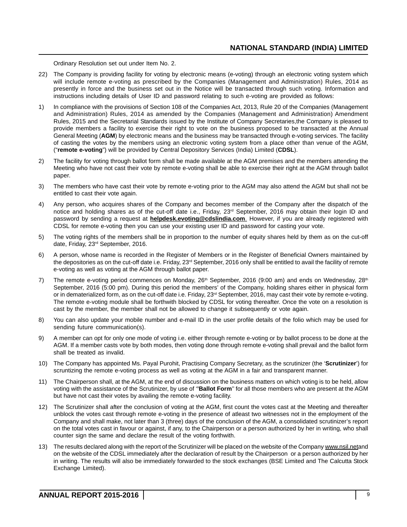Ordinary Resolution set out under Item No. 2.

- 22) The Company is providing facility for voting by electronic means (e-voting) through an electronic voting system which will include remote e-voting as prescribed by the Companies (Management and Administration) Rules, 2014 as presently in force and the business set out in the Notice will be transacted through such voting. Information and instructions including details of User ID and password relating to such e-voting are provided as follows:
- 1) In compliance with the provisions of Section 108 of the Companies Act, 2013, Rule 20 of the Companies (Management and Administration) Rules, 2014 as amended by the Companies (Management and Administration) Amendment Rules, 2015 and the Secretarial Standards issued by the Institute of Company Secretaries,the Company is pleased to provide members a facility to exercise their right to vote on the business proposed to be transacted at the Annual General Meeting (**AGM**) by electronic means and the business may be transacted through e-voting services. The facility of casting the votes by the members using an electronic voting system from a place other than venue of the AGM, ("**remote e-voting**") will be provided by Central Depository Services (India) Limited (**CDSL**).
- 2) The facility for voting through ballot form shall be made available at the AGM premises and the members attending the Meeting who have not cast their vote by remote e-voting shall be able to exercise their right at the AGM through ballot paper.
- 3) The members who have cast their vote by remote e-voting prior to the AGM may also attend the AGM but shall not be entitled to cast their vote again.
- 4) Any person, who acquires shares of the Company and becomes member of the Company after the dispatch of the notice and holding shares as of the cut-off date i.e., Friday, 23<sup>rd</sup> September, 2016 may obtain their login ID and password by sending a request at **helpdesk.evoting@cdslindia.com**. However, if you are already registered with CDSL for remote e-voting then you can use your existing user ID and password for casting your vote.
- 5) The voting rights of the members shall be in proportion to the number of equity shares held by them as on the cut-off date, Friday, 23rd September, 2016.
- 6) A person, whose name is recorded in the Register of Members or in the Register of Beneficial Owners maintained by the depositories as on the cut-off date i.e. Friday,  $23<sup>rd</sup>$  September, 2016 only shall be entitled to avail the facility of remote e-voting as well as voting at the AGM through ballot paper.
- 7) The remote e-voting period commences on Monday,  $26<sup>th</sup>$  September, 2016 (9:00 am) and ends on Wednesday,  $28<sup>th</sup>$ September, 2016 (5:00 pm). During this period the members' of the Company, holding shares either in physical form or in dematerialized form, as on the cut-off date i.e. Friday, 23<sup>rd</sup> September, 2016, may cast their vote by remote e-voting. The remote e-voting module shall be forthwith blocked by CDSL for voting thereafter. Once the vote on a resolution is cast by the member, the member shall not be allowed to change it subsequently or vote again.
- 8) You can also update your mobile number and e-mail ID in the user profile details of the folio which may be used for sending future communication(s).
- 9) A member can opt for only one mode of voting i.e. either through remote e-voting or by ballot process to be done at the AGM. If a member casts vote by both modes, then voting done through remote e-voting shall prevail and the ballot form shall be treated as invalid.
- 10) The Company has appointed Ms. Payal Purohit, Practising Company Secretary, as the scrutinizer (the '**Scrutinizer**') for scruntizing the remote e-voting process as well as voting at the AGM in a fair and transparent manner.
- 11) The Chairperson shall, at the AGM, at the end of discussion on the business matters on which voting is to be held, allow voting with the assistance of the Scrutinizer, by use of '**'Ballot Form**'' for all those members who are present at the AGM but have not cast their votes by availing the remote e-voting facility.
- 12) The Scrutinizer shall after the conclusion of voting at the AGM, first count the votes cast at the Meeting and thereafter unblock the votes cast through remote e-voting in the presence of atleast two witnesses not in the employment of the Company and shall make, not later than 3 (three) days of the conclusion of the AGM, a consolidated scrutinizer's report on the total votes cast in favour or against, if any, to the Chairperson or a person authorized by her in writing, who shall counter sign the same and declare the result of the voting forthwith.
- 13) The results declared along with the report of the Scrutinizer will be placed on the website of the Company www.nsil.netand on the website of the CDSL immediately after the declaration of result by the Chairperson or a person authorized by her in writing. The results will also be immediately forwarded to the stock exchanges (BSE Limited and The Calcutta Stock Exchange Limited).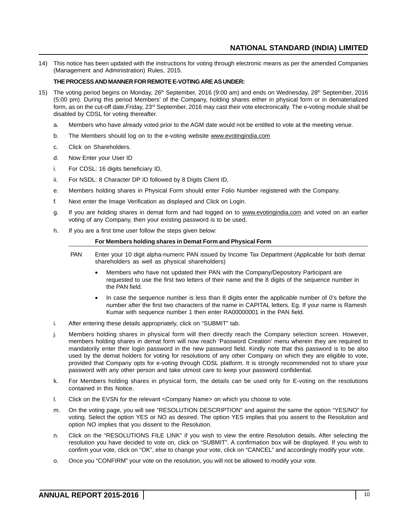14) This notice has been updated with the instructions for voting through electronic means as per the amended Companies (Management and Administration) Rules, 2015.

#### **THE PROCESS AND MANNER FOR REMOTE E-VOTING ARE AS UNDER:**

- 15) The voting period begins on Monday, 26<sup>th</sup> September, 2016 (9:00 am) and ends on Wednesday, 28<sup>th</sup> September, 2016 (5:00 pm). During this period Members' of the Company, holding shares either in physical form or in dematerialized form, as on the cut-off date,Friday, 23rd September, 2016 may cast their vote electronically. The e-voting module shall be disabled by CDSL for voting thereafter.
	- a. Members who have already voted prior to the AGM date would not be entitled to vote at the meeting venue.
	- b. The Members should log on to the e-voting website www.evotingindia.com
	- c. Click on Shareholders.
	- d. Now Enter your User ID
	- i. For CDSL: 16 digits beneficiary ID,
	- ii. For NSDL: 8 Character DP ID followed by 8 Digits Client ID,
	- e. Members holding shares in Physical Form should enter Folio Number registered with the Company.
	- f. Next enter the Image Verification as displayed and Click on Login.
	- g. If you are holding shares in demat form and had logged on to www.evotingindia.com and voted on an earlier voting of any Company, then your existing password is to be used.
	- h. If you are a first time user follow the steps given below:

#### **For Members holding shares in Demat Form and Physical Form**

- PAN Enter your 10 digit alpha-numeric PAN issued by Income Tax Department (Applicable for both demat shareholders as well as physical shareholders)
	- Members who have not updated their PAN with the Company/Depository Participant are requested to use the first two letters of their name and the 8 digits of the sequence number in the PAN field.
	- In case the sequence number is less than 8 digits enter the applicable number of 0's before the number after the first two characters of the name in CAPITAL letters. Eg. If your name is Ramesh Kumar with sequence number 1 then enter RA00000001 in the PAN field.
- i. After entering these details appropriately, click on "SUBMIT" tab.
- j. Members holding shares in physical form will then directly reach the Company selection screen. However, members holding shares in demat form will now reach 'Password Creation' menu wherein they are required to mandatorily enter their login password in the new password field. Kindly note that this password is to be also used by the demat holders for voting for resolutions of any other Company on which they are eligible to vote, provided that Company opts for e-voting through CDSL platform. It is strongly recommended not to share your password with any other person and take utmost care to keep your password confidential.
- k. For Members holding shares in physical form, the details can be used only for E-voting on the resolutions contained in this Notice.
- l. Click on the EVSN for the relevant <Company Name> on which you choose to vote.
- m. On the voting page, you will see "RESOLUTION DESCRIPTION" and against the same the option "YES/NO" for voting. Select the option YES or NO as desired. The option YES implies that you assent to the Resolution and option NO implies that you dissent to the Resolution.
- n. Click on the "RESOLUTIONS FILE LINK" if you wish to view the entire Resolution details. After selecting the resolution you have decided to vote on, click on "SUBMIT". A confirmation box will be displayed. If you wish to confirm your vote, click on "OK", else to change your vote, click on "CANCEL" and accordingly modify your vote.
- o. Once you "CONFIRM" your vote on the resolution, you will not be allowed to modify your vote.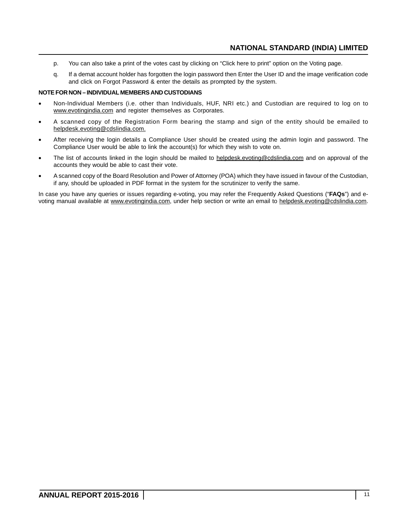- p. You can also take a print of the votes cast by clicking on "Click here to print" option on the Voting page.
- q. If a demat account holder has forgotten the login password then Enter the User ID and the image verification code and click on Forgot Password & enter the details as prompted by the system.

### **NOTE FOR NON – INDIVIDUAL MEMBERS AND CUSTODIANS**

- Non-Individual Members (i.e. other than Individuals, HUF, NRI etc.) and Custodian are required to log on to www.evotingindia.com and register themselves as Corporates.
- A scanned copy of the Registration Form bearing the stamp and sign of the entity should be emailed to helpdesk.evoting@cdslindia.com.
- After receiving the login details a Compliance User should be created using the admin login and password. The Compliance User would be able to link the account(s) for which they wish to vote on.
- The list of accounts linked in the login should be mailed to helpdesk.evoting@cdslindia.com and on approval of the accounts they would be able to cast their vote.
- A scanned copy of the Board Resolution and Power of Attorney (POA) which they have issued in favour of the Custodian, if any, should be uploaded in PDF format in the system for the scrutinizer to verify the same.

In case you have any queries or issues regarding e-voting, you may refer the Frequently Asked Questions ("**FAQs**") and evoting manual available at www.evotingindia.com, under help section or write an email to helpdesk.evoting@cdslindia.com.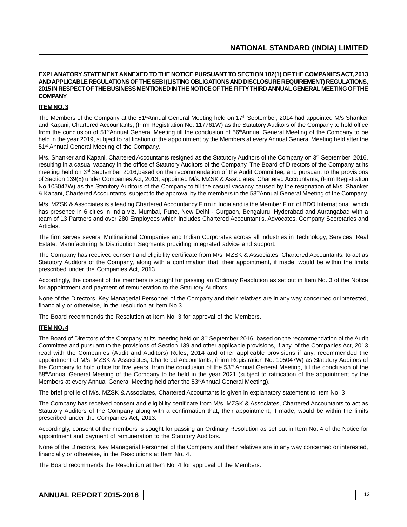#### **EXPLANATORY STATEMENT ANNEXED TO THE NOTICE PURSUANT TO SECTION 102(1) OF THE COMPANIES ACT, 2013 AND APPLICABLE REGULATIONS OF THE SEBI (LISTING OBLIGATIONS AND DISCLOSURE REQUIREMENT) REGULATIONS, 2015 IN RESPECT OF THE BUSINESS MENTIONED IN THE NOTICE OF THE FIFTY THIRD ANNUAL GENERAL MEETING OF THE COMPANY**

#### **ITEM NO. 3**

The Members of the Company at the 51<sup>st</sup>Annual General Meeting held on  $17<sup>th</sup>$  September, 2014 had appointed M/s Shanker and Kapani, Chartered Accountants, (Firm Registration No: 117761W) as the Statutory Auditors of the Company to hold office from the conclusion of 51<sup>st</sup>Annual General Meeting till the conclusion of 56<sup>th</sup>Annual General Meeting of the Company to be held in the year 2019, subject to ratification of the appointment by the Members at every Annual General Meeting held after the 51<sup>st</sup> Annual General Meeting of the Company.

M/s. Shanker and Kapani, Chartered Accountants resigned as the Statutory Auditors of the Company on 3<sup>rd</sup> September, 2016, resulting in a casual vacancy in the office of Statutory Auditors of the Company. The Board of Directors of the Company at its meeting held on 3rd September 2016,based on the recommendation of the Audit Committee, and pursuant to the provisions of Section 139(8) under Companies Act, 2013, appointed M/s. MZSK & Associates, Chartered Accountants, (Firm Registration No:105047W) as the Statutory Auditors of the Company to fill the casual vacancy caused by the resignation of M/s. Shanker & Kapani, Chartered Accountants, subject to the approval by the members in the 53<sup>rd</sup>Annual General Meeting of the Company.

M/s. MZSK & Associates is a leading Chartered Accountancy Firm in India and is the Member Firm of BDO International, which has presence in 6 cities in India viz. Mumbai, Pune, New Delhi - Gurgaon, Bengaluru, Hyderabad and Aurangabad with a team of 13 Partners and over 280 Employees which includes Chartered Accountant's, Advocates, Company Secretaries and Articles.

The firm serves several Multinational Companies and Indian Corporates across all industries in Technology, Services, Real Estate, Manufacturing & Distribution Segments providing integrated advice and support.

The Company has received consent and eligibility certificate from M/s. MZSK & Associates, Chartered Accountants, to act as Statutory Auditors of the Company, along with a confirmation that, their appointment, if made, would be within the limits prescribed under the Companies Act, 2013.

Accordingly, the consent of the members is sought for passing an Ordinary Resolution as set out in Item No. 3 of the Notice for appointment and payment of remuneration to the Statutory Auditors.

None of the Directors, Key Managerial Personnel of the Company and their relatives are in any way concerned or interested, financially or otherwise, in the resolution at Item No.3.

The Board recommends the Resolution at Item No. 3 for approval of the Members.

#### **ITEM NO. 4**

The Board of Directors of the Company at its meeting held on 3rd September 2016, based on the recommendation of the Audit Committee and pursuant to the provisions of Section 139 and other applicable provisions, if any, of the Companies Act, 2013 read with the Companies (Audit and Auditors) Rules, 2014 and other applicable provisions if any, recommended the appointment of M/s. MZSK & Associates, Chartered Accountants, (Firm Registration No: 105047W) as Statutory Auditors of the Company to hold office for five years, from the conclusion of the 53<sup>rd</sup> Annual General Meeting, till the conclusion of the 58thAnnual General Meeting of the Company to be held in the year 2021 (subject to ratification of the appointment by the Members at every Annual General Meeting held after the 53<sup>rd</sup>Annual General Meeting).

The brief profile of M/s. MZSK & Associates, Chartered Accountants is given in explanatory statement to item No. 3

The Company has received consent and eligibility certificate from M/s. MZSK & Associates, Chartered Accountants to act as Statutory Auditors of the Company along with a confirmation that, their appointment, if made, would be within the limits prescribed under the Companies Act, 2013.

Accordingly, consent of the members is sought for passing an Ordinary Resolution as set out in Item No. 4 of the Notice for appointment and payment of remuneration to the Statutory Auditors.

None of the Directors, Key Managerial Personnel of the Company and their relatives are in any way concerned or interested, financially or otherwise, in the Resolutions at Item No. 4.

The Board recommends the Resolution at Item No. 4 for approval of the Members.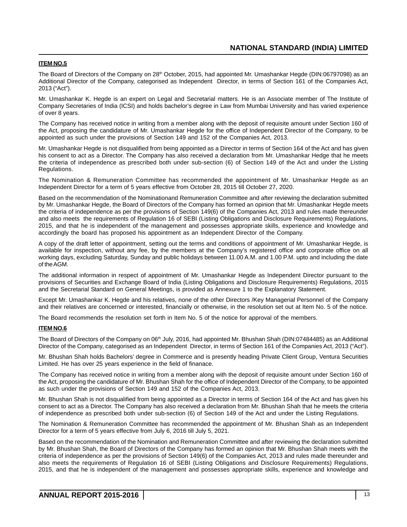#### **ITEM NO.5**

The Board of Directors of the Company on 28<sup>th</sup> October, 2015, had appointed Mr. Umashankar Hegde (DIN:06797098) as an Additional Director of the Company, categorised as Independent Director, in terms of Section 161 of the Companies Act, 2013 ("Act").

Mr. Umashankar K. Hegde is an expert on Legal and Secretarial matters. He is an Associate member of The Institute of Company Secretaries of India (ICSI) and holds bachelor's degree in Law from Mumbai University and has varied experience of over 8 years.

The Company has received notice in writing from a member along with the deposit of requisite amount under Section 160 of the Act, proposing the candidature of Mr. Umashankar Hegde for the office of Independent Director of the Company, to be appointed as such under the provisions of Section 149 and 152 of the Companies Act, 2013.

Mr. Umashankar Hegde is not disqualified from being appointed as a Director in terms of Section 164 of the Act and has given his consent to act as a Director. The Company has also received a declaration from Mr. Umashankar Hedge that he meets the criteria of independence as prescribed both under sub-section (6) of Section 149 of the Act and under the Listing Regulations.

The Nomination & Remuneration Committee has recommended the appointment of Mr. Umashankar Hegde as an Independent Director for a term of 5 years effective from October 28, 2015 till October 27, 2020.

Based on the recommendation of the Nominationand Remuneration Committee and after reviewing the declaration submitted by Mr. Umashankar Hegde, the Board of Directors of the Company has formed an opinion that Mr. Umashankar Hegde meets the criteria of independence as per the provisions of Section 149(6) of the Companies Act, 2013 and rules made thereunder and also meets the requirements of Regulation 16 of SEBI (Listing Obligations and Disclosure Requirements) Regulations, 2015, and that he is independent of the management and possesses appropriate skills, experience and knowledge and accordingly the board has proposed his appointment as an Independent Director of the Company.

A copy of the draft letter of appointment, setting out the terms and conditions of appointment of Mr. Umashankar Hegde, is available for inspection, without any fee, by the members at the Company's registered office and corporate office on all working days, excluding Saturday, Sunday and public holidays between 11.00 A.M. and 1.00 P.M. upto and including the date of the AGM.

The additional information in respect of appointment of Mr. Umashankar Hegde as Independent Director pursuant to the provisions of Securities and Exchange Board of India (Listing Obligations and Disclosure Requirements) Regulations, 2015 and the Secretarial Standard on General Meetings, is provided as Annexure 1 to the Explanatory Statement.

Except Mr. Umashankar K. Hegde and his relatives, none of the other Directors /Key Managerial Personnel of the Company and their relatives are concerned or interested, financially or otherwise, in the resolution set out at Item No. 5 of the notice.

The Board recommends the resolution set forth in Item No. 5 of the notice for approval of the members.

#### **ITEM NO.6**

The Board of Directors of the Company on 06<sup>th</sup> July, 2016, had appointed Mr. Bhushan Shah (DIN:07484485) as an Additional Director of the Company, categorised as an Independent Director, in terms of Section 161 of the Companies Act, 2013 ("Act").

Mr. Bhushan Shah holds Bachelors' degree in Commerce and is presently heading Private Client Group, Ventura Securities Limited. He has over 25 years experience in the field of finanace.

The Company has received notice in writing from a member along with the deposit of requisite amount under Section 160 of the Act, proposing the candidature of Mr. Bhushan Shah for the office of Independent Director of the Company, to be appointed as such under the provisions of Section 149 and 152 of the Companies Act, 2013.

Mr. Bhushan Shah is not disqualified from being appointed as a Director in terms of Section 164 of the Act and has given his consent to act as a Director. The Company has also received a declaration from Mr. Bhushan Shah that he meets the criteria of independence as prescribed both under sub-section (6) of Section 149 of the Act and under the Listing Regulations.

The Nomination & Remuneration Committee has recommended the appointment of Mr. Bhushan Shah as an Independent Director for a term of 5 years effective from July 6, 2016 till July 5, 2021.

Based on the recommendation of the Nomination and Remuneration Committee and after reviewing the declaration submitted by Mr. Bhushan Shah, the Board of Directors of the Company has formed an opinion that Mr. Bhushan Shah meets with the criteria of independence as per the provisions of Section 149(6) of the Companies Act, 2013 and rules made thereunder and also meets the requirements of Regulation 16 of SEBI (Listing Obligations and Disclosure Requirements) Regulations, 2015, and that he is independent of the management and possesses appropriate skills, experience and knowledge and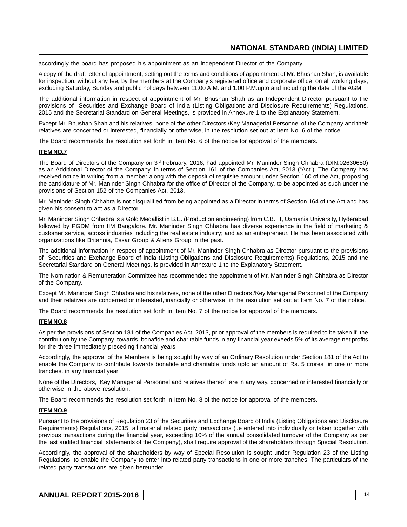accordingly the board has proposed his appointment as an Independent Director of the Company.

A copy of the draft letter of appointment, setting out the terms and conditions of appointment of Mr. Bhushan Shah, is available for inspection, without any fee, by the members at the Company's registered office and corporate office on all working days, excluding Saturday, Sunday and public holidays between 11.00 A.M. and 1.00 P.M.upto and including the date of the AGM.

The additional information in respect of appointment of Mr. Bhushan Shah as an Independent Director pursuant to the provisions of Securities and Exchange Board of India (Listing Obligations and Disclosure Requirements) Regulations, 2015 and the Secretarial Standard on General Meetings, is provided in Annexure 1 to the Explanatory Statement.

Except Mr. Bhushan Shah and his relatives, none of the other Directors /Key Managerial Personnel of the Company and their relatives are concerned or interested, financially or otherwise, in the resolution set out at Item No. 6 of the notice.

The Board recommends the resolution set forth in Item No. 6 of the notice for approval of the members.

#### **ITEM NO.7**

The Board of Directors of the Company on 3<sup>rd</sup> February, 2016, had appointed Mr. Maninder Singh Chhabra (DIN:02630680) as an Additional Director of the Company, in terms of Section 161 of the Companies Act, 2013 ("Act"). The Company has received notice in writing from a member along with the deposit of requisite amount under Section 160 of the Act, proposing the candidature of Mr. Maninder Singh Chhabra for the office of Director of the Company, to be appointed as such under the provisions of Section 152 of the Companies Act, 2013.

Mr. Maninder Singh Chhabra is not disqualified from being appointed as a Director in terms of Section 164 of the Act and has given his consent to act as a Director.

Mr. Maninder Singh Chhabra is a Gold Medallist in B.E. (Production engineering) from C.B.I.T, Osmania University, Hyderabad followed by PGDM from IIM Bangalore. Mr. Maninder Singh Chhabra has diverse experience in the field of marketing & customer service, across industries including the real estate industry; and as an entrepreneur. He has been associated with organizations like Britannia, Essar Group & Aliens Group in the past.

The additional information in respect of appointment of Mr. Maninder Singh Chhabra as Director pursuant to the provisions of Securities and Exchange Board of India (Listing Obligations and Disclosure Requirements) Regulations, 2015 and the Secretarial Standard on General Meetings, is provided in Annexure 1 to the Explanatory Statement.

The Nomination & Remuneration Committee has recommended the appointment of Mr. Maninder Singh Chhabra as Director of the Company.

Except Mr. Maninder Singh Chhabra and his relatives, none of the other Directors /Key Managerial Personnel of the Company and their relatives are concerned or interested,financially or otherwise, in the resolution set out at Item No. 7 of the notice.

The Board recommends the resolution set forth in Item No. 7 of the notice for approval of the members.

#### **ITEM NO.8**

As per the provisions of Section 181 of the Companies Act, 2013, prior approval of the members is required to be taken if the contribution by the Company towards bonafide and charitable funds in any financial year exeeds 5% of its average net profits for the three immediately preceding financial years.

Accordingly, the approval of the Members is being sought by way of an Ordinary Resolution under Section 181 of the Act to enable the Company to contribute towards bonafide and charitable funds upto an amount of Rs. 5 crores in one or more tranches, in any financial year.

None of the Directors, Key Managerial Personnel and relatives thereof are in any way, concerned or interested financially or otherwise in the above resolution.

The Board recommends the resolution set forth in Item No. 8 of the notice for approval of the members.

#### **ITEM NO.9**

Pursuant to the provisions of Regulation 23 of the Securities and Exchange Board of India (Listing Obligations and Disclosure Requirements) Regulations, 2015, all material related party transactions (i.e entered into individually or taken together with previous transactions during the financial year, exceeding 10% of the annual consolidated turnover of the Company as per the last audited financial statements of the Company), shall require approval of the shareholders through Special Resolution.

Accordingly, the approval of the shareholders by way of Special Resolution is sought under Regulation 23 of the Listing Regulations, to enable the Company to enter into related party transactions in one or more tranches. The particulars of the related party transactions are given hereunder.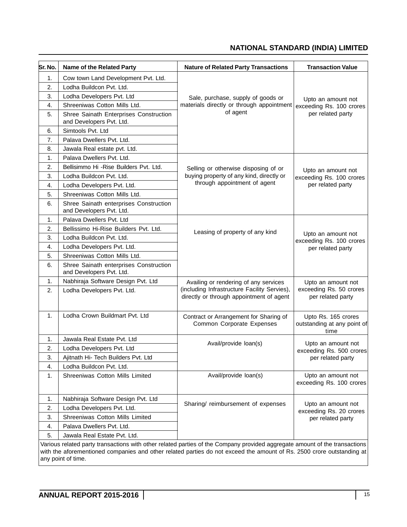| Sr. No. | Name of the Related Party                                          | <b>Nature of Related Party Transactions</b>                                                                                                                                                                                                         | <b>Transaction Value</b>                                            |  |
|---------|--------------------------------------------------------------------|-----------------------------------------------------------------------------------------------------------------------------------------------------------------------------------------------------------------------------------------------------|---------------------------------------------------------------------|--|
| 1.      | Cow town Land Development Pvt. Ltd.                                |                                                                                                                                                                                                                                                     |                                                                     |  |
| 2.      | Lodha Buildcon Pvt. Ltd.                                           |                                                                                                                                                                                                                                                     | Upto an amount not                                                  |  |
| 3.      | Lodha Developers Pvt. Ltd                                          | Sale, purchase, supply of goods or                                                                                                                                                                                                                  |                                                                     |  |
| 4.      | Shreeniwas Cotton Mills Ltd.                                       | materials directly or through appointment                                                                                                                                                                                                           | exceeding Rs. 100 crores                                            |  |
| 5.      | Shree Sainath Enterprises Construction<br>and Developers Pvt. Ltd. | of agent                                                                                                                                                                                                                                            | per related party                                                   |  |
| 6.      | Simtools Pvt. Ltd                                                  |                                                                                                                                                                                                                                                     |                                                                     |  |
| 7.      | Palava Dwellers Pvt. Ltd.                                          |                                                                                                                                                                                                                                                     |                                                                     |  |
| 8.      | Jawala Real estate pvt. Ltd.                                       |                                                                                                                                                                                                                                                     |                                                                     |  |
| 1.      | Palava Dwellers Pvt. Ltd.                                          |                                                                                                                                                                                                                                                     |                                                                     |  |
| 2.      | Bellisimmo Hi - Rise Builders Pvt. Ltd.                            | Selling or otherwise disposing of or                                                                                                                                                                                                                | Upto an amount not                                                  |  |
| 3.      | Lodha Buildcon Pvt. Ltd.                                           | buying property of any kind, directly or                                                                                                                                                                                                            | exceeding Rs. 100 crores                                            |  |
| 4.      | Lodha Developers Pvt. Ltd.                                         | through appointment of agent                                                                                                                                                                                                                        | per related party                                                   |  |
| 5.      | Shreeniwas Cotton Mills Ltd.                                       |                                                                                                                                                                                                                                                     |                                                                     |  |
| 6.      | Shree Sainath enterprises Construction<br>and Developers Pvt. Ltd. |                                                                                                                                                                                                                                                     |                                                                     |  |
| 1.      | Palava Dwellers Pvt. Ltd                                           |                                                                                                                                                                                                                                                     |                                                                     |  |
| 2.      | Bellissimo Hi-Rise Builders Pyt. Ltd.                              | Leasing of property of any kind                                                                                                                                                                                                                     | Upto an amount not<br>exceeding Rs. 100 crores<br>per related party |  |
| 3.      | Lodha Buildcon Pvt. Ltd.                                           |                                                                                                                                                                                                                                                     |                                                                     |  |
| 4.      | Lodha Developers Pvt. Ltd.                                         |                                                                                                                                                                                                                                                     |                                                                     |  |
| 5.      | Shreeniwas Cotton Mills Ltd.                                       |                                                                                                                                                                                                                                                     |                                                                     |  |
| 6.      | Shree Sainath enterprises Construction<br>and Developers Pvt. Ltd. |                                                                                                                                                                                                                                                     |                                                                     |  |
| 1.      | Nabhiraja Software Design Pvt. Ltd                                 | Availing or rendering of any services                                                                                                                                                                                                               | Upto an amount not                                                  |  |
| 2.      | Lodha Developers Pvt. Ltd.                                         | (including Infrastructure Facility Servies),<br>directly or through appointment of agent                                                                                                                                                            | exceeding Rs. 50 crores<br>per related party                        |  |
| 1.      | Lodha Crown Buildmart Pvt. Ltd                                     | Contract or Arrangement for Sharing of<br>Common Corporate Expenses                                                                                                                                                                                 | Upto Rs. 165 crores<br>outstanding at any point of<br>time          |  |
| 1.      | Jawala Real Estate Pyt. Ltd                                        | Avail/provide loan(s)                                                                                                                                                                                                                               | Upto an amount not                                                  |  |
| 2.      | Lodha Developers Pvt. Ltd                                          |                                                                                                                                                                                                                                                     | exceeding Rs. 500 crores                                            |  |
| 3.      | Ajitnath Hi- Tech Builders Pvt. Ltd                                |                                                                                                                                                                                                                                                     | per related party                                                   |  |
| 4.      | Lodha Buildcon Pvt. Ltd.                                           |                                                                                                                                                                                                                                                     |                                                                     |  |
| 1.      | Shreeniwas Cotton Mills Limited                                    | Avail/provide loan(s)                                                                                                                                                                                                                               | Upto an amount not<br>exceeding Rs. 100 crores                      |  |
| 1.      | Nabhiraja Software Design Pvt. Ltd                                 |                                                                                                                                                                                                                                                     |                                                                     |  |
| 2.      | Lodha Developers Pvt. Ltd.                                         | Sharing/ reimbursement of expenses                                                                                                                                                                                                                  | Upto an amount not<br>exceeding Rs. 20 crores                       |  |
| 3.      | Shreeniwas Cotton Mills Limited                                    |                                                                                                                                                                                                                                                     | per related party                                                   |  |
| 4.      | Palava Dwellers Pvt. Ltd.                                          |                                                                                                                                                                                                                                                     |                                                                     |  |
| 5.      | Jawala Real Estate Pvt. Ltd.                                       |                                                                                                                                                                                                                                                     |                                                                     |  |
|         | any point of time.                                                 | Various related party transactions with other related parties of the Company provided aggregate amount of the transactions<br>with the aforementioned companies and other related parties do not exceed the amount of Rs. 2500 crore outstanding at |                                                                     |  |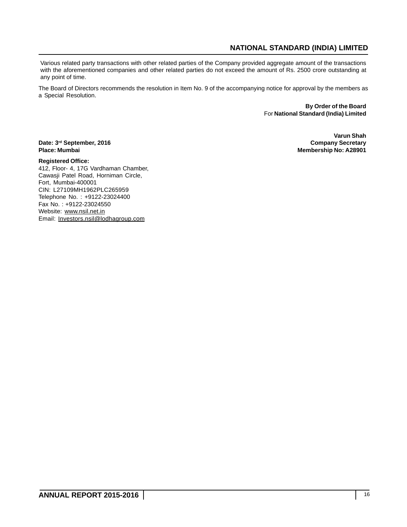Various related party transactions with other related parties of the Company provided aggregate amount of the transactions with the aforementioned companies and other related parties do not exceed the amount of Rs. 2500 crore outstanding at any point of time.

The Board of Directors recommends the resolution in Item No. 9 of the accompanying notice for approval by the members as a Special Resolution.

> **By Order of the Board** For **National Standard (India) Limited**

> > **Varun Shah**

#### **Date: 3rd September, 2016 Company Secretary Place: Mumbai Membership No: A28901**

#### **Registered Office:**

412, Floor- 4, 17G Vardhaman Chamber, Cawasji Patel Road, Horniman Circle, Fort, Mumbai-400001 CIN: L27109MH1962PLC265959 Telephone No. : +9122-23024400 Fax No. : +9122-23024550 Website: www.nsil.net.in Email: Investors.nsil@lodhagroup.com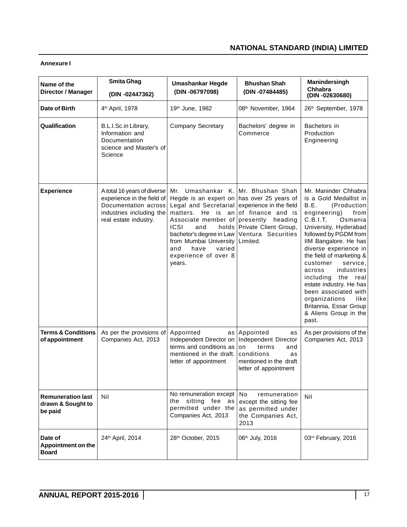#### **Annexure I**

|                                                          | <b>Smita Ghag</b>                                                                                                                      |                                                                                                                                                                                                                                                                                                                                                 |                                                                                                                                      |                                                                                                                                                                                                                                                                                                                                                                                                                                                                          |
|----------------------------------------------------------|----------------------------------------------------------------------------------------------------------------------------------------|-------------------------------------------------------------------------------------------------------------------------------------------------------------------------------------------------------------------------------------------------------------------------------------------------------------------------------------------------|--------------------------------------------------------------------------------------------------------------------------------------|--------------------------------------------------------------------------------------------------------------------------------------------------------------------------------------------------------------------------------------------------------------------------------------------------------------------------------------------------------------------------------------------------------------------------------------------------------------------------|
| Name of the<br><b>Director / Manager</b>                 | (DIN -02447362)                                                                                                                        | Umashankar Hegde<br>(DIN-06797098)                                                                                                                                                                                                                                                                                                              | <b>Bhushan Shah</b><br>(DIN-07484485)                                                                                                | Manindersingh<br>Chhabra<br>(DIN-02630680)                                                                                                                                                                                                                                                                                                                                                                                                                               |
| Date of Birth                                            | 4 <sup>th</sup> April, 1978                                                                                                            | 19th June, 1982                                                                                                                                                                                                                                                                                                                                 | 08th November, 1964                                                                                                                  | 26th September, 1978                                                                                                                                                                                                                                                                                                                                                                                                                                                     |
| Qualification                                            | B.L.I.Sc.in Library,<br>Information and<br>Documentation<br>science and Master's of<br>Science                                         | <b>Company Secretary</b>                                                                                                                                                                                                                                                                                                                        | Bachelors' degree in<br>Commerce                                                                                                     | Bachelors in<br>Production<br>Engineering                                                                                                                                                                                                                                                                                                                                                                                                                                |
| <b>Experience</b>                                        | A total 16 years of diverse<br>experience in the field of<br>Documentation across<br>industries including the<br>real estate industry. | Mr. Umashankar K. Mr. Bhushan Shah<br>Hegde is an expert on has over 25 years of<br>Legal and Secretarial experience in the field<br>matters. He is an<br>Associate member of presently heading<br><b>ICSI</b><br>and<br>holds<br>bachelor's degree in Law<br>from Mumbai University<br>and<br>have<br>varied<br>experience of over 8<br>years. | of finance and is<br>Private Client Group,<br>Ventura Securities<br>Limited.                                                         | Mr. Maninder Chhabra<br>is a Gold Medallist in<br>B.E.<br>(Production<br>engineering)<br>from<br>C.B.I.T,<br>Osmania<br>University, Hyderabad<br>followed by PGDM from<br>IIM Bangalore. He has<br>diverse experience in<br>the field of marketing &<br>customer<br>service,<br>industries<br>across<br>including<br>the<br>real<br>estate industry. He has<br>been associated with<br>organizations<br>like<br>Britannia, Essar Group<br>& Aliens Group in the<br>past. |
| <b>Terms &amp; Conditions</b><br>of appointment          | As per the provisions of<br>Companies Act, 2013                                                                                        | Appointed<br>as  <br>Independent Director on<br>terms and conditions as<br>mentioned in the draft.<br>letter of appointment                                                                                                                                                                                                                     | Appointed<br>as<br>Independent Director<br>on<br>terms<br>and<br>conditions<br>as<br>mentioned in the draft<br>letter of appointment | As per provisions of the<br>Companies Act, 2013                                                                                                                                                                                                                                                                                                                                                                                                                          |
| <b>Remuneration last</b><br>drawn & Sought to<br>be paid | Nil                                                                                                                                    | No remuneration except<br>sitting fee as<br>the<br>permitted under the<br>Companies Act, 2013                                                                                                                                                                                                                                                   | <b>No</b><br>remuneration<br>except the sitting fee<br>as permitted under<br>the Companies Act,<br>2013                              | Nil                                                                                                                                                                                                                                                                                                                                                                                                                                                                      |
| Date of<br><b>Appointment on the</b><br><b>Board</b>     | 24th April, 2014                                                                                                                       | 28th October, 2015                                                                                                                                                                                                                                                                                                                              | 06th July, 2016                                                                                                                      | 03rd February, 2016                                                                                                                                                                                                                                                                                                                                                                                                                                                      |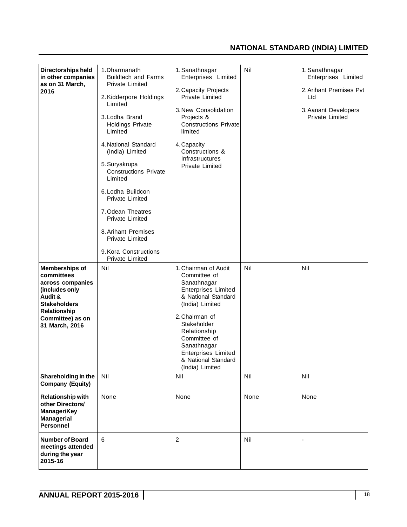| Directorships held<br>in other companies<br>as on 31 March,<br>2016                                                                                                      | 1.Dharmanath<br><b>Buildtech and Farms</b><br>Private Limited<br>2. Kidderpore Holdings<br>Limited<br>3. Lodha Brand<br><b>Holdings Private</b><br>Limited<br>4. National Standard<br>(India) Limited<br>5. Suryakrupa<br><b>Constructions Private</b><br>Limited<br>6. Lodha Buildcon<br><b>Private Limited</b><br>7. Odean Theatres<br>Private Limited<br>8. Arihant Premises<br><b>Private Limited</b><br>9. Kora Constructions<br>Private Limited | 1. Sanathnagar<br>Enterprises Limited<br>2. Capacity Projects<br>Private Limited<br>3. New Consolidation<br>Projects &<br>Constructions Private<br>limited<br>4. Capacity<br>Constructions &<br>Infrastructures<br>Private Limited | Nil  | 1. Sanathnagar<br>Enterprises Limited<br>2. Arihant Premises Pvt<br>Ltd<br>3. Aanant Developers<br><b>Private Limited</b> |
|--------------------------------------------------------------------------------------------------------------------------------------------------------------------------|-------------------------------------------------------------------------------------------------------------------------------------------------------------------------------------------------------------------------------------------------------------------------------------------------------------------------------------------------------------------------------------------------------------------------------------------------------|------------------------------------------------------------------------------------------------------------------------------------------------------------------------------------------------------------------------------------|------|---------------------------------------------------------------------------------------------------------------------------|
| <b>Memberships of</b><br>committees<br>across companies<br>(includes only<br>Audit &<br><b>Stakeholders</b><br><b>Relationship</b><br>Committee) as on<br>31 March, 2016 | Nil<br>1. Chairman of Audit<br>Committee of<br>Sanathnagar<br><b>Enterprises Limited</b><br>& National Standard<br>(India) Limited<br>2. Chairman of<br>Stakeholder<br>Relationship<br>Committee of<br>Sanathnagar<br><b>Enterprises Limited</b><br>& National Standard<br>(India) Limited                                                                                                                                                            |                                                                                                                                                                                                                                    | Nil  | Nil                                                                                                                       |
| Shareholding in the<br><b>Company (Equity)</b>                                                                                                                           | Nil                                                                                                                                                                                                                                                                                                                                                                                                                                                   | Nil                                                                                                                                                                                                                                | Nil  | Nil                                                                                                                       |
| <b>Relationship with</b><br>other Directors/<br>Manager/Key<br><b>Managerial</b><br><b>Personnel</b>                                                                     | None                                                                                                                                                                                                                                                                                                                                                                                                                                                  | None                                                                                                                                                                                                                               | None | None                                                                                                                      |
| <b>Number of Board</b><br>meetings attended<br>during the year<br>2015-16                                                                                                | 6                                                                                                                                                                                                                                                                                                                                                                                                                                                     | $\overline{2}$                                                                                                                                                                                                                     | Nil  |                                                                                                                           |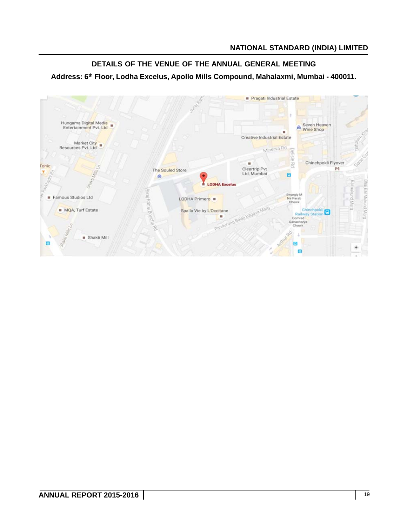# **DETAILS OF THE VENUE OF THE ANNUAL GENERAL MEETING Address: 6th Floor, Lodha Excelus, Apollo Mills Compound, Mahalaxmi, Mumbai - 400011.**

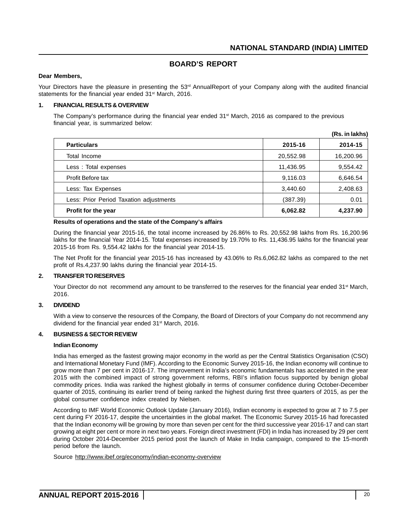## **BOARD'S REPORT**

#### **Dear Members,**

Your Directors have the pleasure in presenting the 53<sup>rd</sup> AnnualReport of your Company along with the audited financial statements for the financial year ended 31<sup>st</sup> March, 2016.

#### **1. FINANCIAL RESULTS & OVERVIEW**

The Company's performance during the financial year ended 31<sup>st</sup> March, 2016 as compared to the previous financial year, is summarized below:

|                                         |           | (Rs. in lakhs) |
|-----------------------------------------|-----------|----------------|
| <b>Particulars</b>                      | 2015-16   | 2014-15        |
| Total Income                            | 20,552.98 | 16,200.96      |
| Less: Total expenses                    | 11,436.95 | 9,554.42       |
| Profit Before tax                       | 9,116.03  | 6,646.54       |
| Less: Tax Expenses                      | 3,440.60  | 2,408.63       |
| Less: Prior Period Taxation adjustments | (387.39)  | 0.01           |
| Profit for the year                     | 6,062.82  | 4,237.90       |

#### **Results of operations and the state of the Company's affairs**

During the financial year 2015-16, the total income increased by 26.86% to Rs. 20,552.98 lakhs from Rs. 16,200.96 lakhs for the financial Year 2014-15. Total expenses increased by 19.70% to Rs. 11,436.95 lakhs for the financial year 2015-16 from Rs. 9,554.42 lakhs for the financial year 2014-15.

The Net Profit for the financial year 2015-16 has increased by 43.06% to Rs.6,062.82 lakhs as compared to the net profit of Rs.4,237.90 lakhs during the financial year 2014-15.

#### **2. TRANSFER TO RESERVES**

Your Director do not recommend any amount to be transferred to the reserves for the financial year ended 31<sup>st</sup> March, 2016.

#### **3. DIVIDEND**

With a view to conserve the resources of the Company, the Board of Directors of your Company do not recommend any dividend for the financial year ended 31<sup>st</sup> March, 2016.

#### **4. BUSINESS & SECTOR REVIEW**

#### **Indian Economy**

India has emerged as the fastest growing major economy in the world as per the Central Statistics Organisation (CSO) and International Monetary Fund (IMF). According to the Economic Survey 2015-16, the Indian economy will continue to grow more than 7 per cent in 2016-17. The improvement in India's economic fundamentals has accelerated in the year 2015 with the combined impact of strong government reforms, RBI's inflation focus supported by benign global commodity prices. India was ranked the highest globally in terms of consumer confidence during October-December quarter of 2015, continuing its earlier trend of being ranked the highest during first three quarters of 2015, as per the global consumer confidence index created by Nielsen.

According to IMF World Economic Outlook Update (January 2016), Indian economy is expected to grow at 7 to 7.5 per cent during FY 2016-17, despite the uncertainties in the global market. The Economic Survey 2015-16 had forecasted that the Indian economy will be growing by more than seven per cent for the third successive year 2016-17 and can start growing at eight per cent or more in next two years. Foreign direct investment (FDI) in India has increased by 29 per cent during October 2014-December 2015 period post the launch of Make in India campaign, compared to the 15-month period before the launch.

Source http://www.ibef.org/economy/indian-economy-overview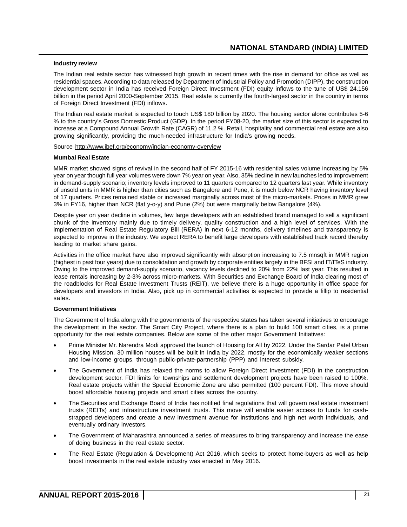#### **Industry review**

The Indian real estate sector has witnessed high growth in recent times with the rise in demand for office as well as residential spaces. According to data released by Department of Industrial Policy and Promotion (DIPP), the construction development sector in India has received Foreign Direct Investment (FDI) equity inflows to the tune of US\$ 24.156 billion in the period April 2000-September 2015. Real estate is currently the fourth-largest sector in the country in terms of Foreign Direct Investment (FDI) inflows.

The Indian real estate market is expected to touch US\$ 180 billion by 2020. The housing sector alone contributes 5-6 % to the country's Gross Domestic Product (GDP). In the period FY08-20, the market size of this sector is expected to increase at a Compound Annual Growth Rate (CAGR) of 11.2 %. Retail, hospitality and commercial real estate are also growing significantly, providing the much-needed infrastructure for India's growing needs.

Source http://www.ibef.org/economy/indian-economy-overview

#### **Mumbai Real Estate**

MMR market showed signs of revival in the second half of FY 2015-16 with residential sales volume increasing by 5% year on year though full year volumes were down 7% year on year. Also, 35% decline in new launches led to improvement in demand-supply scenario; inventory levels improved to 11 quarters compared to 12 quarters last year. While inventory of unsold units in MMR is higher than cities such as Bangalore and Pune, it is much below NCR having inventory level of 17 quarters. Prices remained stable or increased marginally across most of the micro-markets. Prices in MMR grew 3% in FY16, higher than NCR (flat y-o-y) and Pune (2%) but were marginally below Bangalore (4%).

Despite year on year decline in volumes, few large developers with an established brand managed to sell a significant chunk of the inventory mainly due to timely delivery, quality construction and a high level of services. With the implementation of Real Estate Regulatory Bill (RERA) in next 6-12 months, delivery timelines and transparency is expected to improve in the industry. We expect RERA to benefit large developers with established track record thereby leading to market share gains.

Activities in the office market have also improved significantly with absorption increasing to 7.5 mnsqft in MMR region (highest in past four years) due to consolidation and growth by corporate entities largely in the BFSI and IT/ITeS industry. Owing to the improved demand-supply scenario, vacancy levels declined to 20% from 22% last year. This resulted in lease rentals increasing by 2-3% across micro-markets. With Securities and Exchange Board of India clearing most of the roadblocks for Real Estate Investment Trusts (REIT), we believe there is a huge opportunity in office space for developers and investors in India. Also, pick up in commercial activities is expected to provide a fillip to residential sales.

#### **Government Initiatives**

The Government of India along with the governments of the respective states has taken several initiatives to encourage the development in the sector. The Smart City Project, where there is a plan to build 100 smart cities, is a prime opportunity for the real estate companies. Below are some of the other major Government Initiatives:

- Prime Minister Mr. Narendra Modi approved the launch of Housing for All by 2022. Under the Sardar Patel Urban Housing Mission, 30 million houses will be built in India by 2022, mostly for the economically weaker sections and low-income groups, through public-private-partnership (PPP) and interest subsidy.
- The Government of India has relaxed the norms to allow Foreign Direct Investment (FDI) in the construction development sector. FDI limits for townships and settlement development projects have been raised to 100%. Real estate projects within the Special Economic Zone are also permitted (100 percent FDI). This move should boost affordable housing projects and smart cities across the country.
- The Securities and Exchange Board of India has notified final regulations that will govern real estate investment trusts (REITs) and infrastructure investment trusts. This move will enable easier access to funds for cashstrapped developers and create a new investment avenue for institutions and high net worth individuals, and eventually ordinary investors.
- The Government of Maharashtra announced a series of measures to bring transparency and increase the ease of doing business in the real estate sector.
- The Real Estate (Regulation & Development) Act 2016, which seeks to protect home-buyers as well as help boost investments in the real estate industry was enacted in May 2016.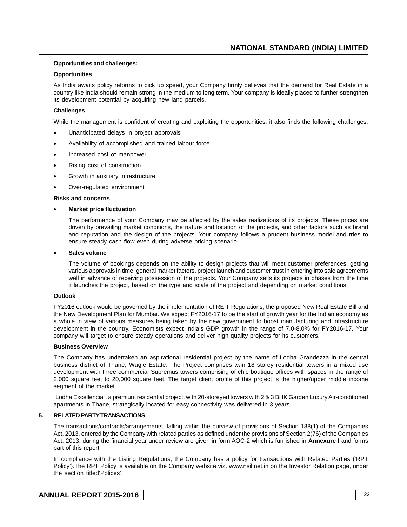#### **Opportunities and challenges:**

#### **Opportunities**

As India awaits policy reforms to pick up speed, your Company firmly believes that the demand for Real Estate in a country like India should remain strong in the medium to long term. Your company is ideally placed to further strengthen its development potential by acquiring new land parcels.

#### **Challenges**

While the management is confident of creating and exploiting the opportunities, it also finds the following challenges:

- Unanticipated delays in project approvals
- Availability of accomplished and trained labour force
- Increased cost of manpower
- Rising cost of construction
- Growth in auxiliary infrastructure
- Over-regulated environment

#### **Risks and concerns**

#### • **Market price fluctuation**

The performance of your Company may be affected by the sales realizations of its projects. These prices are driven by prevailing market conditions, the nature and location of the projects, and other factors such as brand and reputation and the design of the projects. Your company follows a prudent business model and tries to ensure steady cash flow even during adverse pricing scenario.

#### • **Sales volume**

The volume of bookings depends on the ability to design projects that will meet customer preferences, getting various approvals in time, general market factors, project launch and customer trust in entering into sale agreements well in advance of receiving possession of the projects. Your Company sells its projects in phases from the time it launches the project, based on the type and scale of the project and depending on market conditions

#### **Outlook**

FY2016 outlook would be governed by the implementation of REIT Regulations, the proposed New Real Estate Bill and the New Development Plan for Mumbai. We expect FY2016-17 to be the start of growth year for the Indian economy as a whole in view of various measures being taken by the new government to boost manufacturing and infrastructure development in the country. Economists expect India's GDP growth in the range of 7.0-8.0% for FY2016-17. Your company will target to ensure steady operations and deliver high quality projects for its customers.

#### **Business Overview**

The Company has undertaken an aspirational residential project by the name of Lodha Grandezza in the central business district of Thane, Wagle Estate. The Project comprises twin 18 storey residential towers in a mixed use development with three commercial Supremus towers comprising of chic boutique offices with spaces in the range of 2,000 square feet to 20,000 square feet. The target client profile of this project is the higher/upper middle income segment of the market.

"Lodha Excellencia", a premium residential project, with 20-storeyed towers with 2 & 3 BHK Garden Luxury Air-conditioned apartments in Thane, strategically located for easy connectivity was delivered in 3 years.

#### **5. RELATED PARTY TRANSACTIONS**

The transactions/contracts/arrangements, falling within the purview of provisions of Section 188(1) of the Companies Act, 2013, entered by the Company with related parties as defined under the provisions of Section 2(76) of the Companies Act, 2013, during the financial year under review are given in form AOC-2 which is furnished in **Annexure I** and forms part of this report.

In compliance with the Listing Regulations, the Company has a policy for transactions with Related Parties ('RPT Policy').The RPT Policy is available on the Company website viz. www.nsil.net.in on the Investor Relation page, under the section titled'Polices'.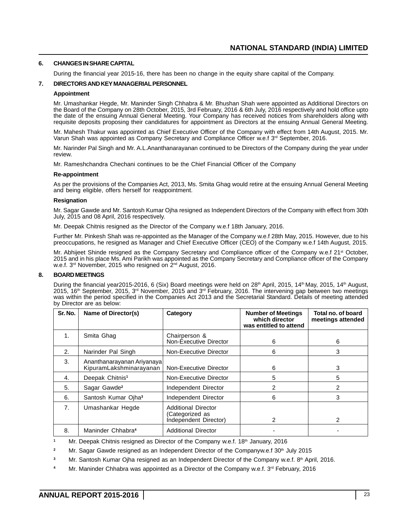#### **6. CHANGES IN SHARE CAPITAL**

During the financial year 2015-16, there has been no change in the equity share capital of the Company.

#### **7. DIRECTORS AND KEY MANAGERIAL PERSONNEL**

#### **Appointment**

Mr. Umashankar Hegde, Mr. Maninder Singh Chhabra & Mr. Bhushan Shah were appointed as Additional Directors on the Board of the Company on 28th October, 2015, 3rd February, 2016 & 6th July, 2016 respectively and hold office upto the date of the ensuing Annual General Meeting. Your Company has received notices from shareholders along with requisite deposits proposing their candidatures for appointment as Directors at the ensuing Annual General Meeting.

Mr. Mahesh Thakur was appointed as Chief Executive Officer of the Company with effect from 14th August, 2015. Mr. Varun Shah was appointed as Company Secretary and Compliance Officer w.e.f 3<sup>rd</sup> September, 2016.

Mr. Narinder Pal Singh and Mr. A.L.Ananthanarayanan continued to be Directors of the Company during the year under review.

Mr. Rameshchandra Chechani continues to be the Chief Financial Officer of the Company

#### **Re-appointment**

As per the provisions of the Companies Act, 2013, Ms. Smita Ghag would retire at the ensuing Annual General Meeting and being eligible, offers herself for reappointment.

#### **Resignation**

Mr. Sagar Gawde and Mr. Santosh Kumar Ojha resigned as Independent Directors of the Company with effect from 30th July, 2015 and 08 April, 2016 respectively.

Mr. Deepak Chitnis resigned as the Director of the Company w.e.f 18th January, 2016.

Further Mr. Pinkesh Shah was re-appointed as the Manager of the Company w.e.f 28th May, 2015. However, due to his preoccupations, he resigned as Manager and Chief Executive Officer (CEO) of the Company w.e.f 14th August, 2015.

Mr. Abhijeet Shinde resigned as the Company Secretary and Compliance officer of the Company w.e.f 21<sup>st</sup> October, 2015 and in his place Ms. Ami Parikh was appointed as the Company Secretary and Compliance officer of the Company w.e.f. 3rd November, 2015 who resigned on 2nd August, 2016.

#### **8. BOARD MEETINGS**

During the financial year2015-2016, 6 (Six) Board meetings were held on 28<sup>th</sup> April, 2015, 14<sup>th</sup> May, 2015, 14<sup>th</sup> August, 2015, 16th September, 2015, 3<sup>rd</sup> November, 2015 and 3<sup>rd</sup> February, 2016. The intervening gap between two meetings was within the period specified in the Companies Act 2013 and the Secretarial Standard. Details of meeting attended by Director are as below:

| Sr. No. | Name of Director(s)                                   | Category                                                        | <b>Number of Meetings</b><br>which director<br>was entitled to attend | Total no. of board<br>meetings attended |
|---------|-------------------------------------------------------|-----------------------------------------------------------------|-----------------------------------------------------------------------|-----------------------------------------|
| 1.      | Smita Ghag                                            | Chairperson &<br>Non-Executive Director                         | 6                                                                     | 6                                       |
| 2.      | Narinder Pal Singh                                    | Non-Executive Director                                          | 6                                                                     | 3                                       |
| 3.      | Ananthanarayanan Ariyanaya<br>KipuramLakshminarayanan | Non-Executive Director                                          | 6                                                                     | 3                                       |
| 4.      | Deepak Chitnis <sup>1</sup>                           | Non-Executive Director                                          | 5                                                                     | 5                                       |
| 5.      | Sagar Gawde <sup>2</sup>                              | Independent Director                                            | 2                                                                     | 2                                       |
| 6.      | Santosh Kumar Ojha <sup>3</sup>                       | Independent Director                                            | 6                                                                     | 3                                       |
| 7.      | Umashankar Hegde                                      | Additional Director<br>(Categorized as<br>Independent Director) | 2                                                                     | $\mathcal{P}$                           |
| 8.      | Maninder Chhabra <sup>4</sup>                         | <b>Additional Director</b>                                      |                                                                       |                                         |

<sup>1</sup> Mr. Deepak Chitnis resigned as Director of the Company w.e.f. 18<sup>th</sup> January, 2016

<sup>2</sup> Mr. Sagar Gawde resigned as an Independent Director of the Companyw.e.f 30<sup>th</sup> July 2015

- <sup>3</sup> Mr. Santosh Kumar Ojha resigned as an Independent Director of the Company w.e.f. 8<sup>th</sup> April, 2016.
- <sup>4</sup> Mr. Maninder Chhabra was appointed as a Director of the Company w.e.f. 3<sup>rd</sup> February, 2016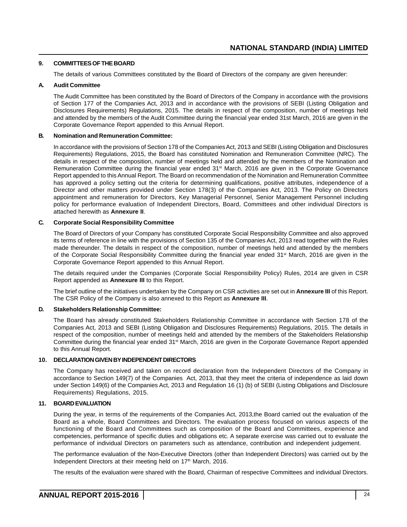#### **9. COMMITTEES OF THE BOARD**

The details of various Committees constituted by the Board of Directors of the company are given hereunder:

#### **A. Audit Committee**

The Audit Committee has been constituted by the Board of Directors of the Company in accordance with the provisions of Section 177 of the Companies Act, 2013 and in accordance with the provisions of SEBI (Listing Obligation and Disclosures Requirements) Regulations, 2015. The details in respect of the composition, number of meetings held and attended by the members of the Audit Committee during the financial year ended 31st March, 2016 are given in the Corporate Governance Report appended to this Annual Report.

#### **B. Nomination and Remuneration Committee:**

In accordance with the provisions of Section 178 of the Companies Act, 2013 and SEBI (Listing Obligation and Disclosures Requirements) Regulations, 2015, the Board has constituted Nomination and Remuneration Committee (NRC). The details in respect of the composition, number of meetings held and attended by the members of the Nomination and Remuneration Committee during the financial year ended 31<sup>st</sup> March, 2016 are given in the Corporate Governance Report appended to this Annual Report. The Board on recommendation of the Nomination and Remuneration Committee has approved a policy setting out the criteria for determining qualifications, positive attributes, independence of a Director and other matters provided under Section 178(3) of the Companies Act, 2013. The Policy on Directors appointment and remuneration for Directors, Key Managerial Personnel, Senior Management Personnel including policy for performance evaluation of Independent Directors, Board, Committees and other individual Directors is attached herewith as **Annexure II**.

#### **C. Corporate Social Responsibility Committee**

The Board of Directors of your Company has constituted Corporate Social Responsibility Committee and also approved its terms of reference in line with the provisions of Section 135 of the Companies Act, 2013 read together with the Rules made thereunder. The details in respect of the composition, number of meetings held and attended by the members of the Corporate Social Responsibility Committee during the financial year ended 31st March, 2016 are given in the Corporate Governance Report appended to this Annual Report.

The details required under the Companies (Corporate Social Responsibility Policy) Rules, 2014 are given in CSR Report appended as **Annexure III** to this Report.

The brief outline of the initiatives undertaken by the Company on CSR activities are set out in **Annexure III** of this Report. The CSR Policy of the Company is also annexed to this Report as **Annexure III**.

#### **D. Stakeholders Relationship Committee:**

The Board has already constituted Stakeholders Relationship Committee in accordance with Section 178 of the Companies Act, 2013 and SEBI (Listing Obligation and Disclosures Requirements) Regulations, 2015. The details in respect of the composition, number of meetings held and attended by the members of the Stakeholders Relationship Committee during the financial year ended 31<sup>st</sup> March, 2016 are given in the Corporate Governance Report appended to this Annual Report.

#### **10. DECLARATION GIVEN BY INDEPENDENT DIRECTORS**

The Company has received and taken on record declaration from the Independent Directors of the Company in accordance to Section 149(7) of the Companies Act, 2013, that they meet the criteria of independence as laid down under Section 149(6) of the Companies Act, 2013 and Regulation 16 (1) (b) of SEBI (Listing Obligations and Disclosure Requirements) Regulations, 2015.

#### **11. BOARD EVALUATION**

During the year, in terms of the requirements of the Companies Act, 2013,the Board carried out the evaluation of the Board as a whole, Board Committees and Directors. The evaluation process focused on various aspects of the functioning of the Board and Committees such as composition of the Board and Committees, experience and competencies, performance of specific duties and obligations etc. A separate exercise was carried out to evaluate the performance of individual Directors on parameters such as attendance, contribution and independent judgement.

The performance evaluation of the Non-Executive Directors (other than Independent Directors) was carried out by the Independent Directors at their meeting held on 17<sup>th</sup> March, 2016.

The results of the evaluation were shared with the Board, Chairman of respective Committees and individual Directors.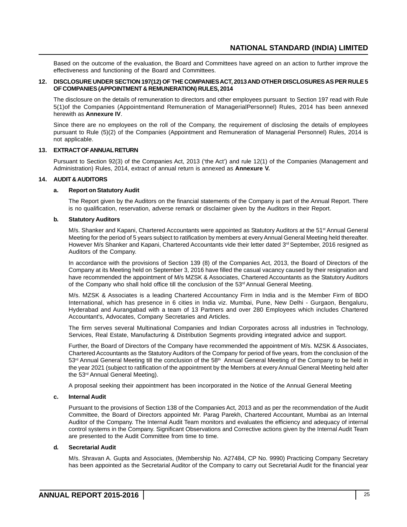Based on the outcome of the evaluation, the Board and Committees have agreed on an action to further improve the effectiveness and functioning of the Board and Committees.

#### **12. DISCLOSURE UNDER SECTION 197(12) OF THE COMPANIES ACT, 2013 AND OTHER DISCLOSURES AS PER RULE 5 OF COMPANIES (APPOINTMENT & REMUNERATION) RULES, 2014**

The disclosure on the details of remuneration to directors and other employees pursuant to Section 197 read with Rule 5(1)of the Companies (Appointmentand Remuneration of ManagerialPersonnel) Rules, 2014 has been annexed herewith as **Annexure IV**.

Since there are no employees on the roll of the Company, the requirement of disclosing the details of employees pursuant to Rule (5)(2) of the Companies (Appointment and Remuneration of Managerial Personnel) Rules, 2014 is not applicable.

#### **13. EXTRACT OF ANNUAL RETURN**

Pursuant to Section 92(3) of the Companies Act, 2013 ('the Act') and rule 12(1) of the Companies (Management and Administration) Rules, 2014, extract of annual return is annexed as **Annexure V.**

#### **14. AUDIT & AUDITORS**

#### **a. Report on Statutory Audit**

The Report given by the Auditors on the financial statements of the Company is part of the Annual Report. There is no qualification, reservation, adverse remark or disclaimer given by the Auditors in their Report.

#### **b. Statutory Auditors**

M/s. Shanker and Kapani, Chartered Accountants were appointed as Statutory Auditors at the 51<sup>st</sup> Annual General Meeting for the period of 5 years subject to ratification by members at every Annual General Meeting held thereafter. However M/s Shanker and Kapani, Chartered Accountants vide their letter dated 3<sup>rd</sup> September, 2016 resigned as Auditors of the Company.

In accordance with the provisions of Section 139 (8) of the Companies Act, 2013, the Board of Directors of the Company at its Meeting held on September 3, 2016 have filled the casual vacancy caused by their resignation and have recommended the appointment of M/s MZSK & Associates, Chartered Accountants as the Statutory Auditors of the Company who shall hold office till the conclusion of the  $53<sup>rd</sup>$  Annual General Meeting.

M/s. MZSK & Associates is a leading Chartered Accountancy Firm in India and is the Member Firm of BDO International, which has presence in 6 cities in India viz. Mumbai, Pune, New Delhi - Gurgaon, Bengaluru, Hyderabad and Aurangabad with a team of 13 Partners and over 280 Employees which includes Chartered Accountant's, Advocates, Company Secretaries and Articles.

The firm serves several Multinational Companies and Indian Corporates across all industries in Technology, Services, Real Estate, Manufacturing & Distribution Segments providing integrated advice and support.

Further, the Board of Directors of the Company have recommended the appointment of M/s. MZSK & Associates, Chartered Accountants as the Statutory Auditors of the Company for period of five years, from the conclusion of the 53<sup>rd</sup> Annual General Meeting till the conclusion of the 58<sup>th</sup> Annual General Meeting of the Company to be held in the year 2021 (subject to ratification of the appointment by the Members at every Annual General Meeting held after the 53<sup>rd</sup> Annual General Meeting).

A proposal seeking their appointment has been incorporated in the Notice of the Annual General Meeting

#### **c. Internal Audit**

Pursuant to the provisions of Section 138 of the Companies Act, 2013 and as per the recommendation of the Audit Committee, the Board of Directors appointed Mr. Parag Parekh, Chartered Accountant, Mumbai as an Internal Auditor of the Company. The Internal Audit Team monitors and evaluates the efficiency and adequacy of internal control systems in the Company. Significant Observations and Corrective actions given by the Internal Audit Team are presented to the Audit Committee from time to time.

#### **d. Secretarial Audit**

M/s. Shravan A. Gupta and Associates, (Membership No. A27484, CP No. 9990) Practicing Company Secretary has been appointed as the Secretarial Auditor of the Company to carry out Secretarial Audit for the financial year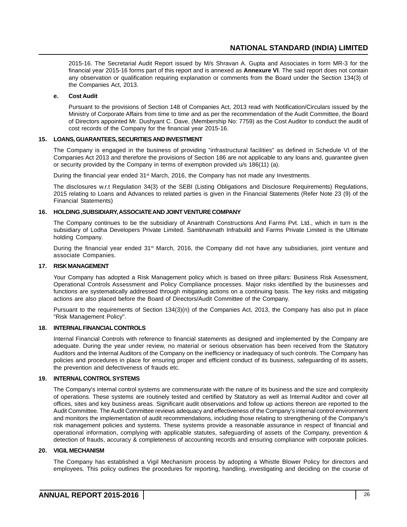2015-16. The Secretarial Audit Report issued by M/s Shravan A. Gupta and Associates in form MR-3 for the financial year 2015-16 forms part of this report and is annexed as **Annexure VI**. The said report does not contain any observation or qualification requiring explanation or comments from the Board under the Section 134(3) of the Companies Act, 2013.

#### **e. Cost Audit**

Pursuant to the provisions of Section 148 of Companies Act, 2013 read with Notification/Circulars issued by the Ministry of Corporate Affairs from time to time and as per the recommendation of the Audit Committee, the Board of Directors appointed Mr. Dushyant C. Dave, (Membership No: 7759) as the Cost Auditor to conduct the audit of cost records of the Company for the financial year 2015-16.

#### **15. LOANS, GUARANTEES, SECURITIES AND INVESTMENT**

The Company is engaged in the business of providing "infrastructural facilities" as defined in Schedule VI of the Companies Act 2013 and therefore the provisions of Section 186 are not applicable to any loans and, guarantee given or security provided by the Company in terms of exemption provided u/s 186(11) (a).

During the financial year ended  $31<sup>st</sup>$  March, 2016, the Company has not made any Investments.

The disclosures w.r.t Regulation 34(3) of the SEBI (Listing Obligations and Disclosure Requirements) Regulations, 2015 relating to Loans and Advances to related parties is given in the Financial Statements (Refer Note 23 (9) of the Financial Statements)

#### **16. HOLDING ,SUBSIDIARY, ASSOCIATE AND JOINT VENTURE COMPANY**

The Company continues to be the subsidiary of Anantnath Constructions And Farms Pvt. Ltd., which in turn is the subsidiary of Lodha Developers Private Limited. Sambhavnath Infrabuild and Farms Private Limited is the Ultimate holding Company.

During the financial year ended 31<sup>st</sup> March, 2016, the Company did not have any subsidiaries, joint venture and associate Companies.

#### **17. RISK MANAGEMENT**

Your Company has adopted a Risk Management policy which is based on three pillars: Business Risk Assessment, Operational Controls Assessment and Policy Compliance processes. Major risks identified by the businesses and functions are systematically addressed through mitigating actions on a continuing basis. The key risks and mitigating actions are also placed before the Board of Directors/Audit Committee of the Company.

Pursuant to the requirements of Section 134(3)(n) of the Companies Act, 2013, the Company has also put in place "Risk Management Policy".

#### **18. INTERNAL FINANCIAL CONTROLS**

Internal Financial Controls with reference to financial statements as designed and implemented by the Company are adequate. During the year under review, no material or serious observation has been received from the Statutory Auditors and the Internal Auditors of the Company on the inefficiency or inadequacy of such controls. The Company has policies and procedures in place for ensuring proper and efficient conduct of its business, safeguarding of its assets, the prevention and defectiveness of frauds etc.

#### **19. INTERNAL CONTROL SYSTEMS**

The Company's internal control systems are commensurate with the nature of its business and the size and complexity of operations. These systems are routinely tested and certified by Statutory as well as Internal Auditor and cover all offices, sites and key business areas. Significant audit observations and follow up actions thereon are reported to the Audit Committee. The Audit Committee reviews adequacy and effectiveness of the Company's internal control environment and monitors the implementation of audit recommendations, including those relating to strengthening of the Company's risk management policies and systems. These systems provide a reasonable assurance in respect of financial and operational information, complying with applicable statutes, safeguarding of assets of the Company, prevention & detection of frauds, accuracy & completeness of accounting records and ensuring compliance with corporate policies.

#### **20. VIGIL MECHANISM**

The Company has established a Vigil Mechanism process by adopting a Whistle Blower Policy for directors and employees. This policy outlines the procedures for reporting, handling, investigating and deciding on the course of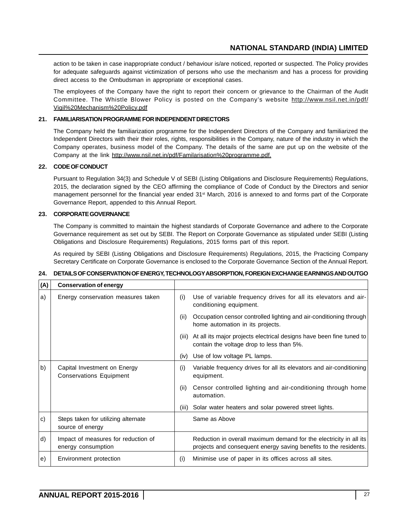action to be taken in case inappropriate conduct / behaviour is/are noticed, reported or suspected. The Policy provides for adequate safeguards against victimization of persons who use the mechanism and has a process for providing direct access to the Ombudsman in appropriate or exceptional cases.

The employees of the Company have the right to report their concern or grievance to the Chairman of the Audit Committee. The Whistle Blower Policy is posted on the Company's website http://www.nsil.net.in/pdf/ Vigil%20Mechanism%20Policy.pdf

#### **21. FAMILIARISATION PROGRAMME FOR INDEPENDENT DIRECTORS**

The Company held the familiarization programme for the Independent Directors of the Company and familiarized the Independent Directors with their their roles, rights, responsibilities in the Company, nature of the industry in which the Company operates, business model of the Company. The details of the same are put up on the website of the Company at the link http://www.nsil.net.in/pdf/Familarisation%20programme.pdf.

#### **22. CODE OF CONDUCT**

Pursuant to Regulation 34(3) and Schedule V of SEBI (Listing Obligations and Disclosure Requirements) Regulations, 2015, the declaration signed by the CEO affirming the compliance of Code of Conduct by the Directors and senior management personnel for the financial year ended 31<sup>st</sup> March, 2016 is annexed to and forms part of the Corporate Governance Report, appended to this Annual Report.

#### **23. CORPORATE GOVERNANCE**

The Company is committed to maintain the highest standards of Corporate Governance and adhere to the Corporate Governance requirement as set out by SEBI. The Report on Corporate Governance as stipulated under SEBI (Listing Obligations and Disclosure Requirements) Regulations, 2015 forms part of this report.

As required by SEBI (Listing Obligations and Disclosure Requirements) Regulations, 2015, the Practicing Company Secretary Certificate on Corporate Governance is enclosed to the Corporate Governance Section of the Annual Report.

#### **24. DETAILS OF CONSERVATION OF ENERGY, TECHNOLOGY ABSORPTION, FOREIGN EXCHANGE EARNINGS AND OUTGO**

| (A) | <b>Conservation of energy</b>                                  |       |                                                                                                                                        |
|-----|----------------------------------------------------------------|-------|----------------------------------------------------------------------------------------------------------------------------------------|
| a)  | Energy conservation measures taken                             | (i)   | Use of variable frequency drives for all its elevators and air-<br>conditioning equipment.                                             |
|     |                                                                | (ii)  | Occupation censor controlled lighting and air-conditioning through<br>home automation in its projects.                                 |
|     |                                                                |       | (iii) At all its major projects electrical designs have been fine tuned to<br>contain the voltage drop to less than 5%.                |
|     |                                                                | (iv)  | Use of low voltage PL lamps.                                                                                                           |
| b)  | Capital Investment on Energy<br><b>Conservations Equipment</b> | (i)   | Variable frequency drives for all its elevators and air-conditioning<br>equipment.                                                     |
|     |                                                                | (ii)  | Censor controlled lighting and air-conditioning through home<br>automation.                                                            |
|     |                                                                | (iii) | Solar water heaters and solar powered street lights.                                                                                   |
| C)  | Steps taken for utilizing alternate<br>source of energy        |       | Same as Above                                                                                                                          |
| d)  | Impact of measures for reduction of<br>energy consumption      |       | Reduction in overall maximum demand for the electricity in all its<br>projects and consequent energy saving benefits to the residents. |
| e)  | Environment protection                                         | (i)   | Minimise use of paper in its offices across all sites.                                                                                 |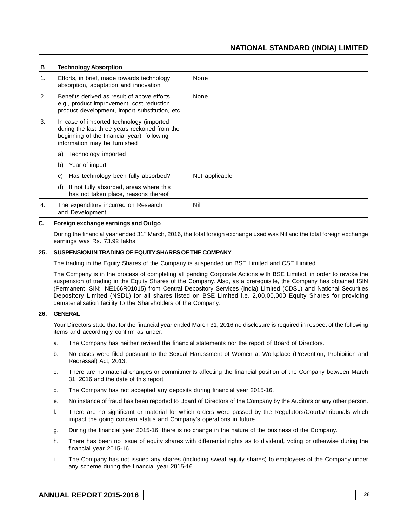| В  | <b>Technology Absorption</b>                                                                                                                                             |                |
|----|--------------------------------------------------------------------------------------------------------------------------------------------------------------------------|----------------|
| 1. | Efforts, in brief, made towards technology<br>absorption, adaptation and innovation                                                                                      | None           |
| 2. | Benefits derived as result of above efforts,<br>e.g., product improvement, cost reduction,<br>product development, import substitution, etc.                             | None           |
| 3. | In case of imported technology (imported<br>during the last three years reckoned from the<br>beginning of the financial year), following<br>information may be furnished |                |
|    | Technology imported<br>a)                                                                                                                                                |                |
|    | Year of import<br>b)                                                                                                                                                     |                |
|    | Has technology been fully absorbed?<br>C)                                                                                                                                | Not applicable |
|    | If not fully absorbed, areas where this<br>d)<br>has not taken place, reasons thereof                                                                                    |                |
| 4. | The expenditure incurred on Research<br>and Development                                                                                                                  | Nil            |

#### **C. Foreign exchange earnings and Outgo**

During the financial year ended 31<sup>st</sup> March, 2016, the total foreign exchange used was Nil and the total foreign exchange earnings was Rs. 73.92 lakhs

#### **25. SUSPENSION IN TRADING OF EQUITY SHARES OF THE COMPANY**

The trading in the Equity Shares of the Company is suspended on BSE Limited and CSE Limited.

The Company is in the process of completing all pending Corporate Actions with BSE Limited, in order to revoke the suspension of trading in the Equity Shares of the Company. Also, as a prerequisite, the Company has obtained ISIN (Permanent ISIN: INE166R01015) from Central Depository Services (India) Limited (CDSL) and National Securities Depository Limited (NSDL) for all shares listed on BSE Limited i.e. 2,00,00,000 Equity Shares for providing dematerialisation facility to the Shareholders of the Company.

#### **26. GENERAL**

Your Directors state that for the financial year ended March 31, 2016 no disclosure is required in respect of the following items and accordingly confirm as under:

- a. The Company has neither revised the financial statements nor the report of Board of Directors.
- b. No cases were filed pursuant to the Sexual Harassment of Women at Workplace (Prevention, Prohibition and Redressal) Act, 2013.
- c. There are no material changes or commitments affecting the financial position of the Company between March 31, 2016 and the date of this report
- d. The Company has not accepted any deposits during financial year 2015-16.
- e. No instance of fraud has been reported to Board of Directors of the Company by the Auditors or any other person.
- f. There are no significant or material for which orders were passed by the Regulators/Courts/Tribunals which impact the going concern status and Company's operations in future.
- g. During the financial year 2015-16, there is no change in the nature of the business of the Company.
- h. There has been no Issue of equity shares with differential rights as to dividend, voting or otherwise during the financial year 2015-16
- i. The Company has not issued any shares (including sweat equity shares) to employees of the Company under any scheme during the financial year 2015-16.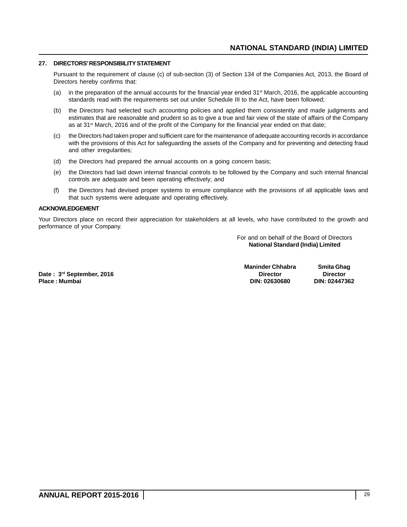#### **27. DIRECTORS' RESPONSIBILITY STATEMENT**

Pursuant to the requirement of clause (c) of sub-section (3) of Section 134 of the Companies Act, 2013, the Board of Directors hereby confirms that:

- (a) in the preparation of the annual accounts for the financial year ended  $31<sup>st</sup>$  March, 2016, the applicable accounting standards read with the requirements set out under Schedule III to the Act, have been followed;
- (b) the Directors had selected such accounting policies and applied them consistently and made judgments and estimates that are reasonable and prudent so as to give a true and fair view of the state of affairs of the Company as at 31st March, 2016 and of the profit of the Company for the financial year ended on that date;
- (c) the Directors had taken proper and sufficient care for the maintenance of adequate accounting records in accordance with the provisions of this Act for safeguarding the assets of the Company and for preventing and detecting fraud and other irregularities;
- (d) the Directors had prepared the annual accounts on a going concern basis;
- (e) the Directors had laid down internal financial controls to be followed by the Company and such internal financial controls are adequate and been operating effectively; and
- (f) the Directors had devised proper systems to ensure compliance with the provisions of all applicable laws and that such systems were adequate and operating effectively.

#### **ACKNOWLEDGEMENT**

Your Directors place on record their appreciation for stakeholders at all levels, who have contributed to the growth and performance of your Company.

> For and on behalf of the Board of Directors **National Standard (India) Limited**

**Date : 3<sup>rd</sup> September, 2016 Director Director Director Director Director Place : Mumbai DIN: 02630680 DIN: 02447362**

**Maninder Chhabra Smita Ghag**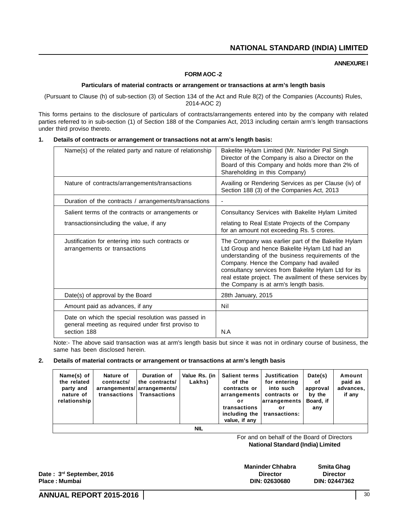#### **ANNEXURE l**

#### **FORM AOC -2**

#### **Particulars of material contracts or arrangement or transactions at arm's length basis**

(Pursuant to Clause (h) of sub-section (3) of Section 134 of the Act and Rule 8(2) of the Companies (Accounts) Rules, 2014-AOC 2)

This forms pertains to the disclosure of particulars of contracts/arrangements entered into by the company with related parties referred to in sub-section (1) of Section 188 of the Companies Act, 2013 including certain arm's length transactions under third proviso thereto.

#### **1. Details of contracts or arrangement or transactions not at arm's length basis:**

| Name(s) of the related party and nature of relationship                                                                 | Bakelite Hylam Limited (Mr. Narinder Pal Singh<br>Director of the Company is also a Director on the<br>Board of this Company and holds more than 2% of<br>Shareholding in this Company)                                                                                                                                                                        |
|-------------------------------------------------------------------------------------------------------------------------|----------------------------------------------------------------------------------------------------------------------------------------------------------------------------------------------------------------------------------------------------------------------------------------------------------------------------------------------------------------|
| Nature of contracts/arrangements/transactions                                                                           | Availing or Rendering Services as per Clause (iv) of<br>Section 188 (3) of the Companies Act, 2013                                                                                                                                                                                                                                                             |
| Duration of the contracts / arrangements/transactions                                                                   |                                                                                                                                                                                                                                                                                                                                                                |
| Salient terms of the contracts or arrangements or                                                                       | Consultancy Services with Bakelite Hylam Limited                                                                                                                                                                                                                                                                                                               |
| transactionsincluding the value, if any                                                                                 | relating to Real Estate Projects of the Company<br>for an amount not exceeding Rs. 5 crores.                                                                                                                                                                                                                                                                   |
| Justification for entering into such contracts or<br>arrangements or transactions                                       | The Company was earlier part of the Bakelite Hylam<br>Ltd Group and hence Bakelite Hylam Ltd had an<br>understanding of the business requirements of the<br>Company. Hence the Company had availed<br>consultancy services from Bakelite Hylam Ltd for its<br>real estate project. The availment of these services by<br>the Company is at arm's length basis. |
| Date(s) of approval by the Board                                                                                        | 28th January, 2015                                                                                                                                                                                                                                                                                                                                             |
| Amount paid as advances, if any                                                                                         | Nil                                                                                                                                                                                                                                                                                                                                                            |
| Date on which the special resolution was passed in<br>general meeting as required under first proviso to<br>section 188 | N.A                                                                                                                                                                                                                                                                                                                                                            |

Note:- The above said transaction was at arm's length basis but since it was not in ordinary course of business, the same has been disclosed herein.

#### **2. Details of material contracts or arrangement or transactions at arm's length basis**

| Name(s) of<br>the related<br>party and<br>nature of<br>relationship | Nature of<br>contracts/<br>transactions $\vert$ | Duration of<br>the contracts/<br>arrangements/ arrangements/<br>Transactions | Value Rs. (in<br>Lakhs) | <b>Salient terms</b><br>of the<br>contracts or<br>arrangements<br>or<br>transactions<br>including the<br>value, if any | <b>Justification</b><br>for entering<br>into such<br>contracts or<br>arrangements<br>or<br>transactions: | Date(s)<br>οf<br>approval<br>by the<br>Board, if<br>any | Amount<br>paid as<br>advances,<br>if any |
|---------------------------------------------------------------------|-------------------------------------------------|------------------------------------------------------------------------------|-------------------------|------------------------------------------------------------------------------------------------------------------------|----------------------------------------------------------------------------------------------------------|---------------------------------------------------------|------------------------------------------|
| <b>NIL</b>                                                          |                                                 |                                                                              |                         |                                                                                                                        |                                                                                                          |                                                         |                                          |

For and on behalf of the Board of Directors **National Standard (India) Limited**

**Maninder Chhabra Smita Ghag Date : 3rd September, 2016 Director Director Place : Mumbai DIN: 02630680 DIN: 02447362**

**ANNUAL REPORT 2015-2016**  $\begin{array}{|c|c|c|c|c|}\n\hline\n\textbf{30} & \textbf{30} \\
\hline\n\textbf{50} & \textbf{30} \\
\hline\n\textbf{60} & \textbf{30} \\
\hline\n\textbf{70} & \textbf{100} \\
\hline\n\textbf{81} & \textbf{100} \\
\hline\n\textbf{92} & \textbf{100} \\
\hline\n\textbf{100} & \textbf{100} \\
\hline\n\textbf{11} & \textbf{100} \\
\hline\n\textbf{120$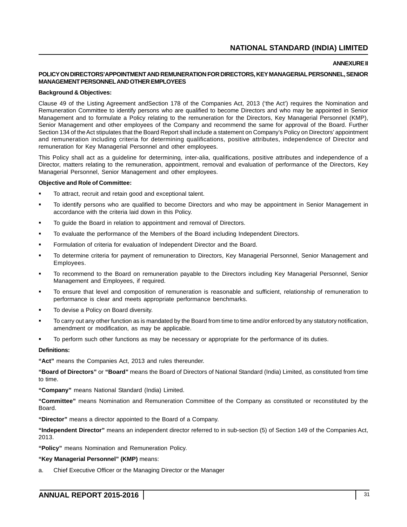#### **ANNEXURE II**

#### **POLICY ON DIRECTORS'APPOINTMENT AND REMUNERATION FOR DIRECTORS, KEY MANAGERIAL PERSONNEL, SENIOR MANAGEMENT PERSONNEL AND OTHER EMPLOYEES**

#### **Background & Objectives:**

Clause 49 of the Listing Agreement andSection 178 of the Companies Act, 2013 ('the Act') requires the Nomination and Remuneration Committee to identify persons who are qualified to become Directors and who may be appointed in Senior Management and to formulate a Policy relating to the remuneration for the Directors, Key Managerial Personnel (KMP), Senior Management and other employees of the Company and recommend the same for approval of the Board. Further Section 134 of the Act stipulates that the Board Report shall include a statement on Company's Policy on Directors' appointment and remuneration including criteria for determining qualifications, positive attributes, independence of Director and remuneration for Key Managerial Personnel and other employees.

This Policy shall act as a guideline for determining, inter-alia, qualifications, positive attributes and independence of a Director, matters relating to the remuneration, appointment, removal and evaluation of performance of the Directors, Key Managerial Personnel, Senior Management and other employees.

#### **Objective and Role of Committee:**

- To attract, recruit and retain good and exceptional talent.
- To identify persons who are qualified to become Directors and who may be appointment in Senior Management in accordance with the criteria laid down in this Policy.
- To guide the Board in relation to appointment and removal of Directors.
- To evaluate the performance of the Members of the Board including Independent Directors.
- Formulation of criteria for evaluation of Independent Director and the Board.
- To determine criteria for payment of remuneration to Directors, Key Managerial Personnel, Senior Management and Employees.
- To recommend to the Board on remuneration payable to the Directors including Key Managerial Personnel, Senior Management and Employees, if required.
- To ensure that level and composition of remuneration is reasonable and sufficient, relationship of remuneration to performance is clear and meets appropriate performance benchmarks.
- To devise a Policy on Board diversity.
- To carry out any other function as is mandated by the Board from time to time and/or enforced by any statutory notification, amendment or modification, as may be applicable.
- To perform such other functions as may be necessary or appropriate for the performance of its duties.

#### **Definitions:**

**"Act"** means the Companies Act, 2013 and rules thereunder.

**"Board of Directors"** or **"Board"** means the Board of Directors of National Standard (India) Limited, as constituted from time to time.

**"Company"** means National Standard (India) Limited.

**"Committee"** means Nomination and Remuneration Committee of the Company as constituted or reconstituted by the Board.

**"Director"** means a director appointed to the Board of a Company.

**"Independent Director"** means an independent director referred to in sub-section (5) of Section 149 of the Companies Act, 2013.

**"Policy"** means Nomination and Remuneration Policy.

#### **"Key Managerial Personnel" (KMP)** means:

a. Chief Executive Officer or the Managing Director or the Manager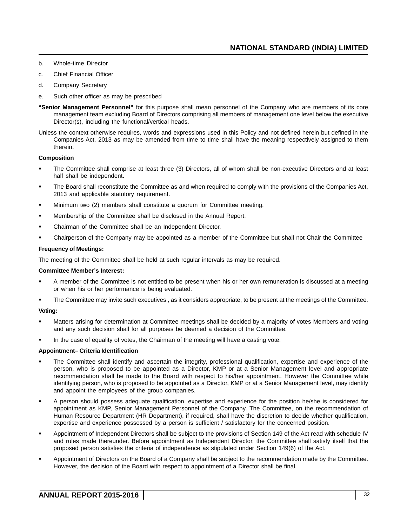- b. Whole-time Director
- c. Chief Financial Officer
- d. Company Secretary
- e. Such other officer as may be prescribed
- **"Senior Management Personnel"** for this purpose shall mean personnel of the Company who are members of its core management team excluding Board of Directors comprising all members of management one level below the executive Director(s), including the functional/vertical heads.
- Unless the context otherwise requires, words and expressions used in this Policy and not defined herein but defined in the Companies Act, 2013 as may be amended from time to time shall have the meaning respectively assigned to them therein.

#### **Composition**

- The Committee shall comprise at least three (3) Directors, all of whom shall be non-executive Directors and at least half shall be independent.
- The Board shall reconstitute the Committee as and when required to comply with the provisions of the Companies Act, 2013 and applicable statutory requirement.
- Minimum two (2) members shall constitute a quorum for Committee meeting.
- Membership of the Committee shall be disclosed in the Annual Report.
- Chairman of the Committee shall be an Independent Director.
- Chairperson of the Company may be appointed as a member of the Committee but shall not Chair the Committee

#### **Frequency of Meetings:**

The meeting of the Committee shall be held at such regular intervals as may be required.

#### **Committee Member's Interest:**

- A member of the Committee is not entitled to be present when his or her own remuneration is discussed at a meeting or when his or her performance is being evaluated.
- The Committee may invite such executives , as it considers appropriate, to be present at the meetings of the Committee.

#### **Voting:**

- Matters arising for determination at Committee meetings shall be decided by a majority of votes Members and voting and any such decision shall for all purposes be deemed a decision of the Committee.
- In the case of equality of votes, the Chairman of the meeting will have a casting vote.

#### **Appointment– Criteria Identification**

- The Committee shall identify and ascertain the integrity, professional qualification, expertise and experience of the person, who is proposed to be appointed as a Director, KMP or at a Senior Management level and appropriate recommendation shall be made to the Board with respect to his/her appointment. However the Committee while identifying person, who is proposed to be appointed as a Director, KMP or at a Senior Management level, may identify and appoint the employees of the group companies.
- A person should possess adequate qualification, expertise and experience for the position he/she is considered for appointment as KMP, Senior Management Personnel of the Company. The Committee, on the recommendation of Human Resource Department (HR Department), if required, shall have the discretion to decide whether qualification, expertise and experience possessed by a person is sufficient / satisfactory for the concerned position.
- Appointment of Independent Directors shall be subject to the provisions of Section 149 of the Act read with schedule IV and rules made thereunder. Before appointment as Independent Director, the Committee shall satisfy itself that the proposed person satisfies the criteria of independence as stipulated under Section 149(6) of the Act.
- Appointment of Directors on the Board of a Company shall be subject to the recommendation made by the Committee. However, the decision of the Board with respect to appointment of a Director shall be final.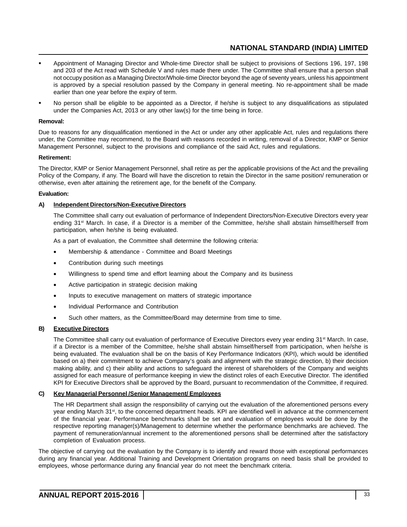- Appointment of Managing Director and Whole-time Director shall be subject to provisions of Sections 196, 197, 198 and 203 of the Act read with Schedule V and rules made there under. The Committee shall ensure that a person shall not occupy position as a Managing Director/Whole-time Director beyond the age of seventy years, unless his appointment is approved by a special resolution passed by the Company in general meeting. No re-appointment shall be made earlier than one year before the expiry of term.
- No person shall be eligible to be appointed as a Director, if he/she is subject to any disqualifications as stipulated under the Companies Act, 2013 or any other law(s) for the time being in force.

#### **Removal:**

Due to reasons for any disqualification mentioned in the Act or under any other applicable Act, rules and regulations there under, the Committee may recommend, to the Board with reasons recorded in writing, removal of a Director, KMP or Senior Management Personnel, subject to the provisions and compliance of the said Act, rules and regulations.

#### **Retirement:**

The Director, KMP or Senior Management Personnel, shall retire as per the applicable provisions of the Act and the prevailing Policy of the Company, if any. The Board will have the discretion to retain the Director in the same position/ remuneration or otherwise, even after attaining the retirement age, for the benefit of the Company.

#### **Evaluation:**

#### **A) Independent Directors/Non-Executive Directors**

The Committee shall carry out evaluation of performance of Independent Directors/Non-Executive Directors every year ending 31<sup>st</sup> March. In case, if a Director is a member of the Committee, he/she shall abstain himself/herself from participation, when he/she is being evaluated.

As a part of evaluation, the Committee shall determine the following criteria:

- Membership & attendance Committee and Board Meetings
- Contribution during such meetings
- Willingness to spend time and effort learning about the Company and its business
- Active participation in strategic decision making
- Inputs to executive management on matters of strategic importance
- Individual Performance and Contribution
- Such other matters, as the Committee/Board may determine from time to time.

#### **B) Executive Directors**

The Committee shall carry out evaluation of performance of Executive Directors every year ending 31<sup>st</sup> March. In case, if a Director is a member of the Committee, he/she shall abstain himself/herself from participation, when he/she is being evaluated. The evaluation shall be on the basis of Key Performance Indicators (KPI), which would be identified based on a) their commitment to achieve Company's goals and alignment with the strategic direction, b) their decision making ability, and c) their ability and actions to safeguard the interest of shareholders of the Company and weights assigned for each measure of performance keeping in view the distinct roles of each Executive Director. The identified KPI for Executive Directors shall be approved by the Board, pursuant to recommendation of the Committee, if required.

#### **C) Key Managerial Personnel /Senior Management/ Employees**

The HR Department shall assign the responsibility of carrying out the evaluation of the aforementioned persons every year ending March 31st, to the concerned department heads. KPI are identified well in advance at the commencement of the financial year. Performance benchmarks shall be set and evaluation of employees would be done by the respective reporting manager(s)/Management to determine whether the performance benchmarks are achieved. The payment of remuneration/annual increment to the aforementioned persons shall be determined after the satisfactory completion of Evaluation process.

The objective of carrying out the evaluation by the Company is to identify and reward those with exceptional performances during any financial year. Additional Training and Development Orientation programs on need basis shall be provided to employees, whose performance during any financial year do not meet the benchmark criteria.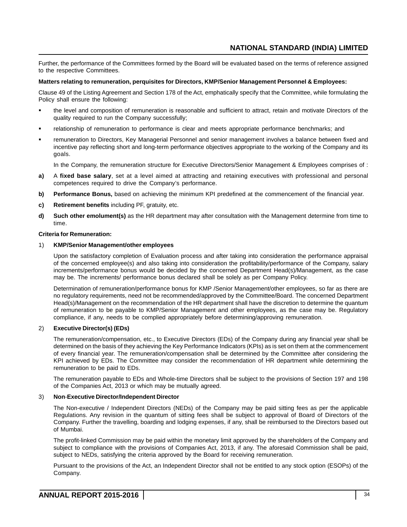Further, the performance of the Committees formed by the Board will be evaluated based on the terms of reference assigned to the respective Committees.

#### **Matters relating to remuneration, perquisites for Directors, KMP/Senior Management Personnel & Employees:**

Clause 49 of the Listing Agreement and Section 178 of the Act, emphatically specify that the Committee, while formulating the Policy shall ensure the following:

- the level and composition of remuneration is reasonable and sufficient to attract, retain and motivate Directors of the quality required to run the Company successfully;
- relationship of remuneration to performance is clear and meets appropriate performance benchmarks; and
- remuneration to Directors, Key Managerial Personnel and senior management involves a balance between fixed and incentive pay reflecting short and long-term performance objectives appropriate to the working of the Company and its goals.

In the Company, the remuneration structure for Executive Directors/Senior Management & Employees comprises of :

- **a)** A **fixed base salary**, set at a level aimed at attracting and retaining executives with professional and personal competences required to drive the Company's performance.
- **b)** Performance Bonus, based on achieving the minimum KPI predefined at the commencement of the financial year.
- **c) Retirement benefits** including PF, gratuity, etc.
- **d) Such other emolument(s)** as the HR department may after consultation with the Management determine from time to time.

#### **Criteria for Remuneration:**

#### 1) **KMP/Senior Management/other employees**

Upon the satisfactory completion of Evaluation process and after taking into consideration the performance appraisal of the concerned employee(s) and also taking into consideration the profitability/performance of the Company, salary increments/performance bonus would be decided by the concerned Department Head(s)/Management, as the case may be. The increments/ performance bonus declared shall be solely as per Company Policy.

Determination of remuneration/performance bonus for KMP /Senior Management/other employees, so far as there are no regulatory requirements, need not be recommended/approved by the Committee/Board. The concerned Department Head(s)/Management on the recommendation of the HR department shall have the discretion to determine the quantum of remuneration to be payable to KMP/Senior Management and other employees, as the case may be. Regulatory compliance, if any, needs to be complied appropriately before determining/approving remuneration.

#### 2) **Executive Director(s) (EDs)**

The remuneration/compensation, etc., to Executive Directors (EDs) of the Company during any financial year shall be determined on the basis of they achieving the Key Performance Indicators (KPIs) as is set on them at the commencement of every financial year. The remuneration/compensation shall be determined by the Committee after considering the KPI achieved by EDs. The Committee may consider the recommendation of HR department while determining the remuneration to be paid to EDs.

The remuneration payable to EDs and Whole-time Directors shall be subject to the provisions of Section 197 and 198 of the Companies Act, 2013 or which may be mutually agreed.

#### 3) **Non**-**Executive Director/Independent Director**

The Non-executive / Independent Directors (NEDs) of the Company may be paid sitting fees as per the applicable Regulations. Any revision in the quantum of sitting fees shall be subject to approval of Board of Directors of the Company. Further the travelling, boarding and lodging expenses, if any, shall be reimbursed to the Directors based out of Mumbai.

The profit-linked Commission may be paid within the monetary limit approved by the shareholders of the Company and subject to compliance with the provisions of Companies Act, 2013, if any. The aforesaid Commission shall be paid, subject to NEDs, satisfying the criteria approved by the Board for receiving remuneration.

Pursuant to the provisions of the Act, an Independent Director shall not be entitled to any stock option (ESOPs) of the Company.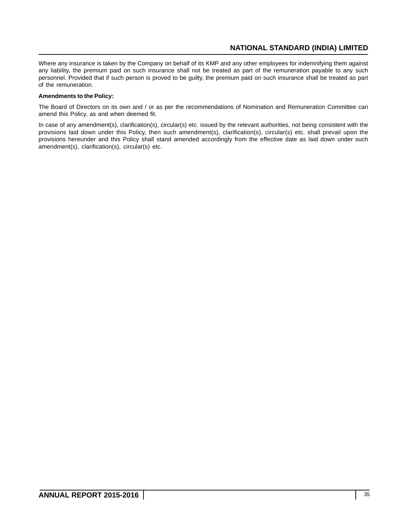Where any insurance is taken by the Company on behalf of its KMP and any other employees for indemnifying them against any liability, the premium paid on such insurance shall not be treated as part of the remuneration payable to any such personnel. Provided that if such person is proved to be guilty, the premium paid on such insurance shall be treated as part of the remuneration.

#### **Amendments to the Policy:**

The Board of Directors on its own and / or as per the recommendations of Nomination and Remuneration Committee can amend this Policy, as and when deemed fit.

In case of any amendment(s), clarification(s), circular(s) etc. issued by the relevant authorities, not being consistent with the provisions laid down under this Policy, then such amendment(s), clarification(s), circular(s) etc. shall prevail upon the provisions hereunder and this Policy shall stand amended accordingly from the effective date as laid down under such amendment(s), clarification(s), circular(s) etc.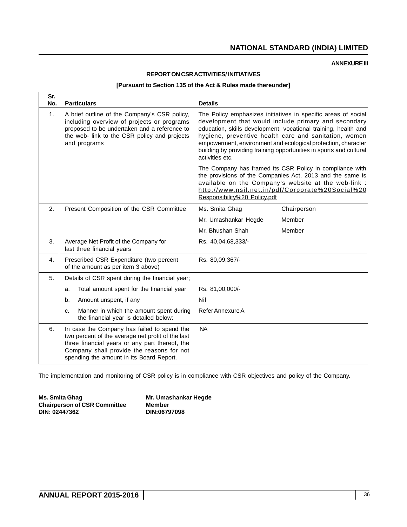# **ANNEXURE III**

# **REPORT ON CSR ACTIVITIES/ INITIATIVES**

| Sr.<br>No. | <b>Particulars</b>                                                                                                                                                                                                                          | <b>Details</b>                                                                                                                                                                                                                                                                                                                                                                                              |             |  |  |
|------------|---------------------------------------------------------------------------------------------------------------------------------------------------------------------------------------------------------------------------------------------|-------------------------------------------------------------------------------------------------------------------------------------------------------------------------------------------------------------------------------------------------------------------------------------------------------------------------------------------------------------------------------------------------------------|-------------|--|--|
| 1.         | A brief outline of the Company's CSR policy,<br>including overview of projects or programs<br>proposed to be undertaken and a reference to<br>the web- link to the CSR policy and projects<br>and programs                                  | The Policy emphasizes initiatives in specific areas of social<br>development that would include primary and secondary<br>education, skills development, vocational training, health and<br>hygiene, preventive health care and sanitation, women<br>empowerment, environment and ecological protection, character<br>building by providing training opportunities in sports and cultural<br>activities etc. |             |  |  |
|            |                                                                                                                                                                                                                                             | The Company has framed its CSR Policy in compliance with<br>the provisions of the Companies Act, 2013 and the same is<br>available on the Company's website at the web-link :<br>http://www.nsil.net.in/pdf/Corporate%20Social%20<br>Responsibility%20 Policy.pdf                                                                                                                                           |             |  |  |
| 2.         | Present Composition of the CSR Committee                                                                                                                                                                                                    | Ms. Smita Ghag                                                                                                                                                                                                                                                                                                                                                                                              | Chairperson |  |  |
|            |                                                                                                                                                                                                                                             | Mr. Umashankar Hegde                                                                                                                                                                                                                                                                                                                                                                                        | Member      |  |  |
|            |                                                                                                                                                                                                                                             | Mr. Bhushan Shah                                                                                                                                                                                                                                                                                                                                                                                            | Member      |  |  |
| 3.         | Average Net Profit of the Company for<br>last three financial years                                                                                                                                                                         | Rs. 40,04,68,333/-                                                                                                                                                                                                                                                                                                                                                                                          |             |  |  |
| 4.         | Prescribed CSR Expenditure (two percent<br>of the amount as per item 3 above)                                                                                                                                                               | Rs. 80,09,367/-                                                                                                                                                                                                                                                                                                                                                                                             |             |  |  |
| 5.         | Details of CSR spent during the financial year;                                                                                                                                                                                             |                                                                                                                                                                                                                                                                                                                                                                                                             |             |  |  |
|            | Total amount spent for the financial year<br>a.                                                                                                                                                                                             | Rs. 81,00,000/-                                                                                                                                                                                                                                                                                                                                                                                             |             |  |  |
|            | Amount unspent, if any<br>b.                                                                                                                                                                                                                | Nil                                                                                                                                                                                                                                                                                                                                                                                                         |             |  |  |
|            | Manner in which the amount spent during<br>C.<br>the financial year is detailed below:                                                                                                                                                      | Refer Annexure A                                                                                                                                                                                                                                                                                                                                                                                            |             |  |  |
| 6.         | In case the Company has failed to spend the<br>two percent of the average net profit of the last<br>three financial years or any part thereof, the<br>Company shall provide the reasons for not<br>spending the amount in its Board Report. | <b>NA</b>                                                                                                                                                                                                                                                                                                                                                                                                   |             |  |  |

## **[Pursuant to Section 135 of the Act & Rules made thereunder]**

The implementation and monitoring of CSR policy is in compliance with CSR objectives and policy of the Company.

**Ms. Smita Ghag Mr. Umashankar Hegde Chairperson of CSR Committee Member Chairperson of CSR Committee Member<br>DIN: 02447362 DIN:06797098 DIN: 02447362**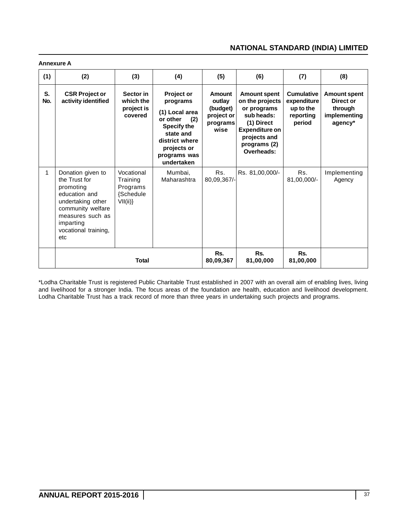# **Annexure A**

| (1)       | (2)                                                                                                                                                                        | (3)                                                        | (4)                                                                                                                                                           | (5)                                                            | (6)                                                                                                                                                      | (7)                                                                  | (8)                                                                    |
|-----------|----------------------------------------------------------------------------------------------------------------------------------------------------------------------------|------------------------------------------------------------|---------------------------------------------------------------------------------------------------------------------------------------------------------------|----------------------------------------------------------------|----------------------------------------------------------------------------------------------------------------------------------------------------------|----------------------------------------------------------------------|------------------------------------------------------------------------|
| S.<br>No. | <b>CSR Project or</b><br>activity identified                                                                                                                               | Sector in<br>which the<br>project is<br>covered            | Project or<br>programs<br>(1) Local area<br>or other<br>(2)<br><b>Specify the</b><br>state and<br>district where<br>projects or<br>programs was<br>undertaken | Amount<br>outlay<br>(budget)<br>project or<br>programs<br>wise | <b>Amount spent</b><br>on the projects<br>or programs<br>sub heads:<br>(1) Direct<br><b>Expenditure on</b><br>projects and<br>programs (2)<br>Overheads: | <b>Cumulative</b><br>expenditure<br>up to the<br>reporting<br>period | <b>Amount spent</b><br>Direct or<br>through<br>implementing<br>agency* |
| 1         | Donation given to<br>the Trust for<br>promoting<br>education and<br>undertaking other<br>community welfare<br>measures such as<br>imparting<br>vocational training,<br>etc | Vocational<br>Training<br>Programs<br>{Schedule<br>VII(ii) | Mumbai,<br>Maharashtra                                                                                                                                        | Rs.<br>80,09,367/-                                             | Rs. 81,00,000/-                                                                                                                                          | Rs.<br>81,00,000/-                                                   | Implementing<br>Agency                                                 |
|           |                                                                                                                                                                            | Rs.<br>80,09,367                                           | Rs.<br>81,00,000                                                                                                                                              | Rs.<br>81,00,000                                               |                                                                                                                                                          |                                                                      |                                                                        |

\*Lodha Charitable Trust is registered Public Charitable Trust established in 2007 with an overall aim of enabling lives, living and livelihood for a stronger India. The focus areas of the foundation are health, education and livelihood development. Lodha Charitable Trust has a track record of more than three years in undertaking such projects and programs.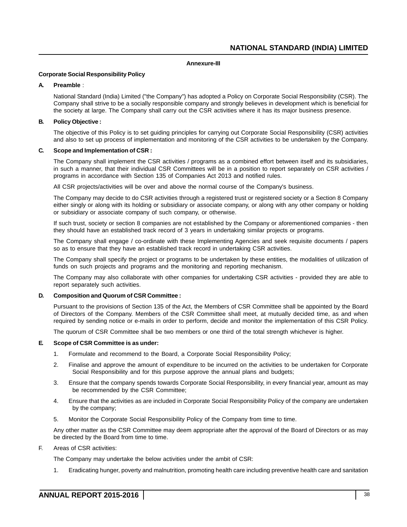## **Annexure-III**

## **Corporate Social Responsibility Policy**

## **A. Preamble** :

National Standard (India) Limited ("the Company") has adopted a Policy on Corporate Social Responsibility (CSR). The Company shall strive to be a socially responsible company and strongly believes in development which is beneficial for the society at large. The Company shall carry out the CSR activities where it has its major business presence.

## **B. Policy Objective :**

The objective of this Policy is to set guiding principles for carrying out Corporate Social Responsibility (CSR) activities and also to set up process of implementation and monitoring of the CSR activities to be undertaken by the Company.

## **C. Scope and Implementation of CSR :**

The Company shall implement the CSR activities / programs as a combined effort between itself and its subsidiaries, in such a manner, that their individual CSR Committees will be in a position to report separately on CSR activities / programs in accordance with Section 135 of Companies Act 2013 and notified rules.

All CSR projects/activities will be over and above the normal course of the Company's business.

The Company may decide to do CSR activities through a registered trust or registered society or a Section 8 Company either singly or along with its holding or subsidiary or associate company, or along with any other company or holding or subsidiary or associate company of such company, or otherwise.

If such trust, society or section 8 companies are not established by the Company or aforementioned companies - then they should have an established track record of 3 years in undertaking similar projects or programs.

The Company shall engage / co-ordinate with these Implementing Agencies and seek requisite documents / papers so as to ensure that they have an established track record in undertaking CSR activities.

The Company shall specify the project or programs to be undertaken by these entities, the modalities of utilization of funds on such projects and programs and the monitoring and reporting mechanism.

The Company may also collaborate with other companies for undertaking CSR activities - provided they are able to report separately such activities.

## **D. Composition and Quorum of CSR Committee :**

Pursuant to the provisions of Section 135 of the Act, the Members of CSR Committee shall be appointed by the Board of Directors of the Company. Members of the CSR Committee shall meet, at mutually decided time, as and when required by sending notice or e-mails in order to perform, decide and monitor the implementation of this CSR Policy.

The quorum of CSR Committee shall be two members or one third of the total strength whichever is higher.

## **E. Scope of CSR Committee is as under:**

- 1. Formulate and recommend to the Board, a Corporate Social Responsibility Policy;
- 2. Finalise and approve the amount of expenditure to be incurred on the activities to be undertaken for Corporate Social Responsibility and for this purpose approve the annual plans and budgets;
- 3. Ensure that the company spends towards Corporate Social Responsibility, in every financial year, amount as may be recommended by the CSR Committee;
- 4. Ensure that the activities as are included in Corporate Social Responsibility Policy of the company are undertaken by the company;
- 5. Monitor the Corporate Social Responsibility Policy of the Company from time to time.

Any other matter as the CSR Committee may deem appropriate after the approval of the Board of Directors or as may be directed by the Board from time to time.

F. Areas of CSR activities:

The Company may undertake the below activities under the ambit of CSR:

1. Eradicating hunger, poverty and malnutrition, promoting health care including preventive health care and sanitation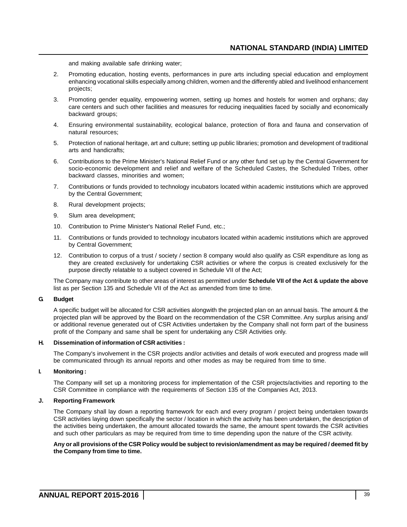and making available safe drinking water;

- 2. Promoting education, hosting events, performances in pure arts including special education and employment enhancing vocational skills especially among children, women and the differently abled and livelihood enhancement projects;
- 3. Promoting gender equality, empowering women, setting up homes and hostels for women and orphans; day care centers and such other facilities and measures for reducing inequalities faced by socially and economically backward groups;
- 4. Ensuring environmental sustainability, ecological balance, protection of flora and fauna and conservation of natural resources;
- 5. Protection of national heritage, art and culture; setting up public libraries; promotion and development of traditional arts and handicrafts;
- 6. Contributions to the Prime Minister's National Relief Fund or any other fund set up by the Central Government for socio-economic development and relief and welfare of the Scheduled Castes, the Scheduled Tribes, other backward classes, minorities and women;
- 7. Contributions or funds provided to technology incubators located within academic institutions which are approved by the Central Government;
- 8. Rural development projects;
- 9. Slum area development;
- 10. Contribution to Prime Minister's National Relief Fund, etc.;
- 11. Contributions or funds provided to technology incubators located within academic institutions which are approved by Central Government;
- 12. Contribution to corpus of a trust / society / section 8 company would also qualify as CSR expenditure as long as they are created exclusively for undertaking CSR activities or where the corpus is created exclusively for the purpose directly relatable to a subject covered in Schedule VII of the Act;

The Company may contribute to other areas of interest as permitted under **Schedule VII of the Act & update the above** list as per Section 135 and Schedule VII of the Act as amended from time to time.

## **G. Budget**

A specific budget will be allocated for CSR activities alongwith the projected plan on an annual basis. The amount & the projected plan will be approved by the Board on the recommendation of the CSR Committee. Any surplus arising and/ or additional revenue generated out of CSR Activities undertaken by the Company shall not form part of the business profit of the Company and same shall be spent for undertaking any CSR Activities only.

## **H. Dissemination of information of CSR activities :**

The Company's involvement in the CSR projects and/or activities and details of work executed and progress made will be communicated through its annual reports and other modes as may be required from time to time.

## **I. Monitoring :**

The Company will set up a monitoring process for implementation of the CSR projects/activities and reporting to the CSR Committee in compliance with the requirements of Section 135 of the Companies Act, 2013.

## **J. Reporting Framework**

The Company shall lay down a reporting framework for each and every program / project being undertaken towards CSR activities laying down specifically the sector / location in which the activity has been undertaken, the description of the activities being undertaken, the amount allocated towards the same, the amount spent towards the CSR activities and such other particulars as may be required from time to time depending upon the nature of the CSR activity.

#### **Any or all provisions of the CSR Policy would be subject to revision/amendment as may be required / deemed fit by the Company from time to time.**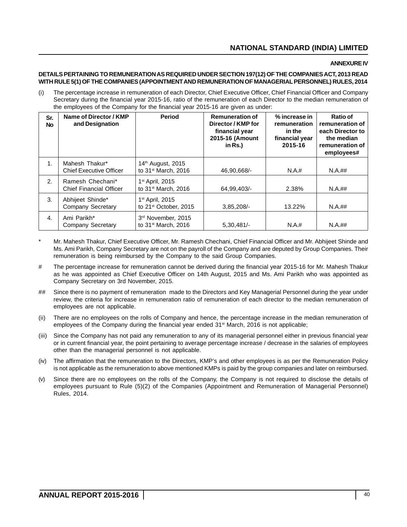# **ANNEXURE IV**

## **DETAILS PERTAINING TO REMUNERATION AS REQUIRED UNDER SECTION 197(12) OF THE COMPANIES ACT, 2013 READ WITH RULE 5(1) OF THE COMPANIES (APPOINTMENT AND REMUNERATION OF MANAGERIAL PERSONNEL) RULES, 2014**

(i) The percentage increase in remuneration of each Director, Chief Executive Officer, Chief Financial Officer and Company Secretary during the financial year 2015-16, ratio of the remuneration of each Director to the median remuneration of the employees of the Company for the financial year 2015-16 are given as under:

| Sr.<br><b>No</b> | Name of Director / KMP<br>and Designation          | <b>Period</b>                                          | <b>Remuneration of</b><br>Director / KMP for<br>financial year<br>2015-16 (Amount<br>in $Rs.$ ) | % increase in<br>remuneration<br>in the<br>financial year<br>2015-16 | Ratio of<br>remuneration of<br>each Director to<br>the median<br>remuneration of<br>employees# |
|------------------|----------------------------------------------------|--------------------------------------------------------|-------------------------------------------------------------------------------------------------|----------------------------------------------------------------------|------------------------------------------------------------------------------------------------|
| $\mathbf{1}$ .   | Mahesh Thakur*<br><b>Chief Executive Officer</b>   | 14 <sup>th</sup> August, 2015<br>to $31st$ March, 2016 | 46,90,668/-                                                                                     | N.A.t.                                                               | N.A. ##                                                                                        |
| 2.               | Ramesh Chechani*<br><b>Chief Financial Officer</b> | $1st$ April, 2015<br>to $31st$ March, 2016             | 64,99,403/-                                                                                     | 2.38%                                                                | N.A. ##                                                                                        |
| 3.               | Abhijeet Shinde*<br><b>Company Secretary</b>       | $1st$ April, 2015<br>to 21 <sup>st</sup> October, 2015 | $3,85,208/-$                                                                                    | 13.22%                                                               | N.A. ##                                                                                        |
| 4.               | Ami Parikh*<br><b>Company Secretary</b>            | 3rd November, 2015<br>to $31st$ March, 2016            | $5,30,481/-$                                                                                    | N.A.#                                                                | N.A. ##                                                                                        |

- Mr. Mahesh Thakur, Chief Executive Officer, Mr. Ramesh Chechani, Chief Financial Officer and Mr. Abhijeet Shinde and Ms. Ami Parikh, Company Secretary are not on the payroll of the Company and are deputed by Group Companies. Their remuneration is being reimbursed by the Company to the said Group Companies.
- # The percentage increase for remuneration cannot be derived during the financial year 2015-16 for Mr. Mahesh Thakur as he was appointed as Chief Executive Officer on 14th August, 2015 and Ms. Ami Parikh who was appointed as Company Secretary on 3rd November, 2015.
- ## Since there is no payment of remuneration made to the Directors and Key Managerial Personnel during the year under review, the criteria for increase in remuneration ratio of remuneration of each director to the median remuneration of employees are not applicable.
- (ii) There are no employees on the rolls of Company and hence, the percentage increase in the median remuneration of employees of the Company during the financial year ended 31<sup>st</sup> March, 2016 is not applicable;
- (iii) Since the Company has not paid any remuneration to any of its managerial personnel either in previous financial year or in current financial year, the point pertaining to average percentage increase / decrease in the salaries of employees other than the managerial personnel is not applicable.
- (iv) The affirmation that the remuneration to the Directors, KMP's and other employees is as per the Remuneration Policy is not applicable as the remuneration to above mentioned KMPs is paid by the group companies and later on reimbursed.
- (v) Since there are no employees on the rolls of the Company, the Company is not required to disclose the details of employees pursuant to Rule (5)(2) of the Companies (Appointment and Remuneration of Managerial Personnel) Rules, 2014.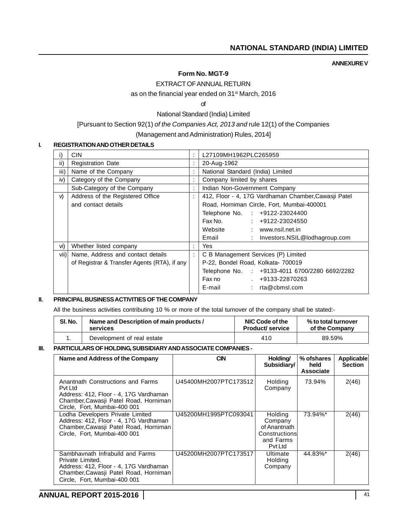# **ANNEXURE V**

# **Form No. MGT-9**

# EXTRACT OF ANNUAL RETURN

# as on the financial year ended on 31<sup>st</sup> March, 2016

of

National Standard (India) Limited

[Pursuant to Section 92(1) *of the Companies Act, 2013 and* rule 12(1) of the Companies

(Management and Administration) Rules, 2014]

# **I. REGISTRATION AND OTHER DETAILS**

|      | <b>CIN</b>                                   |         | L27109MH1962PLC265959                                                                                                                                                                                                                           |  |  |  |  |
|------|----------------------------------------------|---------|-------------------------------------------------------------------------------------------------------------------------------------------------------------------------------------------------------------------------------------------------|--|--|--|--|
| ii)  | <b>Registration Date</b>                     |         | 20-Aug-1962                                                                                                                                                                                                                                     |  |  |  |  |
| iii) | Name of the Company                          | ٠       | National Standard (India) Limited                                                                                                                                                                                                               |  |  |  |  |
| iv)  | Category of the Company                      | $\cdot$ | Company limited by shares                                                                                                                                                                                                                       |  |  |  |  |
|      | Sub-Category of the Company                  |         | Indian Non-Government Company                                                                                                                                                                                                                   |  |  |  |  |
| V)   | Address of the Registered Office             |         | 412, Floor - 4, 17G Vardhaman Chamber, Cawasji Patel                                                                                                                                                                                            |  |  |  |  |
|      | and contact details                          |         | Road, Horniman Circle, Fort, Mumbai-400001                                                                                                                                                                                                      |  |  |  |  |
|      |                                              |         | Telephone No. : +9122-23024400                                                                                                                                                                                                                  |  |  |  |  |
|      |                                              |         | Fax No. : +9122-23024550                                                                                                                                                                                                                        |  |  |  |  |
|      |                                              |         | : www.nsil.net.in<br>Website                                                                                                                                                                                                                    |  |  |  |  |
|      |                                              |         | Email<br>: Investors.NSIL@lodhagroup.com                                                                                                                                                                                                        |  |  |  |  |
| vi)  | Whether listed company                       | ٠       | Yes                                                                                                                                                                                                                                             |  |  |  |  |
| vii) | Name, Address and contact details            |         | C B Management Services (P) Limited                                                                                                                                                                                                             |  |  |  |  |
|      | of Registrar & Transfer Agents (RTA), if any |         | P-22, Bondel Road, Kolkata- 700019                                                                                                                                                                                                              |  |  |  |  |
|      |                                              |         | Telephone No. : +9133-4011 6700/2280 6692/2282                                                                                                                                                                                                  |  |  |  |  |
|      |                                              |         | Fax no contract the set of the set of the set of the set of the set of the set of the set of the set of the set of the set of the set of the set of the set of the set of the set of the set of the set of the set of the set<br>+9133-22870263 |  |  |  |  |
|      |                                              |         | E-mail <b>E</b><br>$:$ rta@cbmsl.com                                                                                                                                                                                                            |  |  |  |  |

# **II. PRINCIPAL BUSINESS ACTIVITIES OF THE COMPANY**

All the business activities contributing 10 % or more of the total turnover of the company shall be stated:-

| SI. No. | Name and Description of main products / | NIC Code of the        | % to total turnover |
|---------|-----------------------------------------|------------------------|---------------------|
|         | services                                | <b>Product/service</b> | of the Company      |
|         | Development of real estate              | 410                    | 89.59%              |

# **III. PARTICULARS OF HOLDING, SUBSIDIARY AND ASSOCIATE COMPANIES -**

| Name and Address of the Company                                                                                                                                         | <b>CIN</b>            | Holding/<br>Subsidiary/                                                     | % of shares<br>held<br>Associate | Applicable<br><b>Section</b> |
|-------------------------------------------------------------------------------------------------------------------------------------------------------------------------|-----------------------|-----------------------------------------------------------------------------|----------------------------------|------------------------------|
| Anantnath Constructions and Farms<br>Pvt Ltd<br>Address: 412, Floor - 4, 17G Vardhaman<br>Chamber, Cawasii Patel Road, Horniman<br>Circle, Fort, Mumbai-400 001         | U45400MH2007PTC173512 | Holding<br>Company                                                          | 73.94%                           | 2(46)                        |
| Lodha Developers Private Limited<br>Address: 412, Floor - 4, 17G Vardhaman<br>Chamber, Cawasii Patel Road, Horniman<br>Circle, Fort, Mumbai-400 001                     | U45200MH1995PTC093041 | Holding<br>Company<br>of Anantnath<br>Constructions<br>and Farms<br>Pvt Ltd | 73.94%*                          | 2(46)                        |
| Sambhavnath Infrabuild and Farms<br>Private Limited.<br>Address: 412, Floor - 4, 17G Vardhaman<br>Chamber, Cawasji Patel Road, Horniman<br>Circle, Fort, Mumbai-400 001 | U45200MH2007PTC173517 | Ultimate<br>Holding<br>Company                                              | 44.83%*                          | 2(46)                        |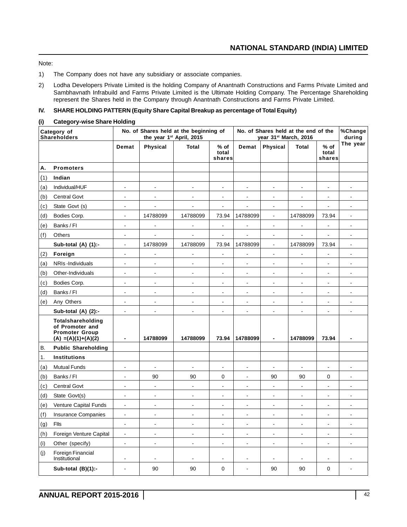Note:

- 1) The Company does not have any subsidiary or associate companies.
- 2) Lodha Developers Private Limited is the holding Company of Anantnath Constructions and Farms Private Limited and Sambhavnath Infrabuild and Farms Private Limited is the Ultimate Holding Company. The Percentage Shareholding represent the Shares held in the Company through Anantnath Constructions and Farms Private Limited.

## **IV. SHARE HOLDING PATTERN (Equity Share Capital Breakup as percentage of Total Equity)**

## **(i) Category-wise Share Holding**

| Category of<br><b>Shareholders</b> |                                                                                        |                          | No. of Shares held at the beginning of<br>the year 1st April, 2015 | No. of Shares held at the end of the<br>year 31 <sup>st</sup> March, 2016 |                           |                      |                              | %Change<br>during        |                          |                          |
|------------------------------------|----------------------------------------------------------------------------------------|--------------------------|--------------------------------------------------------------------|---------------------------------------------------------------------------|---------------------------|----------------------|------------------------------|--------------------------|--------------------------|--------------------------|
|                                    |                                                                                        | Demat                    | Physical                                                           | <b>Total</b>                                                              | $%$ of<br>total<br>shares | Demat                | Physical                     | <b>Total</b>             | % of<br>total<br>shares  | The year                 |
| Α.                                 | <b>Promoters</b>                                                                       |                          |                                                                    |                                                                           |                           |                      |                              |                          |                          |                          |
| (1)                                | Indian                                                                                 |                          |                                                                    |                                                                           |                           |                      |                              |                          |                          |                          |
| (a)                                | Individual/HUF                                                                         | $\blacksquare$           | $\blacksquare$                                                     | $\overline{\phantom{a}}$                                                  | $\blacksquare$            | $\blacksquare$       | $\blacksquare$               | $\blacksquare$           | $\blacksquare$           | $\blacksquare$           |
| (b)                                | Central Govt                                                                           | ä,                       | $\blacksquare$                                                     | $\blacksquare$                                                            | $\blacksquare$            | $\overline{a}$       | $\blacksquare$               | $\overline{\phantom{a}}$ | $\blacksquare$           | $\blacksquare$           |
| (c)                                | State Govt (s)                                                                         | $\overline{\phantom{a}}$ | $\blacksquare$                                                     | $\blacksquare$                                                            | $\overline{\phantom{a}}$  | $\ddot{\phantom{a}}$ | $\blacksquare$               | ÷,                       | $\overline{\phantom{a}}$ | $\blacksquare$           |
| (d)                                | Bodies Corp.                                                                           | $\blacksquare$           | 14788099                                                           | 14788099                                                                  | 73.94                     | 14788099             | $\blacksquare$               | 14788099                 | 73.94                    | $\blacksquare$           |
| (e)                                | Banks / FI                                                                             | $\blacksquare$           | $\overline{\phantom{a}}$                                           | $\overline{\phantom{a}}$                                                  | $\overline{\phantom{a}}$  | $\overline{a}$       | $\overline{\phantom{a}}$     | ۰                        | $\blacksquare$           | ۰                        |
| (f)                                | Others                                                                                 |                          | $\overline{a}$                                                     | $\overline{\phantom{a}}$                                                  |                           | ÷,                   | ÷,                           |                          |                          |                          |
|                                    | Sub-total (A) (1):-                                                                    | $\blacksquare$           | 14788099                                                           | 14788099                                                                  | 73.94                     | 14788099             | ÷,                           | 14788099                 | 73.94                    | $\blacksquare$           |
| (2)                                | Foreign                                                                                | $\blacksquare$           | $\blacksquare$                                                     | $\blacksquare$                                                            | $\blacksquare$            | $\mathbf{r}$         | $\blacksquare$               | $\blacksquare$           | $\blacksquare$           | $\blacksquare$           |
| (a)                                | NRIs-Individuals                                                                       | $\blacksquare$           | $\blacksquare$                                                     | $\blacksquare$                                                            | $\blacksquare$            | $\blacksquare$       | $\blacksquare$               | $\blacksquare$           | $\blacksquare$           | $\blacksquare$           |
| (b)                                | Other-Individuals                                                                      | $\overline{\phantom{a}}$ | $\blacksquare$                                                     | $\blacksquare$                                                            | $\blacksquare$            | $\blacksquare$       | $\blacksquare$               | $\blacksquare$           | $\blacksquare$           | ۰                        |
| (c)                                | Bodies Corp.                                                                           | $\blacksquare$           | $\blacksquare$                                                     | $\blacksquare$                                                            | $\blacksquare$            | $\blacksquare$       | $\blacksquare$               | $\blacksquare$           | $\blacksquare$           | $\overline{\phantom{a}}$ |
| (d)                                | Banks / Fl                                                                             | $\blacksquare$           | $\blacksquare$                                                     | $\blacksquare$                                                            | $\blacksquare$            | $\blacksquare$       | $\blacksquare$               | $\blacksquare$           | $\blacksquare$           | $\blacksquare$           |
| (e)                                | Any Others                                                                             | $\blacksquare$           | $\blacksquare$                                                     | $\blacksquare$                                                            | $\blacksquare$            | $\mathbf{r}$         | $\blacksquare$               | $\mathbf{r}$             | $\blacksquare$           | $\blacksquare$           |
|                                    | Sub-total (A) (2):-                                                                    | $\blacksquare$           | $\blacksquare$                                                     | $\blacksquare$                                                            | $\overline{\phantom{a}}$  | $\blacksquare$       | $\blacksquare$               | $\overline{\phantom{a}}$ | $\blacksquare$           | $\overline{\phantom{a}}$ |
|                                    | Totalshareholding<br>of Promoter and<br><b>Promoter Group</b><br>$(A) = (A)(1)+(A)(2)$ | $\blacksquare$           | 14788099                                                           | 14788099                                                                  | 73.94                     | 14788099             | $\overline{\phantom{a}}$     | 14788099                 | 73.94                    |                          |
| В.                                 | <b>Public Shareholding</b>                                                             |                          |                                                                    |                                                                           |                           |                      |                              |                          |                          |                          |
| 1.                                 | Institutions                                                                           |                          |                                                                    |                                                                           |                           |                      |                              |                          |                          |                          |
| (a)                                | <b>Mutual Funds</b>                                                                    | $\mathbf{r}$             | $\blacksquare$                                                     | $\blacksquare$                                                            | $\blacksquare$            | $\blacksquare$       | $\blacksquare$               | $\overline{\phantom{a}}$ | $\blacksquare$           | $\blacksquare$           |
| (b)                                | Banks / Fl                                                                             | $\blacksquare$           | 90                                                                 | 90                                                                        | 0                         | $\blacksquare$       | 90                           | 90                       | 0                        | $\blacksquare$           |
| (c)                                | Central Govt                                                                           | $\overline{\phantom{a}}$ | $\blacksquare$                                                     | $\blacksquare$                                                            | $\blacksquare$            | $\blacksquare$       | $\blacksquare$               | $\blacksquare$           | $\blacksquare$           | $\blacksquare$           |
| (d)                                | State Govt(s)                                                                          | $\blacksquare$           | $\blacksquare$                                                     | $\blacksquare$                                                            | $\blacksquare$            | $\blacksquare$       | $\blacksquare$               | $\blacksquare$           | $\blacksquare$           | $\blacksquare$           |
| (e)                                | Venture Capital Funds                                                                  | $\blacksquare$           | $\overline{\phantom{a}}$                                           | $\blacksquare$                                                            | $\blacksquare$            | $\blacksquare$       | $\qquad \qquad \blacksquare$ | $\blacksquare$           | $\blacksquare$           | $\blacksquare$           |
| (f)                                | Insurance Companies                                                                    | $\blacksquare$           | $\blacksquare$                                                     | $\blacksquare$                                                            | $\blacksquare$            | ÷,                   | ÷,                           | $\blacksquare$           | $\blacksquare$           | $\blacksquare$           |
| (g)                                | ${\sf Flls}$                                                                           | $\overline{\phantom{a}}$ |                                                                    |                                                                           |                           |                      |                              |                          |                          |                          |
| (h)                                | Foreign Venture Capital                                                                | $\blacksquare$           | $\blacksquare$                                                     | $\blacksquare$                                                            | $\blacksquare$            | $\blacksquare$       | $\blacksquare$               | $\blacksquare$           | $\blacksquare$           | $\overline{\phantom{a}}$ |
| (i)                                | Other (specify)                                                                        | $\blacksquare$           | $\blacksquare$                                                     | $\blacksquare$                                                            | $\blacksquare$            | $\blacksquare$       | $\overline{\phantom{a}}$     | $\blacksquare$           | $\blacksquare$           | $\blacksquare$           |
| (j)                                | Foreign Financial<br>Institutional                                                     | $\blacksquare$           | $\blacksquare$                                                     | $\blacksquare$                                                            | $\blacksquare$            | $\blacksquare$       | $\blacksquare$               | $\blacksquare$           | $\blacksquare$           | $\overline{\phantom{a}}$ |
|                                    | Sub-total (B)(1):-                                                                     | $\blacksquare$           | 90                                                                 | 90                                                                        | 0                         | $\blacksquare$       | 90                           | 90                       | $\mathbf 0$              | $\frac{1}{2}$            |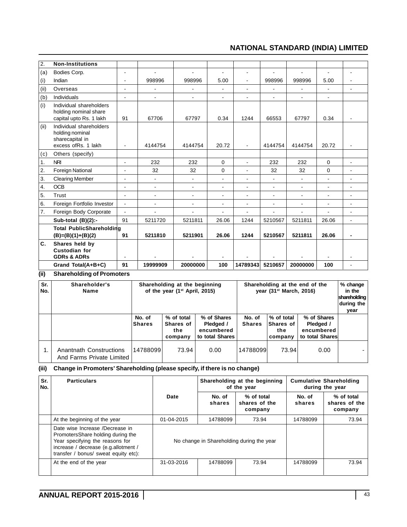| $\overline{2}$ . | <b>Non-Institutions</b>                                                              |                          |                          |                          |                |                |                |                |                |                |
|------------------|--------------------------------------------------------------------------------------|--------------------------|--------------------------|--------------------------|----------------|----------------|----------------|----------------|----------------|----------------|
| (a)              | Bodies Corp.                                                                         |                          |                          |                          |                |                |                |                |                |                |
| (i)              | Indian                                                                               |                          | 998996                   | 998996                   | 5.00           | $\blacksquare$ | 998996         | 998996         | 5.00           |                |
| (ii)             | Overseas                                                                             | ÷.                       | L.                       |                          | $\blacksquare$ | $\blacksquare$ | ÷,             |                | ÷,             | $\mathbf{r}$   |
| (b)              | Individuals                                                                          | $\overline{\phantom{a}}$ | $\blacksquare$           | ä,                       | $\blacksquare$ | $\blacksquare$ | ÷,             | $\blacksquare$ | $\blacksquare$ |                |
| (i)              | Individual shareholders<br>holding nominal share<br>capital upto Rs. 1 lakh          | 91                       | 67706                    | 67797                    | 0.34           | 1244           | 66553          | 67797          | 0.34           |                |
| (ii)             | Individual shareholders<br>holding nominal<br>sharecapital in<br>excess ofRs. 1 lakh | $\blacksquare$           | 4144754                  | 4144754                  | 20.72          | $\blacksquare$ | 4144754        | 4144754        | 20.72          | $\overline{a}$ |
| (c)              | Others (specify)                                                                     |                          |                          |                          |                |                |                |                |                |                |
| 1.               | <b>NRI</b>                                                                           | $\overline{\phantom{a}}$ | 232                      | 232                      | $\Omega$       | $\blacksquare$ | 232            | 232            | $\mathbf 0$    | $\sim$         |
| 2.               | Foreign National                                                                     |                          | 32                       | 32                       | 0              | ÷.             | 32             | 32             | $\mathbf 0$    | $\blacksquare$ |
| 3.               | <b>Clearing Member</b>                                                               |                          | $\overline{\phantom{a}}$ | ٠                        |                | $\overline{a}$ | $\overline{a}$ |                |                |                |
| 4.               | <b>OCB</b>                                                                           |                          | $\blacksquare$           | $\overline{\phantom{0}}$ | $\blacksquare$ | ÷              | ÷              | ۰              | $\blacksquare$ |                |
| 5.               | Trust                                                                                |                          | $\overline{\phantom{a}}$ | $\blacksquare$           | $\blacksquare$ | ÷              | $\blacksquare$ | $\blacksquare$ | $\blacksquare$ |                |
| 6.               | Foreign Fortfolio Investor                                                           | $\sim$                   | $\blacksquare$           | $\blacksquare$           | $\blacksquare$ | ä,             | $\blacksquare$ | $\blacksquare$ | $\mathbf{r}$   | ÷              |
| 7.               | Foreign Body Corporate                                                               |                          | $\overline{a}$           |                          | $\overline{a}$ | $\overline{a}$ | $\overline{a}$ | ٠              | $\overline{a}$ | $\overline{a}$ |
|                  | Sub-total $(B)(2)$ :-                                                                | 91                       | 5211720                  | 5211811                  | 26.06          | 1244           | 5210567        | 5211811        | 26.06          | $\blacksquare$ |
|                  | <b>Total PublicShareholding</b><br>$(B)=(B)(1)+(B)(2)$                               | 91                       | 5211810                  | 5211901                  | 26.06          | 1244           | 5210567        | 5211811        | 26.06          |                |
| C.               | Shares held by<br>Custodian for<br><b>GDRs &amp; ADRs</b>                            |                          |                          |                          |                |                |                |                |                |                |
|                  | Grand Total(A+B+C)<br>$\sim$ $\sim$ $\sim$                                           | 91                       | 19999909                 | 20000000                 | 100            | 14789343       | 5210657        | 20000000       | 100            | $\blacksquare$ |

**(ii) Shareholding of Promoters**

| Sr.<br>No. | Shareholder's<br>Name                                       |                         | Shareholding at the beginning<br>of the year (1 <sup>st</sup> April, 2015) |                                                           | Shareholding at the end of the<br>year (31 <sup>st</sup> March, 2016) |                                           |                                                           | % change<br>in the<br>shareholding<br>during the<br>year |
|------------|-------------------------------------------------------------|-------------------------|----------------------------------------------------------------------------|-----------------------------------------------------------|-----------------------------------------------------------------------|-------------------------------------------|-----------------------------------------------------------|----------------------------------------------------------|
|            |                                                             | No. of<br><b>Shares</b> | % of total<br>Shares of<br>the<br>company                                  | % of Shares<br>Pledged /<br>encumbered<br>to total Shares | No. of<br><b>Shares</b>                                               | % of total<br>Shares of<br>the<br>company | % of Shares<br>Pledged /<br>encumbered<br>to total Shares |                                                          |
|            | <b>Anantnath Constructions</b><br>And Farms Private Limited | 14788099                | 73.94                                                                      | 0.00                                                      | 14788099                                                              | 73.94                                     | 0.00                                                      |                                                          |

**(iii) Change in Promoters' Shareholding (please specify, if there is no change)**

| Sr.<br>No. | <b>Particulars</b>                                                                                                                                                                      |                                           |                  | Shareholding at the beginning<br>of the year | <b>Cumulative Shareholding</b><br>during the year |                                        |  |
|------------|-----------------------------------------------------------------------------------------------------------------------------------------------------------------------------------------|-------------------------------------------|------------------|----------------------------------------------|---------------------------------------------------|----------------------------------------|--|
|            |                                                                                                                                                                                         | Date                                      | No. of<br>shares | % of total<br>shares of the<br>company       | No. of<br>shares                                  | % of total<br>shares of the<br>company |  |
|            | At the beginning of the year                                                                                                                                                            | 01-04-2015                                | 14788099         | 73.94                                        | 14788099                                          | 73.94                                  |  |
|            | Date wise Increase /Decrease in<br>PromotersShare holding during the<br>Year specifying the reasons for<br>increase / decrease (e.g.allotment /<br>transfer / bonus/ sweat equity etc): | No change in Shareholding during the year |                  |                                              |                                                   |                                        |  |
|            | At the end of the year                                                                                                                                                                  | 31-03-2016<br>14788099<br>73.94           |                  | 14788099                                     | 73.94                                             |                                        |  |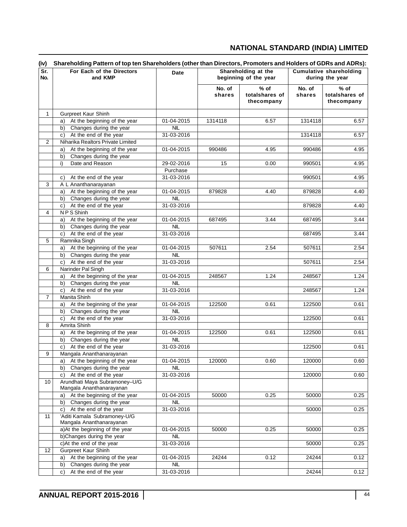| Sr.<br>No. | For Each of the Directors<br>and KMP                      | Date                     |                  | Shareholding at the<br>beginning of the year | <b>Cumulative shareholding</b><br>during the year |                                      |  |
|------------|-----------------------------------------------------------|--------------------------|------------------|----------------------------------------------|---------------------------------------------------|--------------------------------------|--|
|            |                                                           |                          | No. of<br>shares | $%$ of<br>totalshares of<br>thecompany       | No. of<br>shares                                  | % of<br>totalshares of<br>thecompany |  |
| 1          | Gurpreet Kaur Shinh                                       |                          |                  |                                              |                                                   |                                      |  |
|            | At the beginning of the year<br>a)                        | 01-04-2015               | 1314118          | 6.57                                         | 1314118                                           | 6.57                                 |  |
|            | Changes during the year<br>b)                             | <b>NIL</b>               |                  |                                              |                                                   |                                      |  |
|            | At the end of the year<br>C)                              | 31-03-2016               |                  |                                              | 1314118                                           | 6.57                                 |  |
| 2          | Niharika Realtors Private Limited                         |                          |                  |                                              |                                                   |                                      |  |
|            | At the beginning of the year<br>a)                        | 01-04-2015               | 990486           | 4.95                                         | 990486                                            | 4.95                                 |  |
|            | Changes during the year<br>b)                             |                          |                  |                                              |                                                   |                                      |  |
|            | Date and Reason<br>i)                                     | 29-02-2016               | 15               | 0.00                                         | 990501                                            | 4.95                                 |  |
|            |                                                           | Purchase                 |                  |                                              |                                                   |                                      |  |
|            | At the end of the year<br>C)                              | 31-03-2016               |                  |                                              | 990501                                            | 4.95                                 |  |
| 3          | A L Ananthanarayanan                                      |                          |                  |                                              |                                                   |                                      |  |
|            | At the beginning of the year<br>a)                        | 01-04-2015               | 879828           | 4.40                                         | 879828                                            | 4.40                                 |  |
|            | Changes during the year<br>b)                             | <b>NIL</b><br>31-03-2016 |                  |                                              | 879828                                            | 4.40                                 |  |
| 4          | At the end of the year<br>C)<br>NPS Shinh                 |                          |                  |                                              |                                                   |                                      |  |
|            | At the beginning of the year                              | 01-04-2015               | 687495           | 3.44                                         | 687495                                            | 3.44                                 |  |
|            | a)<br>Changes during the year<br>b)                       | <b>NIL</b>               |                  |                                              |                                                   |                                      |  |
|            | c) At the end of the year                                 | 31-03-2016               |                  |                                              | 687495                                            | 3.44                                 |  |
| 5          | Ramnika Singh                                             |                          |                  |                                              |                                                   |                                      |  |
|            | At the beginning of the year<br>a)                        | 01-04-2015               | 507611           | 2.54                                         | 507611                                            | 2.54                                 |  |
|            | Changes during the year<br>b)                             | <b>NIL</b>               |                  |                                              |                                                   |                                      |  |
|            | At the end of the year<br>C)                              | 31-03-2016               |                  |                                              | 507611                                            | 2.54                                 |  |
| 6          | Narinder Pal Singh                                        |                          |                  |                                              |                                                   |                                      |  |
|            | At the beginning of the year<br>a)                        | 01-04-2015               | 248567           | 1.24                                         | 248567                                            | 1.24                                 |  |
|            | Changes during the year<br>b)                             | <b>NIL</b>               |                  |                                              |                                                   |                                      |  |
|            | At the end of the year<br>C)                              | 31-03-2016               |                  |                                              | 248567                                            | 1.24                                 |  |
| 7          | Manita Shinh                                              |                          |                  |                                              |                                                   |                                      |  |
|            | At the beginning of the year<br>a)                        | 01-04-2015               | 122500           | 0.61                                         | 122500                                            | 0.61                                 |  |
|            | Changes during the year<br>b)                             | <b>NIL</b>               |                  |                                              |                                                   |                                      |  |
|            | At the end of the year<br>C)                              | 31-03-2016               |                  |                                              | 122500                                            | 0.61                                 |  |
| 8          | Amrita Shinh                                              |                          |                  |                                              |                                                   |                                      |  |
|            | At the beginning of the year<br>a)                        | 01-04-2015               | 122500           | 0.61                                         | 122500                                            | 0.61                                 |  |
|            | Changes during the year<br>b)                             | <b>NIL</b>               |                  |                                              |                                                   |                                      |  |
|            | At the end of the year<br>C)                              | 31-03-2016               |                  |                                              | 122500                                            | 0.61                                 |  |
| 9          | Mangala Ananthanarayanan                                  |                          |                  |                                              |                                                   |                                      |  |
|            | At the beginning of the year<br>a)                        | 01-04-2015               | 120000           | 0.60                                         | 120000                                            | 0.60                                 |  |
|            | Changes during the year<br>b)                             | <b>NIL</b>               |                  |                                              |                                                   |                                      |  |
|            | At the end of the year<br>C)                              | 31-03-2016               |                  |                                              | 120000                                            | 0.60                                 |  |
| 10         | Arundhati Maya Subramoney-U/G<br>Mangala Ananthanarayanan |                          |                  |                                              |                                                   |                                      |  |
|            | At the beginning of the year<br>a)                        | 01-04-2015               | 50000            | 0.25                                         | 50000                                             | 0.25                                 |  |
|            | Changes during the year<br>b)                             | <b>NIL</b>               |                  |                                              |                                                   |                                      |  |
|            | At the end of the year<br>C)                              | 31-03-2016               |                  |                                              | 50000                                             | 0.25                                 |  |
| 11         | 'Aditi Kamala Subramoney-U/G<br>Mangala Ananthanarayanan  |                          |                  |                                              |                                                   |                                      |  |
|            | a)At the beginning of the year                            | 01-04-2015               | 50000            | 0.25                                         | 50000                                             | 0.25                                 |  |
|            | b)Changes during the year                                 | <b>NIL</b>               |                  |                                              |                                                   |                                      |  |
|            | c)At the end of the year                                  | 31-03-2016               |                  |                                              | 50000                                             | 0.25                                 |  |
| 12         | Gurpreet Kaur Shinh                                       |                          |                  |                                              |                                                   |                                      |  |
|            | At the beginning of the year<br>a)                        | 01-04-2015               | 24244            | 0.12                                         | 24244                                             | 0.12                                 |  |
|            | Changes during the year<br>b)                             | <b>NIL</b>               |                  |                                              |                                                   |                                      |  |
|            | At the end of the year<br>C)                              | 31-03-2016               |                  |                                              | 24244                                             | 0.12                                 |  |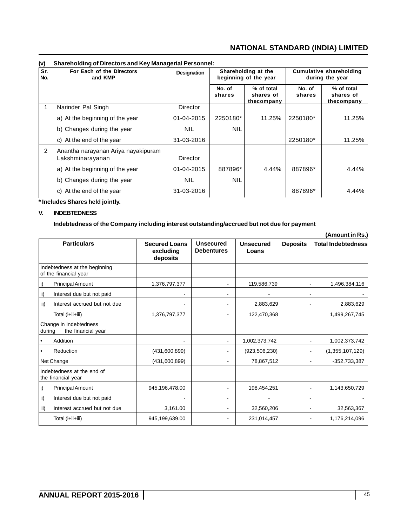| $\ddot{\phantom{1}}$<br>Sr.<br>No. | For Each of the Directors<br>and KMP                    | <b>Designation</b> |                  | Shareholding at the<br>beginning of the year | <b>Cumulative shareholding</b><br>during the year |                                       |  |
|------------------------------------|---------------------------------------------------------|--------------------|------------------|----------------------------------------------|---------------------------------------------------|---------------------------------------|--|
|                                    |                                                         |                    | No. of<br>shares | % of total<br>shares of<br>thecompany        | No. of<br>shares                                  | % of total<br>shares of<br>thecompany |  |
|                                    | Narinder Pal Singh                                      | Director           |                  |                                              |                                                   |                                       |  |
|                                    | a) At the beginning of the year                         | 01-04-2015         | 2250180*         | 11.25%                                       | 2250180*                                          | 11.25%                                |  |
|                                    | b) Changes during the year                              | NIL.               | <b>NIL</b>       |                                              |                                                   |                                       |  |
|                                    | c) At the end of the year                               | 31-03-2016         |                  |                                              | 2250180*                                          | 11.25%                                |  |
| 2                                  | Anantha narayanan Ariya nayakipuram<br>Lakshminarayanan | Director           |                  |                                              |                                                   |                                       |  |
|                                    | a) At the beginning of the year                         | 01-04-2015         | 887896*          | 4.44%                                        | 887896*                                           | 4.44%                                 |  |
|                                    | b) Changes during the year                              | NIL.               | <b>NIL</b>       |                                              |                                                   |                                       |  |
|                                    | c) At the end of the year                               | 31-03-2016         |                  |                                              | 887896*                                           | 4.44%                                 |  |

# **(v) Shareholding of Directors and Key Managerial Personnel:**

**\* Includes Shares held jointly.**

# **V. INDEBTEDNESS**

# **Indebtedness of the Company including interest outstanding/accrued but not due for payment**

|                                                        |                                               |                                       |                           |                 | (Amount in Rs.)           |
|--------------------------------------------------------|-----------------------------------------------|---------------------------------------|---------------------------|-----------------|---------------------------|
| <b>Particulars</b>                                     | <b>Secured Loans</b><br>excluding<br>deposits | <b>Unsecured</b><br><b>Debentures</b> | <b>Unsecured</b><br>Loans | <b>Deposits</b> | <b>Total Indebtedness</b> |
| Indebtedness at the beginning<br>of the financial year |                                               |                                       |                           |                 |                           |
| <b>Principal Amount</b><br>i)                          | 1,376,797,377                                 |                                       | 119,586,739               |                 | 1,496,384,116             |
| Interest due but not paid<br>ii)                       | $\blacksquare$                                |                                       |                           |                 |                           |
| Interest accrued but not due<br>iii)                   |                                               |                                       | 2,883,629                 |                 | 2,883,629                 |
| Total (i+ii+iii)                                       | 1,376,797,377                                 |                                       | 122,470,368               |                 | 1,499,267,745             |
| Change in Indebtedness<br>the financial year<br>during |                                               |                                       |                           |                 |                           |
| Addition                                               |                                               |                                       | 1,002,373,742             |                 | 1,002,373,742             |
| Reduction                                              | (431,600,899)                                 |                                       | (923, 506, 230)           |                 | (1,355,107,129)           |
| Net Change                                             | (431,600,899)                                 |                                       | 78,867,512                |                 | $-352,733,387$            |
| Indebtedness at the end of<br>the financial year       |                                               |                                       |                           |                 |                           |
| <b>Principal Amount</b><br>i)                          | 945,196,478.00                                |                                       | 198,454,251               |                 | 1,143,650,729             |
| ii)<br>Interest due but not paid                       |                                               | ۰                                     |                           |                 |                           |
| Interest accrued but not due<br>iii)                   | 3,161.00                                      |                                       | 32,560,206                |                 | 32,563,367                |
| Total (i+ii+iii)                                       | 945,199,639.00                                |                                       | 231,014,457               |                 | 1,176,214,096             |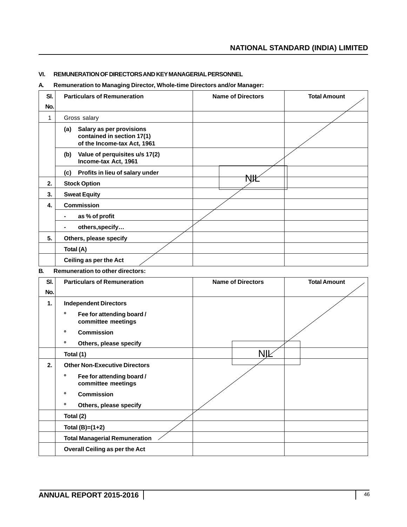# **VI. REMUNERATION OF DIRECTORS AND KEY MANAGERIAL PERSONNEL**

# **A. Remuneration to Managing Director, Whole-time Directors and/or Manager:**

| SI. | <b>Particulars of Remuneration</b>                                                           | <b>Name of Directors</b> | <b>Total Amount</b> |
|-----|----------------------------------------------------------------------------------------------|--------------------------|---------------------|
| No. |                                                                                              |                          |                     |
| 1   | Gross salary                                                                                 |                          |                     |
|     | Salary as per provisions<br>(a)<br>contained in section 17(1)<br>of the Income-tax Act, 1961 |                          |                     |
|     | Value of perquisites u/s 17(2)<br>(b)<br>Income-tax Act, 1961                                |                          |                     |
|     | Profits in lieu of salary under<br>(c)                                                       |                          |                     |
| 2.  | <b>Stock Option</b>                                                                          |                          |                     |
| 3.  | <b>Sweat Equity</b>                                                                          |                          |                     |
| 4.  | <b>Commission</b>                                                                            |                          |                     |
|     | as % of profit<br>۰                                                                          |                          |                     |
|     | others, specify                                                                              |                          |                     |
| 5.  | Others, please specify                                                                       |                          |                     |
|     | Total (A)                                                                                    |                          |                     |
|     | Ceiling as per the Act                                                                       |                          |                     |
| В.  | <b>Remuneration to other directors:</b>                                                      |                          |                     |

| SI. | <b>Particulars of Remuneration</b>                   | <b>Name of Directors</b> | <b>Total Amount</b> |
|-----|------------------------------------------------------|--------------------------|---------------------|
| No. |                                                      |                          |                     |
| 1.  | <b>Independent Directors</b>                         |                          |                     |
|     | 0<br>Fee for attending board /<br>committee meetings |                          |                     |
|     | <b>Commission</b><br>0                               |                          |                     |
|     | 0<br>Others, please specify                          |                          |                     |
|     | Total (1)                                            | NIŁ                      |                     |
| 2.  | <b>Other Non-Executive Directors</b>                 |                          |                     |
|     | 0<br>Fee for attending board /<br>committee meetings |                          |                     |
|     | <b>Commission</b><br>0                               |                          |                     |
|     | 0<br>Others, please specify                          |                          |                     |
|     | Total (2)                                            |                          |                     |
|     | Total $(B)=(1+2)$                                    |                          |                     |
|     | <b>Total Managerial Remuneration</b>                 |                          |                     |
|     | Overall Ceiling as per the Act                       |                          |                     |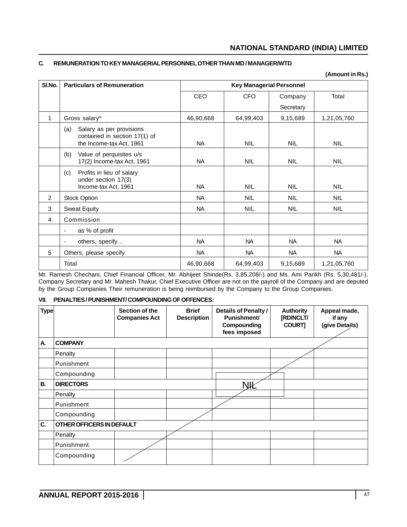# **C***.* **REMUNERATION TO KEY MANAGERIAL PERSONNEL OTHER THAN MD / MANAGER/WTD**

| (Amount in Rs.) |
|-----------------|
|-----------------|

| SI.No.         | <b>Particulars of Remuneration</b>                                                           | <b>Key Managerial Personnel</b> |            |            |             |
|----------------|----------------------------------------------------------------------------------------------|---------------------------------|------------|------------|-------------|
|                |                                                                                              | <b>CEO</b>                      | <b>CFO</b> | Company    | Total       |
|                |                                                                                              |                                 |            | Secretary  |             |
| $\mathbf{1}$   | Gross salary*                                                                                | 46,90,668                       | 64,99,403  | 9,15,689   | 1,21,05,760 |
|                | Salary as per provisions<br>(a)<br>contained in section 17(1) of<br>the Income-tax Act, 1961 | <b>NA</b>                       | <b>NIL</b> | <b>NIL</b> | <b>NIL</b>  |
|                | Value of perquisites u/s<br>(b)<br>17(2) Income-tax Act, 1961                                | <b>NA</b>                       | <b>NIL</b> | <b>NIL</b> | <b>NIL</b>  |
|                | Profits in lieu of salary<br>(c)<br>under section 17(3)<br>Income-tax Act, 1961              | <b>NA</b>                       | <b>NIL</b> | <b>NIL</b> | <b>NIL</b>  |
| 2              | <b>Stock Option</b>                                                                          | <b>NA</b>                       | <b>NIL</b> | <b>NIL</b> | <b>NIL</b>  |
| 3              | <b>Sweat Equity</b>                                                                          | <b>NA</b>                       | <b>NIL</b> | <b>NIL</b> | <b>NIL</b>  |
| $\overline{4}$ | Commission                                                                                   |                                 |            |            |             |
|                | as % of profit<br>$\overline{\phantom{a}}$                                                   |                                 |            |            |             |
|                | others, specify<br>$\overline{\phantom{a}}$                                                  | <b>NA</b>                       | NA.        | <b>NA</b>  | <b>NA</b>   |
| 5              | Others, please specify                                                                       | <b>NA</b>                       | <b>NA</b>  | <b>NA</b>  | <b>NA</b>   |
|                | Total                                                                                        | 46,90,668                       | 64,99,403  | 9,15,689   | 1,21,05,760 |

Mr. Ramesh Chechani, Chief Financial Officer, Mr. Abhijeet Shinde(Rs. 3,85,208/-) and Ms. Ami Parikh (Rs. 5,30,481/-), Company Secretary and Mr. Mahesh Thakur, Chief Executive Officer are not on the payroll of the Company and are deputed by the Group Companies Their remuneration is being reimbursed by the Company to the Group Companies.

# **VII. PENALTIES / PUNISHMENT/ COMPOUNDING OF OFFENCES:**

| <b>Type</b> |                           | Section of the<br><b>Companies Act</b> | <b>Brief</b><br><b>Description</b> | Details of Penalty /<br><b>Punishment/</b><br>Compounding<br>fees imposed | <b>Authority</b><br>[RD/NCLT/<br><b>COURT]</b> | Appeal made,<br>if any<br>(give Details) |
|-------------|---------------------------|----------------------------------------|------------------------------------|---------------------------------------------------------------------------|------------------------------------------------|------------------------------------------|
| А.          | <b>COMPANY</b>            |                                        |                                    |                                                                           |                                                |                                          |
|             | Penalty                   |                                        |                                    |                                                                           |                                                |                                          |
|             | Punishment                |                                        |                                    |                                                                           |                                                |                                          |
|             | Compounding               |                                        |                                    |                                                                           |                                                |                                          |
| В.          | <b>DIRECTORS</b>          |                                        |                                    | NЖ                                                                        |                                                |                                          |
|             | Penalty                   |                                        |                                    |                                                                           |                                                |                                          |
|             | Punishment                |                                        |                                    |                                                                           |                                                |                                          |
|             | Compounding               |                                        |                                    |                                                                           |                                                |                                          |
| C.          | OTHER OFFICERS IN DEFAULT |                                        |                                    |                                                                           |                                                |                                          |
|             | Penalty                   |                                        |                                    |                                                                           |                                                |                                          |
|             | Punishment                |                                        |                                    |                                                                           |                                                |                                          |
|             | Compounding               |                                        |                                    |                                                                           |                                                |                                          |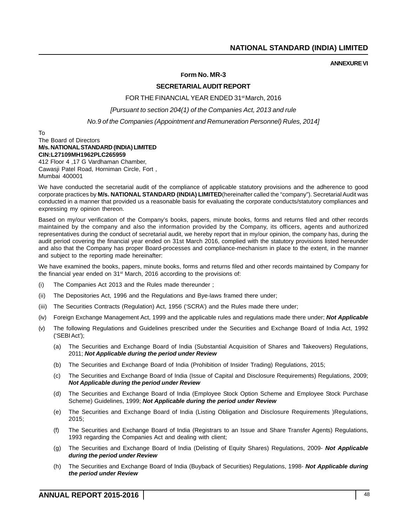## **ANNEXURE VI**

# **Form No. MR-3**

## **SECRETARIAL AUDIT REPORT**

FOR THE FINANCIAL YEAR ENDED 31<sup>st</sup> March, 2016

*[Pursuant to section 204(1) of the Companies Act, 2013 and rule*

*No.9 of the Companies (Appointment and Remuneration Personnel) Rules, 2014]*

## To The Board of Directors **M/s. NATIONAL STANDARD (INDIA) LIMITED CIN:L27109MH1962PLC265959**

412 Floor 4 ,17 G Vardhaman Chamber, Cawasji Patel Road, Horniman Circle, Fort , Mumbai 400001

We have conducted the secretarial audit of the compliance of applicable statutory provisions and the adherence to good corporate practices by **M/s. NATIONAL STANDARD (INDIA) LIMITED**(hereinafter called the "company"). Secretarial Audit was conducted in a manner that provided us a reasonable basis for evaluating the corporate conducts/statutory compliances and expressing my opinion thereon.

Based on my/our verification of the Company's books, papers, minute books, forms and returns filed and other records maintained by the company and also the information provided by the Company, its officers, agents and authorized representatives during the conduct of secretarial audit, we hereby report that in my/our opinion, the company has, during the audit period covering the financial year ended on 31st March 2016, complied with the statutory provisions listed hereunder and also that the Company has proper Board-processes and compliance-mechanism in place to the extent, in the manner and subject to the reporting made hereinafter:

We have examined the books, papers, minute books, forms and returns filed and other records maintained by Company for the financial year ended on 31<sup>st</sup> March, 2016 according to the provisions of:

- (i) The Companies Act 2013 and the Rules made thereunder ;
- (ii) The Depositories Act, 1996 and the Regulations and Bye-laws framed there under;
- (iii) The Securities Contracts (Regulation) Act, 1956 ('SCRA') and the Rules made there under;
- (iv) Foreign Exchange Management Act, 1999 and the applicable rules and regulations made there under; *Not Applicable*
- (v) The following Regulations and Guidelines prescribed under the Securities and Exchange Board of India Act, 1992 ('SEBI Act');
	- (a) The Securities and Exchange Board of India (Substantial Acquisition of Shares and Takeovers) Regulations, 2011; *Not Applicable during the period under Review*
	- (b) The Securities and Exchange Board of India (Prohibition of Insider Trading) Regulations, 2015;
	- (c) The Securities and Exchange Board of India (Issue of Capital and Disclosure Requirements) Regulations, 2009; *Not Applicable during the period under Review*
	- (d) The Securities and Exchange Board of India (Employee Stock Option Scheme and Employee Stock Purchase Scheme) Guidelines, 1999; *Not Applicable during the period under Review*
	- (e) The Securities and Exchange Board of India (Listing Obligation and Disclosure Requirements )Regulations, 2015;
	- (f) The Securities and Exchange Board of India (Registrars to an Issue and Share Transfer Agents) Regulations, 1993 regarding the Companies Act and dealing with client;
	- (g) The Securities and Exchange Board of India (Delisting of Equity Shares) Regulations, 2009- *Not Applicable during the period under Review*
	- (h) The Securities and Exchange Board of India (Buyback of Securities) Regulations, 1998- *Not Applicable during the period under Review*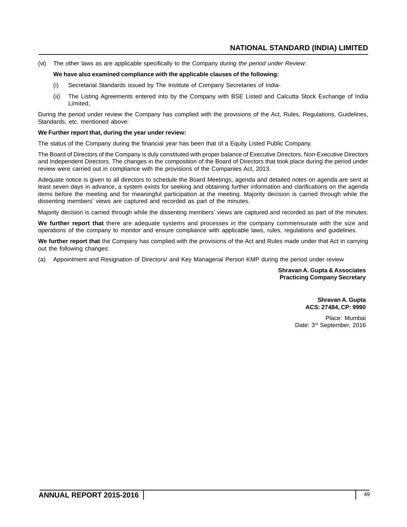(vi) The other laws as are applicable specifically to the Company *during the period under Review*:

#### **We have also examined compliance with the applicable clauses of the following:**

- (i) Secretarial Standards issued by The Institute of Company Secretaries of India-
- (ii) The Listing Agreements entered into by the Company with BSE Listed and Calcutta Stock Exchange of India Limited,

During the period under review the Company has complied with the provisions of the Act, Rules, Regulations, Guidelines, Standards, etc. mentioned above:

#### **We Further report that, during the year under review:**

The status of the Company during the financial year has been that of a Equity Listed Public Company.

The Board of Directors of the Company is duly constituted with proper balance of Executive Directors, Non-Executive Directors and Independent Directors. The changes in the composition of the Board of Directors that took place during the period under review were carried out in compliance with the provisions of the Companies Act, 2013.

Adequate notice is given to all directors to schedule the Board Meetings, agenda and detailed notes on agenda are sent at least seven days in advance, a system exists for seeking and obtaining further information and clarifications on the agenda items before the meeting and for meaningful participation at the meeting. Majority decision is carried through while the dissenting members' views are captured and recorded as part of the minutes.

Majority decision is carried through while the dissenting members' views are captured and recorded as part of the minutes.

**We further report that** there are adequate systems and processes in the company commensurate with the size and operations of the company to monitor and ensure compliance with applicable laws, rules, regulations and guidelines.

**We further report that** the Company has complied with the provisions of the Act and Rules made under that Act in carrying out the following changes:

(a) Appointment and Resignation of Directors/ and Key Managerial Person KMP during the period under review

**Shravan A. Gupta & Associates Practicing Company Secretary**

> **Shravan A. Gupta ACS: 27484, CP: 9990**

Place: Mumbai Date: 3rd September, 2016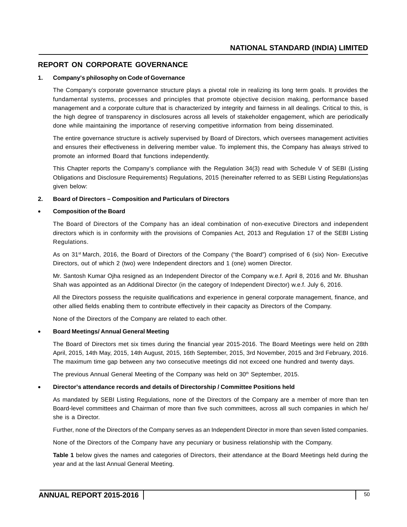# **REPORT ON CORPORATE GOVERNANCE**

## **1. Company's philosophy on Code of Governance**

The Company's corporate governance structure plays a pivotal role in realizing its long term goals. It provides the fundamental systems, processes and principles that promote objective decision making, performance based management and a corporate culture that is characterized by integrity and fairness in all dealings. Critical to this, is the high degree of transparency in disclosures across all levels of stakeholder engagement, which are periodically done while maintaining the importance of reserving competitive information from being disseminated.

The entire governance structure is actively supervised by Board of Directors, which oversees management activities and ensures their effectiveness in delivering member value. To implement this, the Company has always strived to promote an informed Board that functions independently.

This Chapter reports the Company's compliance with the Regulation 34(3) read with Schedule V of SEBI (Listing Obligations and Disclosure Requirements) Regulations, 2015 (hereinafter referred to as SEBI Listing Regulations)as given below:

## **2. Board of Directors – Composition and Particulars of Directors**

## • **Composition of the Board**

The Board of Directors of the Company has an ideal combination of non-executive Directors and independent directors which is in conformity with the provisions of Companies Act, 2013 and Regulation 17 of the SEBI Listing Regulations.

As on 31<sup>st</sup> March, 2016, the Board of Directors of the Company ("the Board") comprised of 6 (six) Non- Executive Directors, out of which 2 (two) were Independent directors and 1 (one) women Director.

Mr. Santosh Kumar Ojha resigned as an Independent Director of the Company w.e.f. April 8, 2016 and Mr. Bhushan Shah was appointed as an Additional Director (in the category of Independent Director) w.e.f. July 6, 2016.

All the Directors possess the requisite qualifications and experience in general corporate management, finance, and other allied fields enabling them to contribute effectively in their capacity as Directors of the Company.

None of the Directors of the Company are related to each other.

## • **Board Meetings/ Annual General Meeting**

The Board of Directors met six times during the financial year 2015-2016. The Board Meetings were held on 28th April, 2015, 14th May, 2015, 14th August, 2015, 16th September, 2015, 3rd November, 2015 and 3rd February, 2016. The maximum time gap between any two consecutive meetings did not exceed one hundred and twenty days.

The previous Annual General Meeting of the Company was held on 30<sup>th</sup> September, 2015.

## • **Director's attendance records and details of Directorship / Committee Positions held**

As mandated by SEBI Listing Regulations, none of the Directors of the Company are a member of more than ten Board-level committees and Chairman of more than five such committees, across all such companies in which he/ she is a Director.

Further, none of the Directors of the Company serves as an Independent Director in more than seven listed companies.

None of the Directors of the Company have any pecuniary or business relationship with the Company.

**Table 1** below gives the names and categories of Directors, their attendance at the Board Meetings held during the year and at the last Annual General Meeting.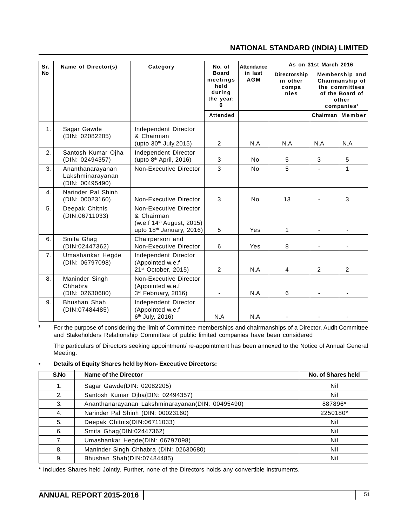| Sr.       | Name of Director(s)                                     | Category                                                                                                              | No. of                                                       | Attendance            | As on 31st March 2016                     |                |                                                                                                           |
|-----------|---------------------------------------------------------|-----------------------------------------------------------------------------------------------------------------------|--------------------------------------------------------------|-----------------------|-------------------------------------------|----------------|-----------------------------------------------------------------------------------------------------------|
| <b>No</b> |                                                         |                                                                                                                       | <b>Board</b><br>meetings<br>held<br>during<br>the year:<br>6 | in last<br><b>AGM</b> | Directorship<br>in other<br>compa<br>nies |                | Membership and<br>Chairmanship of<br>the committees<br>of the Board of<br>other<br>companies <sup>1</sup> |
|           |                                                         |                                                                                                                       | <b>Attended</b>                                              |                       |                                           | Chairman       | Member                                                                                                    |
| 1.        | Sagar Gawde<br>(DIN: 02082205)                          | Independent Director<br>& Chairman<br>(upto 30 <sup>th</sup> July, 2015)                                              | $\overline{2}$                                               | N.A                   | N.A                                       | N.A            | N.A                                                                                                       |
| 2.        | Santosh Kumar Ojha<br>(DIN: 02494357)                   | Independent Director<br>(upto 8 <sup>th</sup> April, 2016)                                                            | 3                                                            | <b>No</b>             | 5                                         | 3              | 5                                                                                                         |
| 3.        | Ananthanarayanan<br>Lakshminarayanan<br>(DIN: 00495490) | Non-Executive Director                                                                                                | 3                                                            | <b>No</b>             | 5                                         |                | 1                                                                                                         |
| 4.        | Narinder Pal Shinh<br>(DIN: 00023160)                   | Non-Executive Director                                                                                                | 3                                                            | <b>No</b>             | 13                                        | ÷,             | 3                                                                                                         |
| 5.        | Deepak Chitnis<br>(DIN:06711033)                        | Non-Executive Director<br>& Chairman<br>(w.e.f 14 <sup>th</sup> August, 2015)<br>upto 18 <sup>th</sup> January, 2016) | 5                                                            | Yes                   | 1                                         |                |                                                                                                           |
| 6.        | Smita Ghag<br>(DIN:02447362)                            | Chairperson and<br>Non-Executive Director                                                                             | 6                                                            | Yes                   | 8                                         |                |                                                                                                           |
| 7.        | Umashankar Hegde<br>(DIN: 06797098)                     | Independent Director<br>(Appointed w.e.f<br>21st October, 2015)                                                       | $\overline{2}$                                               | N.A                   | $\overline{4}$                            | $\overline{2}$ | $\overline{2}$                                                                                            |
| 8.        | Maninder Singh<br>Chhabra<br>(DIN: 02630680)            | Non-Executive Director<br>(Appointed w.e.f<br>3rd February, 2016)                                                     |                                                              | N.A                   | 6                                         |                |                                                                                                           |
| 9.        | Bhushan Shah<br>(DIN:07484485)                          | Independent Director<br>(Appointed w.e.f<br>6 <sup>th</sup> July, 2016)                                               | N.A                                                          | N.A                   |                                           |                |                                                                                                           |

**<sup>1</sup>** For the purpose of considering the limit of Committee memberships and chairmanships of a Director, Audit Committee and Stakeholders Relationship Committee of public limited companies have been considered

The particulars of Directors seeking appointment/ re-appointment has been annexed to the Notice of Annual General Meeting.

# • **Details of Equity Shares held by Non- Executive Directors:**

| S.No | Name of the Director                             | No. of Shares held |
|------|--------------------------------------------------|--------------------|
| 1.   | Sagar Gawde(DIN: 02082205)                       | Nil                |
| 2.   | Santosh Kumar Ojha(DIN: 02494357)                | Nil                |
| 3.   | Ananthanarayanan Lakshminarayanan(DIN: 00495490) | 887896*            |
| 4.   | Narinder Pal Shinh (DIN: 00023160)               | 2250180*           |
| 5.   | Deepak Chitnis(DIN:06711033)                     | Nil                |
| 6.   | Smita Ghag(DIN:02447362)                         | Nil                |
| 7.   | Umashankar Hegde(DIN: 06797098)                  | Nil                |
| 8.   | Maninder Singh Chhabra (DIN: 02630680)           | Nil                |
| 9.   | Bhushan Shah(DIN:07484485)                       | Nil                |

\* Includes Shares held Jointly. Further, none of the Directors holds any convertible instruments.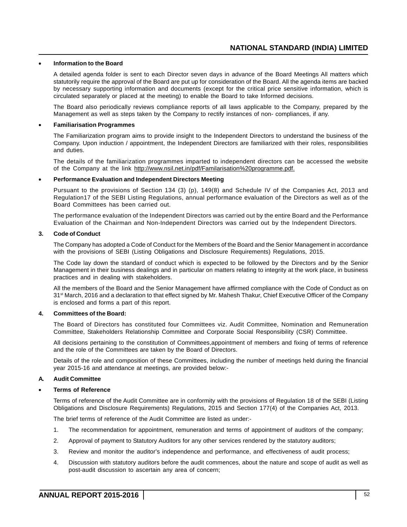### • **Information to the Board**

A detailed agenda folder is sent to each Director seven days in advance of the Board Meetings All matters which statutorily require the approval of the Board are put up for consideration of the Board. All the agenda items are backed by necessary supporting information and documents (except for the critical price sensitive information, which is circulated separately or placed at the meeting) to enable the Board to take Informed decisions.

The Board also periodically reviews compliance reports of all laws applicable to the Company, prepared by the Management as well as steps taken by the Company to rectify instances of non- compliances, if any.

#### • **Familiarisation Programmes**

The Familiarization program aims to provide insight to the Independent Directors to understand the business of the Company. Upon induction / appointment, the Independent Directors are familiarized with their roles, responsibilities and duties.

The details of the familiarization programmes imparted to independent directors can be accessed the website of the Company at the link http://www.nsil.net.in/pdf/Familarisation%20programme.pdf.

## • **Performance Evaluation and Independent Directors Meeting**

Pursuant to the provisions of Section 134 (3) (p), 149(8) and Schedule IV of the Companies Act, 2013 and Regulation17 of the SEBI Listing Regulations, annual performance evaluation of the Directors as well as of the Board Committees has been carried out.

The performance evaluation of the Independent Directors was carried out by the entire Board and the Performance Evaluation of the Chairman and Non-Independent Directors was carried out by the Independent Directors.

#### **3. Code of Conduct**

The Company has adopted a Code of Conduct for the Members of the Board and the Senior Management in accordance with the provisions of SEBI (Listing Obligations and Disclosure Requirements) Regulations, 2015.

The Code lay down the standard of conduct which is expected to be followed by the Directors and by the Senior Management in their business dealings and in particular on matters relating to integrity at the work place, in business practices and in dealing with stakeholders.

All the members of the Board and the Senior Management have affirmed compliance with the Code of Conduct as on 31<sup>st</sup> March, 2016 and a declaration to that effect signed by Mr. Mahesh Thakur, Chief Executive Officer of the Company is enclosed and forms a part of this report.

## **4. Committees of the Board:**

The Board of Directors has constituted four Committees viz. Audit Committee, Nomination and Remuneration Committee, Stakeholders Relationship Committee and Corporate Social Responsibility (CSR) Committee.

All decisions pertaining to the constitution of Committees,appointment of members and fixing of terms of reference and the role of the Committees are taken by the Board of Directors.

Details of the role and composition of these Committees, including the number of meetings held during the financial year 2015-16 and attendance at meetings, are provided below:-

## **A. Audit Committee**

## • **Terms of Reference**

Terms of reference of the Audit Committee are in conformity with the provisions of Regulation 18 of the SEBI (Listing Obligations and Disclosure Requirements) Regulations, 2015 and Section 177(4) of the Companies Act, 2013.

The brief terms of reference of the Audit Committee are listed as under:-

- 1. The recommendation for appointment, remuneration and terms of appointment of auditors of the company;
- 2. Approval of payment to Statutory Auditors for any other services rendered by the statutory auditors;
- 3. Review and monitor the auditor's independence and performance, and effectiveness of audit process;
- 4. Discussion with statutory auditors before the audit commences, about the nature and scope of audit as well as post-audit discussion to ascertain any area of concern;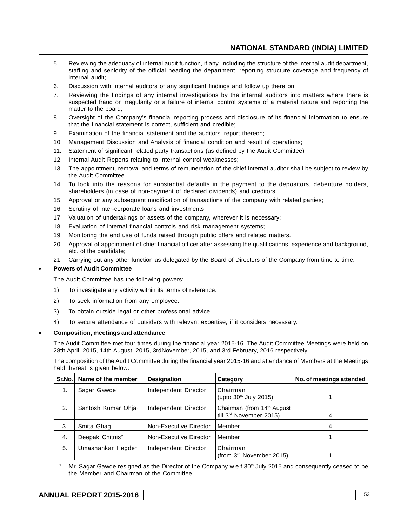- 5. Reviewing the adequacy of internal audit function, if any, including the structure of the internal audit department, staffing and seniority of the official heading the department, reporting structure coverage and frequency of internal audit;
- 6. Discussion with internal auditors of any significant findings and follow up there on;
- 7. Reviewing the findings of any internal investigations by the internal auditors into matters where there is suspected fraud or irregularity or a failure of internal control systems of a material nature and reporting the matter to the board;
- 8. Oversight of the Company's financial reporting process and disclosure of its financial information to ensure that the financial statement is correct, sufficient and credible;
- 9. Examination of the financial statement and the auditors' report thereon;
- 10. Management Discussion and Analysis of financial condition and result of operations;
- 11. Statement of significant related party transactions (as defined by the Audit Committee)
- 12. Internal Audit Reports relating to internal control weaknesses;
- 13. The appointment, removal and terms of remuneration of the chief internal auditor shall be subject to review by the Audit Committee
- 14. To look into the reasons for substantial defaults in the payment to the depositors, debenture holders, shareholders (in case of non-payment of declared dividends) and creditors;
- 15. Approval or any subsequent modification of transactions of the company with related parties;
- 16. Scrutiny of inter-corporate loans and investments;
- 17. Valuation of undertakings or assets of the company, wherever it is necessary;
- 18. Evaluation of internal financial controls and risk management systems;
- 19. Monitoring the end use of funds raised through public offers and related matters.
- 20. Approval of appointment of chief financial officer after assessing the qualifications, experience and background, etc. of the candidate;
- 21. Carrying out any other function as delegated by the Board of Directors of the Company from time to time.

## • **Powers of Audit Committee**

The Audit Committee has the following powers:

- 1) To investigate any activity within its terms of reference.
- 2) To seek information from any employee.
- 3) To obtain outside legal or other professional advice.
- 4) To secure attendance of outsiders with relevant expertise, if it considers necessary.

## • **Composition, meetings and attendance**

The Audit Committee met four times during the financial year 2015-16. The Audit Committee Meetings were held on 28th April, 2015, 14th August, 2015, 3rdNovember, 2015, and 3rd February, 2016 respectively.

The composition of the Audit Committee during the financial year 2015-16 and attendance of Members at the Meetings held thereat is given below:

| Sr.No. | Name of the member              | <b>Designation</b>     | Category                                                                      | No. of meetings attended |
|--------|---------------------------------|------------------------|-------------------------------------------------------------------------------|--------------------------|
| 1.     | Sagar Gawde <sup>1</sup>        | Independent Director   | Chairman<br>(upto $30th$ July 2015)                                           |                          |
| 2.     | Santosh Kumar Ohja <sup>3</sup> | Independent Director   | Chairman (from 14 <sup>th</sup> August<br>till 3 <sup>rd</sup> November 2015) | 4                        |
| 3.     | Smita Ghag                      | Non-Executive Director | Member                                                                        | 4                        |
| 4.     | Deepak Chitnis <sup>2</sup>     | Non-Executive Director | Member                                                                        |                          |
| 5.     | Umashankar Hegde <sup>4</sup>   | Independent Director   | Chairman<br>(from $3rd$ November 2015)                                        |                          |

**<sup>1</sup>** Mr. Sagar Gawde resigned as the Director of the Company w.e.f 30th July 2015 and consequently ceased to be the Member and Chairman of the Committee.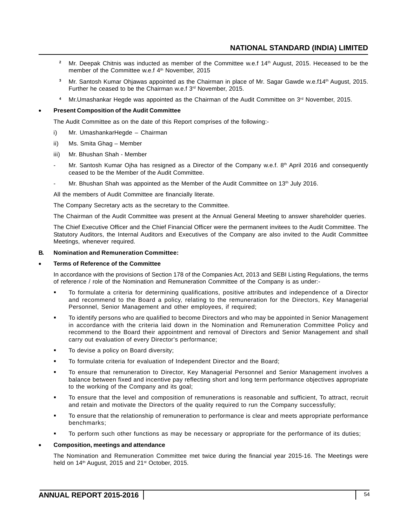- <sup>2</sup> Mr. Deepak Chitnis was inducted as member of the Committee w.e.f 14<sup>th</sup> August, 2015. Heceased to be the member of the Committee w.e.f 4<sup>th</sup> November, 2015
- **<sup>3</sup>** Mr. Santosh Kumar Ohjawas appointed as the Chairman in place of Mr. Sagar Gawde w.e.f14th August, 2015. Further he ceased to be the Chairman w.e.f 3<sup>rd</sup> November, 2015.
- **<sup>4</sup>** Mr.Umashankar Hegde was appointed as the Chairman of the Audit Committee on 3rd November, 2015.

## • **Present Composition of the Audit Committee**

The Audit Committee as on the date of this Report comprises of the following:-

- i) Mr. UmashankarHegde Chairman
- ii) Ms. Smita Ghag Member
- iii) Mr. Bhushan Shah Member
- Mr. Santosh Kumar Ojha has resigned as a Director of the Company w.e.f.  $8<sup>th</sup>$  April 2016 and consequently ceased to be the Member of the Audit Committee.
- Mr. Bhushan Shah was appointed as the Member of the Audit Committee on 13<sup>th</sup> July 2016.

All the members of Audit Committee are financially literate.

The Company Secretary acts as the secretary to the Committee.

The Chairman of the Audit Committee was present at the Annual General Meeting to answer shareholder queries.

The Chief Executive Officer and the Chief Financial Officer were the permanent invitees to the Audit Committee. The Statutory Auditors, the Internal Auditors and Executives of the Company are also invited to the Audit Committee Meetings, whenever required.

#### **B. Nomination and Remuneration Committee:**

### • **Terms of Reference of the Committee**

In accordance with the provisions of Section 178 of the Companies Act, 2013 and SEBI Listing Regulations, the terms of reference / role of the Nomination and Remuneration Committee of the Company is as under:-

- To formulate a criteria for determining qualifications, positive attributes and independence of a Director and recommend to the Board a policy, relating to the remuneration for the Directors, Key Managerial Personnel, Senior Management and other employees, if required;
- To identify persons who are qualified to become Directors and who may be appointed in Senior Management in accordance with the criteria laid down in the Nomination and Remuneration Committee Policy and recommend to the Board their appointment and removal of Directors and Senior Management and shall carry out evaluation of every Director's performance;
- To devise a policy on Board diversity;
- To formulate criteria for evaluation of Independent Director and the Board;
- To ensure that remuneration to Director, Key Managerial Personnel and Senior Management involves a balance between fixed and incentive pay reflecting short and long term performance objectives appropriate to the working of the Company and its goal;
- To ensure that the level and composition of remunerations is reasonable and sufficient, To attract, recruit and retain and motivate the Directors of the quality required to run the Company successfully;
- To ensure that the relationship of remuneration to performance is clear and meets appropriate performance benchmarks;
- To perform such other functions as may be necessary or appropriate for the performance of its duties;

#### • **Composition, meetings and attendance**

The Nomination and Remuneration Committee met twice during the financial year 2015-16. The Meetings were held on 14<sup>th</sup> August, 2015 and 21<sup>st</sup> October, 2015.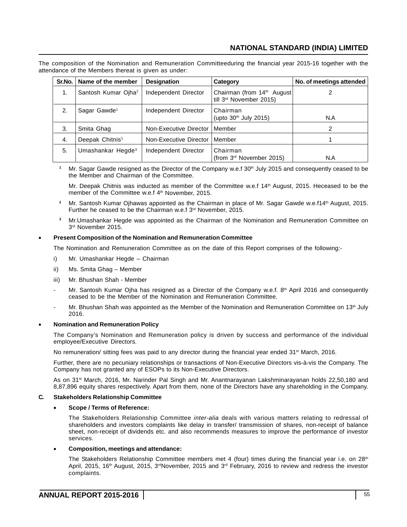The composition of the Nomination and Remuneration Committeeduring the financial year 2015-16 together with the attendance of the Members thereat is given as under:

| Sr.No. | Name of the member              | <b>Designation</b>     | Category                                                           | No. of meetings attended |
|--------|---------------------------------|------------------------|--------------------------------------------------------------------|--------------------------|
| 1.     | Santosh Kumar Ojha <sup>2</sup> | Independent Director   | Chairman (from 14th August)<br>till 3 <sup>rd</sup> November 2015) | 2                        |
| 2.     | Sagar Gawde <sup>1</sup>        | Independent Director   | Chairman<br>(upto 30 <sup>th</sup> July 2015)                      | N.A                      |
| 3.     | Smita Ghag                      | Non-Executive Director | Member                                                             | 2                        |
| 4.     | Deepak Chitnis <sup>1</sup>     | Non-Executive Director | Member                                                             |                          |
| 5.     | Umashankar Hegde <sup>3</sup>   | Independent Director   | Chairman<br>(from 3 <sup>rd</sup> November 2015)                   | N.A                      |

Mr. Sagar Gawde resigned as the Director of the Company w.e.f 30<sup>th</sup> July 2015 and consequently ceased to be the Member and Chairman of the Committee.

Mr. Deepak Chitnis was inducted as member of the Committee w.e.f 14th August, 2015. Heceased to be the member of the Committee w.e.f 4<sup>th</sup> November, 2015.

- <sup>2</sup> Mr. Santosh Kumar Ojhawas appointed as the Chairman in place of Mr. Sagar Gawde w.e.f14<sup>th</sup> August, 2015. Further he ceased to be the Chairman w.e.f 3<sup>rd</sup> November, 2015.
- **<sup>3</sup>** Mr.Umashankar Hegde was appointed as the Chairman of the Nomination and Remuneration Committee on 3rd November 2015.

## • **Present Composition of the Nomination and Remuneration Committee**

The Nomination and Remuneration Committee as on the date of this Report comprises of the following:-

- i) Mr. Umashankar Hegde Chairman
- ii) Ms. Smita Ghag Member
- iii) Mr. Bhushan Shah Member
- Mr. Santosh Kumar Ojha has resigned as a Director of the Company w.e.f.  $8<sup>th</sup>$  April 2016 and consequently ceased to be the Member of the Nomination and Remuneration Committee.
- Mr. Bhushan Shah was appointed as the Member of the Nomination and Remuneration Committee on 13<sup>th</sup> July 2016.

#### • **Nomination and Remuneration Policy**

The Company's Nomination and Remuneration policy is driven by success and performance of the individual employee/Executive Directors.

No remuneration/ sitting fees was paid to any director during the financial year ended 31<sup>st</sup> March, 2016.

Further, there are no pecuniary relationships or transactions of Non-Executive Directors vis-à-vis the Company. The Company has not granted any of ESOPs to its Non-Executive Directors.

As on 31st March, 2016, Mr. Narinder Pal Singh and Mr. Anantnarayanan Lakshminarayanan holds 22,50,180 and 8,87,896 equity shares respectively. Apart from them, none of the Directors have any shareholding in the Company.

#### **C. Stakeholders Relationship Committee**

## • **Scope / Terms of Reference:**

The Stakeholders Relationship Committee *inter-alia* deals with various matters relating to redressal of shareholders and investors complaints like delay in transfer/ transmission of shares, non-receipt of balance sheet, non-receipt of dividends etc. and also recommends measures to improve the performance of investor services.

#### • **Composition, meetings and attendance:**

The Stakeholders Relationship Committee members met 4 (four) times during the financial year i.e. on  $28<sup>th</sup>$ April, 2015, 16<sup>th</sup> August, 2015, 3<sup>rd</sup>November, 2015 and 3<sup>rd</sup> February, 2016 to review and redress the investor complaints.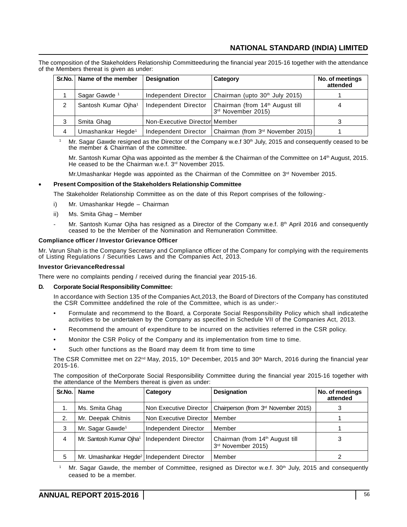The composition of the Stakeholders Relationship Committeeduring the financial year 2015-16 together with the attendance of the Members thereat is given as under:

|   | Sr.No.   Name of the member     | <b>Designation</b>            | Category                                                 | No. of meetings<br>attended |
|---|---------------------------------|-------------------------------|----------------------------------------------------------|-----------------------------|
|   | Sagar Gawde <sup>1</sup>        | Independent Director          | Chairman (upto 30 <sup>th</sup> July 2015)               |                             |
| 2 | Santosh Kumar Ojha <sup>1</sup> | Independent Director          | Chairman (from 14th August till<br>3rd November 2015)    | 4                           |
| 3 | Smita Ghag                      | Non-Executive Director Member |                                                          |                             |
| 4 | Umashankar Hegde <sup>1</sup>   |                               | Independent Director   Chairman (from 3rd November 2015) |                             |

Mr. Sagar Gawde resigned as the Director of the Company w.e.f 30<sup>th</sup> July, 2015 and consequently ceased to be the member & Chairman of the committee.

Mr. Santosh Kumar Ojha was appointed as the member & the Chairman of the Committee on 14<sup>th</sup> August, 2015. He ceased to be the Chairman w.e.f. 3<sup>rd</sup> November 2015.

Mr. Umashankar Hegde was appointed as the Chairman of the Committee on  $3<sup>rd</sup>$  November 2015.

#### • **Present Composition of the Stakeholders Relationship Committee**

The Stakeholder Relationship Committee as on the date of this Report comprises of the following:-

- i) Mr. Umashankar Hegde Chairman
- ii) Ms. Smita Ghag Member
- Mr. Santosh Kumar Ojha has resigned as a Director of the Company w.e.f. 8<sup>th</sup> April 2016 and consequently ceased to be the Member of the Nomination and Remuneration Committee.

#### **Compliance officer / Investor Grievance Officer**

Mr. Varun Shah is the Company Secretary and Compliance officer of the Company for complying with the requirements of Listing Regulations / Securities Laws and the Companies Act, 2013.

#### **Investor GrievanceRedressal**

There were no complaints pending / received during the financial year 2015-16.

#### **D. Corporate Social Responsibility Committee:**

In accordance with Section 135 of the Companies Act,2013, the Board of Directors of the Company has constituted the CSR Committee anddefined the role of the Committee, which is as under:-

- Formulate and recommend to the Board, a Corporate Social Responsibility Policy which shall indicatethe activities to be undertaken by the Company as specified in Schedule VII of the Companies Act, 2013.
- Recommend the amount of expenditure to be incurred on the activities referred in the CSR policy.
- Monitor the CSR Policy of the Company and its implementation from time to time.
- Such other functions as the Board may deem fit from time to time

The CSR Committee met on 22<sup>nd</sup> May, 2015, 10<sup>th</sup> December, 2015 and 30<sup>th</sup> March, 2016 during the financial year 2015-16.

The composition of theCorporate Social Responsibility Committee during the financial year 2015-16 together with the attendance of the Members thereat is given as under:

| Sr.No. | <b>Name</b>                                            | Category               | <b>Designation</b>                                                | No. of meetings<br>attended |
|--------|--------------------------------------------------------|------------------------|-------------------------------------------------------------------|-----------------------------|
| 1.     | Ms. Smita Ghag                                         | Non Executive Director | Chairperson (from 3 <sup>rd</sup> November 2015)                  | 3                           |
| 2.     | Mr. Deepak Chitnis                                     | Non Executive Director | Member                                                            |                             |
| 3      | Mr. Sagar Gawde <sup>1</sup>                           | Independent Director   | Member                                                            |                             |
| 4      | Mr. Santosh Kumar Ojha <sup>1</sup>                    | Independent Director   | Chairman (from 14 <sup>th</sup> August till<br>3rd November 2015) | 3                           |
| 5      | Mr. Umashankar Hegde <sup>2</sup> Independent Director |                        | Member                                                            | 2                           |

Mr. Sagar Gawde, the member of Committee, resigned as Director w.e.f. 30<sup>th</sup> July, 2015 and consequently ceased to be a member.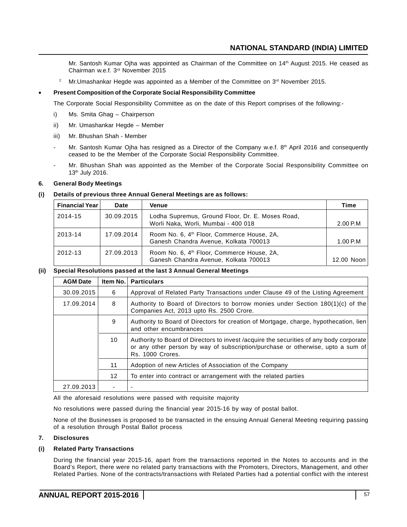Mr. Santosh Kumar Ojha was appointed as Chairman of the Committee on 14th August 2015. He ceased as Chairman w.e.f. 3rd November 2015

<sup>2</sup> Mr. Umashankar Hegde was appointed as a Member of the Committee on  $3<sup>rd</sup>$  November 2015.

## • **Present Composition of the Corporate Social Responsibility Committee**

The Corporate Social Responsibility Committee as on the date of this Report comprises of the following:-

- i) Ms. Smita Ghag Chairperson
- ii) Mr. Umashankar Hegde Member
- iii) Mr. Bhushan Shah Member
- Mr. Santosh Kumar Ojha has resigned as a Director of the Company w.e.f.  $8<sup>th</sup>$  April 2016 and consequently ceased to be the Member of the Corporate Social Responsibility Committee.
- Mr. Bhushan Shah was appointed as the Member of the Corporate Social Responsibility Committee on 13th July 2016.

## **6. General Body Meetings**

## **(i) Details of previous three Annual General Meetings are as follows:**

| <b>Financial Year</b> |                       | Date       | <b>Venue</b>                                                                                    | Time       |
|-----------------------|-----------------------|------------|-------------------------------------------------------------------------------------------------|------------|
|                       | 30.09.2015<br>2014-15 |            | Lodha Supremus, Ground Floor, Dr. E. Moses Road,<br>Worli Naka, Worli, Mumbai - 400 018         | 2.00 P.M   |
|                       | 17.09.2014<br>2013-14 |            | Room No. 6, 4 <sup>th</sup> Floor, Commerce House, 2A,<br>Ganesh Chandra Avenue, Kolkata 700013 | 1.00 P.M   |
| 2012-13               |                       | 27.09.2013 | Room No. 6, 4 <sup>th</sup> Floor, Commerce House, 2A,<br>Ganesh Chandra Avenue, Kolkata 700013 | 12.00 Noon |

## **(ii) Special Resolutions passed at the last 3 Annual General Meetings**

| <b>AGM Date</b> | Item No.                                                                                                                         | <b>Particulars</b>                                                                                                                                                                                    |  |
|-----------------|----------------------------------------------------------------------------------------------------------------------------------|-------------------------------------------------------------------------------------------------------------------------------------------------------------------------------------------------------|--|
| 30.09.2015      | 6                                                                                                                                | Approval of Related Party Transactions under Clause 49 of the Listing Agreement                                                                                                                       |  |
| 17.09.2014      | 8<br>Authority to Board of Directors to borrow monies under Section 180(1)(c) of the<br>Companies Act, 2013 upto Rs. 2500 Crore. |                                                                                                                                                                                                       |  |
|                 | 9                                                                                                                                | Authority to Board of Directors for creation of Mortgage, charge, hypothecation, lien<br>and other encumbrances                                                                                       |  |
|                 | 10                                                                                                                               | Authority to Board of Directors to invest /acquire the securities of any body corporate<br>or any other person by way of subscription/purchase or otherwise, upto a sum of<br><b>Rs. 1000 Crores.</b> |  |
|                 | 11                                                                                                                               | Adoption of new Articles of Association of the Company                                                                                                                                                |  |
|                 | 12                                                                                                                               | To enter into contract or arrangement with the related parties                                                                                                                                        |  |
| 27.09.2013      |                                                                                                                                  |                                                                                                                                                                                                       |  |

All the aforesaid resolutions were passed with requisite majority

No resolutions were passed during the financial year 2015-16 by way of postal ballot.

None of the Businesses is proposed to be transacted in the ensuing Annual General Meeting requiring passing of a resolution through Postal Ballot process

## **7. Disclosures**

## **(i) Related Party Transactions**

During the financial year 2015-16, apart from the transactions reported in the Notes to accounts and in the Board's Report, there were no related party transactions with the Promoters, Directors, Management, and other Related Parties. None of the contracts/transactions with Related Parties had a potential conflict with the interest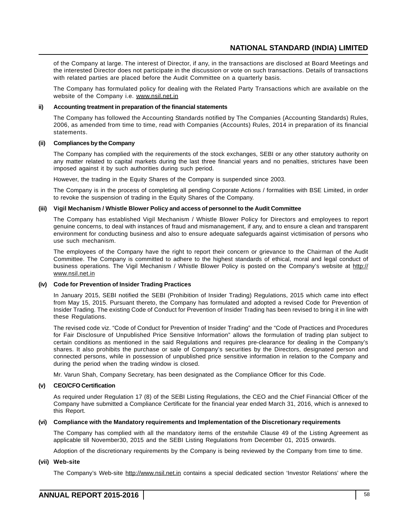of the Company at large. The interest of Director, if any, in the transactions are disclosed at Board Meetings and the interested Director does not participate in the discussion or vote on such transactions. Details of transactions with related parties are placed before the Audit Committee on a quarterly basis.

The Company has formulated policy for dealing with the Related Party Transactions which are available on the website of the Company i.e. www.nsil.net.in

### **ii) Accounting treatment in preparation of the financial statements**

The Company has followed the Accounting Standards notified by The Companies (Accounting Standards) Rules, 2006, as amended from time to time, read with Companies (Accounts) Rules, 2014 in preparation of its financial statements.

#### **(ii) Compliances by the Company**

The Company has complied with the requirements of the stock exchanges, SEBI or any other statutory authority on any matter related to capital markets during the last three financial years and no penalties, strictures have been imposed against it by such authorities during such period.

However, the trading in the Equity Shares of the Company is suspended since 2003.

The Company is in the process of completing all pending Corporate Actions / formalities with BSE Limited, in order to revoke the suspension of trading in the Equity Shares of the Company.

#### **(iii) Vigil Mechanism / Whistle Blower Policy and access of personnel to the Audit Committee**

The Company has established Vigil Mechanism / Whistle Blower Policy for Directors and employees to report genuine concerns, to deal with instances of fraud and mismanagement, if any, and to ensure a clean and transparent environment for conducting business and also to ensure adequate safeguards against victimisation of persons who use such mechanism.

The employees of the Company have the right to report their concern or grievance to the Chairman of the Audit Committee. The Company is committed to adhere to the highest standards of ethical, moral and legal conduct of business operations. The Vigil Mechanism / Whistle Blower Policy is posted on the Company's website at http:// www.nsil.net.in

#### **(iv) Code for Prevention of Insider Trading Practices**

In January 2015, SEBI notified the SEBI (Prohibition of Insider Trading) Regulations, 2015 which came into effect from May 15, 2015. Pursuant thereto, the Company has formulated and adopted a revised Code for Prevention of Insider Trading. The existing Code of Conduct for Prevention of Insider Trading has been revised to bring it in line with these Regulations.

The revised code viz. "Code of Conduct for Prevention of Insider Trading" and the "Code of Practices and Procedures for Fair Disclosure of Unpublished Price Sensitive Information" allows the formulation of trading plan subject to certain conditions as mentioned in the said Regulations and requires pre-clearance for dealing in the Company's shares. It also prohibits the purchase or sale of Company's securities by the Directors, designated person and connected persons, while in possession of unpublished price sensitive information in relation to the Company and during the period when the trading window is closed.

Mr. Varun Shah, Company Secretary, has been designated as the Compliance Officer for this Code.

## **(v) CEO/CFO Certification**

As required under Regulation 17 (8) of the SEBI Listing Regulations, the CEO and the Chief Financial Officer of the Company have submitted a Compliance Certificate for the financial year ended March 31, 2016, which is annexed to this Report.

#### **(vi) Compliance with the Mandatory requirements and Implementation of the Discretionary requirements**

The Company has complied with all the mandatory items of the erstwhile Clause 49 of the Listing Agreement as applicable till November30, 2015 and the SEBI Listing Regulations from December 01, 2015 onwards.

Adoption of the discretionary requirements by the Company is being reviewed by the Company from time to time.

## **(vii) Web-site**

The Company's Web-site http://www.nsil.net.in contains a special dedicated section 'Investor Relations' where the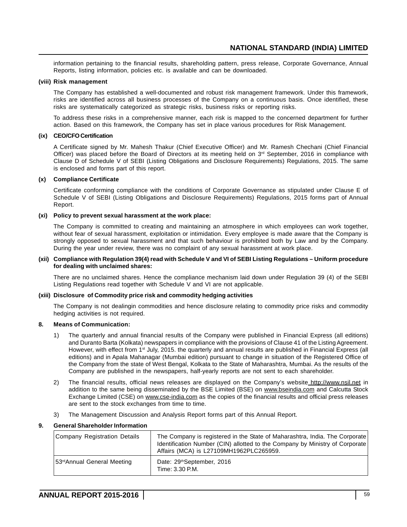information pertaining to the financial results, shareholding pattern, press release, Corporate Governance, Annual Reports, listing information, policies etc. is available and can be downloaded.

### **(viii) Risk management**

The Company has established a well-documented and robust risk management framework. Under this framework, risks are identified across all business processes of the Company on a continuous basis. Once identified, these risks are systematically categorized as strategic risks, business risks or reporting risks.

To address these risks in a comprehensive manner, each risk is mapped to the concerned department for further action. Based on this framework, the Company has set in place various procedures for Risk Management.

### **(ix) CEO/CFO Certification**

A Certificate signed by Mr. Mahesh Thakur (Chief Executive Officer) and Mr. Ramesh Chechani (Chief Financial Officer) was placed before the Board of Directors at its meeting held on 3<sup>rd</sup> September, 2016 in compliance with Clause D of Schedule V of SEBI (Listing Obligations and Disclosure Requirements) Regulations, 2015. The same is enclosed and forms part of this report.

## **(x) Compliance Certificate**

Certificate conforming compliance with the conditions of Corporate Governance as stipulated under Clause E of Schedule V of SEBI (Listing Obligations and Disclosure Requirements) Regulations, 2015 forms part of Annual Report.

#### **(xi) Policy to prevent sexual harassment at the work place:**

The Company is committed to creating and maintaining an atmosphere in which employees can work together, without fear of sexual harassment, exploitation or intimidation. Every employee is made aware that the Company is strongly opposed to sexual harassment and that such behaviour is prohibited both by Law and by the Company. During the year under review, there was no complaint of any sexual harassment at work place.

### **(xii) Compliance with Regulation 39(4) read with Schedule V and VI of SEBI Listing Regulations – Uniform procedure for dealing with unclaimed shares:**

There are no unclaimed shares. Hence the compliance mechanism laid down under Regulation 39 (4) of the SEBI Listing Regulations read together with Schedule V and VI are not applicable.

## **(xiii) Disclosure of Commodity price risk and commodity hedging activities**

The Company is not dealingin commodities and hence disclosure relating to commodity price risks and commodity hedging activities is not required.

#### **8. Means of Communication:**

- 1) The quarterly and annual financial results of the Company were published in Financial Express (all editions) and Duranto Barta (Kolkata) newspapers in compliance with the provisions of Clause 41 of the Listing Agreement. However, with effect from 1<sup>st</sup> July, 2015. the quarterly and annual results are published in Financial Express (all editions) and in Apala Mahanagar (Mumbai edition) pursuant to change in situation of the Registered Office of the Company from the state of West Bengal, Kolkata to the State of Maharashtra, Mumbai. As the results of the Company are published in the newspapers, half-yearly reports are not sent to each shareholder.
- 2) The financial results, official news releases are displayed on the Company's website http://www.nsil.net in addition to the same being disseminated by the BSE Limited (BSE) on www.bseindia.com and Calcutta Stock Exchange Limited (CSE) on www.cse-india.com as the copies of the financial results and official press releases are sent to the stock exchanges from time to time.
- 3) The Management Discussion and Analysis Report forms part of this Annual Report.

#### **9. General Shareholder Information**

| Company Registration Details            | The Company is registered in the State of Maharashtra, India. The Corporate<br>Identification Number (CIN) allotted to the Company by Ministry of Corporate<br>Affairs (MCA) is L27109MH1962PLC265959. |
|-----------------------------------------|--------------------------------------------------------------------------------------------------------------------------------------------------------------------------------------------------------|
| 53 <sup>rd</sup> Annual General Meeting | Date: 29th September, 2016<br>Time: 3.30 P.M.                                                                                                                                                          |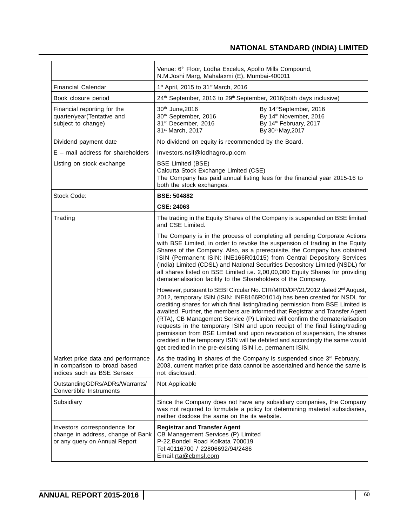|                                                                                                    | Venue: 6th Floor, Lodha Excelus, Apollo Mills Compound,<br>N.M.Joshi Marg, Mahalaxmi (E), Mumbai-400011                                                                                                                                                                                                                                                                                                                                                                                                                                                                                                                                                                                                                           |                                                                                                  |  |
|----------------------------------------------------------------------------------------------------|-----------------------------------------------------------------------------------------------------------------------------------------------------------------------------------------------------------------------------------------------------------------------------------------------------------------------------------------------------------------------------------------------------------------------------------------------------------------------------------------------------------------------------------------------------------------------------------------------------------------------------------------------------------------------------------------------------------------------------------|--------------------------------------------------------------------------------------------------|--|
| <b>Financial Calendar</b>                                                                          | 1 <sup>st</sup> April, 2015 to 31 <sup>st</sup> March, 2016                                                                                                                                                                                                                                                                                                                                                                                                                                                                                                                                                                                                                                                                       |                                                                                                  |  |
| Book closure period                                                                                | 24 <sup>th</sup> September, 2016 to 29 <sup>th</sup> September, 2016(both days inclusive)                                                                                                                                                                                                                                                                                                                                                                                                                                                                                                                                                                                                                                         |                                                                                                  |  |
| Financial reporting for the<br>quarter/year(Tentative and<br>subject to change)                    | 30th June, 2016<br>30th September, 2016<br>31 <sup>st</sup> December, 2016<br>31st March, 2017                                                                                                                                                                                                                                                                                                                                                                                                                                                                                                                                                                                                                                    | By 14th September, 2016<br>By 14th November, 2016<br>By 14th February, 2017<br>By 30th May, 2017 |  |
| Dividend payment date                                                                              | No dividend on equity is recommended by the Board.                                                                                                                                                                                                                                                                                                                                                                                                                                                                                                                                                                                                                                                                                |                                                                                                  |  |
| $E$ – mail address for shareholders                                                                | Investors.nsil@lodhagroup.com                                                                                                                                                                                                                                                                                                                                                                                                                                                                                                                                                                                                                                                                                                     |                                                                                                  |  |
| Listing on stock exchange                                                                          | <b>BSE Limited (BSE)</b><br>Calcutta Stock Exchange Limited (CSE)<br>The Company has paid annual listing fees for the financial year 2015-16 to<br>both the stock exchanges.                                                                                                                                                                                                                                                                                                                                                                                                                                                                                                                                                      |                                                                                                  |  |
| Stock Code:                                                                                        | <b>BSE: 504882</b>                                                                                                                                                                                                                                                                                                                                                                                                                                                                                                                                                                                                                                                                                                                |                                                                                                  |  |
|                                                                                                    | <b>CSE: 24063</b>                                                                                                                                                                                                                                                                                                                                                                                                                                                                                                                                                                                                                                                                                                                 |                                                                                                  |  |
| Trading                                                                                            | The trading in the Equity Shares of the Company is suspended on BSE limited<br>and CSE Limited.                                                                                                                                                                                                                                                                                                                                                                                                                                                                                                                                                                                                                                   |                                                                                                  |  |
|                                                                                                    | The Company is in the process of completing all pending Corporate Actions<br>with BSE Limited, in order to revoke the suspension of trading in the Equity<br>Shares of the Company. Also, as a prerequisite, the Company has obtained<br>ISIN (Permanent ISIN: INE166R01015) from Central Depository Services<br>(India) Limited (CDSL) and National Securities Depository Limited (NSDL) for<br>all shares listed on BSE Limited i.e. 2,00,00,000 Equity Shares for providing<br>dematerialisation facility to the Shareholders of the Company.                                                                                                                                                                                  |                                                                                                  |  |
|                                                                                                    | However, pursuant to SEBI Circular No. CIR/MRD/DP/21/2012 dated 2 <sup>nd</sup> August,<br>2012, temporary ISIN (ISIN: INE8166R01014) has been created for NSDL for<br>crediting shares for which final listing/trading permission from BSE Limited is<br>awaited. Further, the members are informed that Registrar and Transfer Agent<br>(RTA), CB Management Service (P) Limited will confirm the dematerialisation<br>requests in the temporary ISIN and upon receipt of the final listing/trading<br>permission from BSE Limited and upon revocation of suspension, the shares<br>credited in the temporary ISIN will be debited and accordingly the same would<br>get credited in the pre-existing ISIN i.e. permanent ISIN. |                                                                                                  |  |
| Market price data and performance<br>in comparison to broad based<br>indices such as BSE Sensex    | As the trading in shares of the Company is suspended since 3rd February,<br>2003, current market price data cannot be ascertained and hence the same is<br>not disclosed.                                                                                                                                                                                                                                                                                                                                                                                                                                                                                                                                                         |                                                                                                  |  |
| OutstandingGDRs/ADRs/Warrants/<br>Convertible Instruments                                          | Not Applicable                                                                                                                                                                                                                                                                                                                                                                                                                                                                                                                                                                                                                                                                                                                    |                                                                                                  |  |
| Subsidiary                                                                                         | Since the Company does not have any subsidiary companies, the Company<br>was not required to formulate a policy for determining material subsidiaries,<br>neither disclose the same on the its website.                                                                                                                                                                                                                                                                                                                                                                                                                                                                                                                           |                                                                                                  |  |
| Investors correspondence for<br>change in address, change of Bank<br>or any query on Annual Report | <b>Registrar and Transfer Agent</b><br>CB Management Services (P) Limited<br>P-22, Bondel Road Kolkata 700019<br>Tel:40116700 / 22806692/94/2486<br>Email:rta@cbmsl.com                                                                                                                                                                                                                                                                                                                                                                                                                                                                                                                                                           |                                                                                                  |  |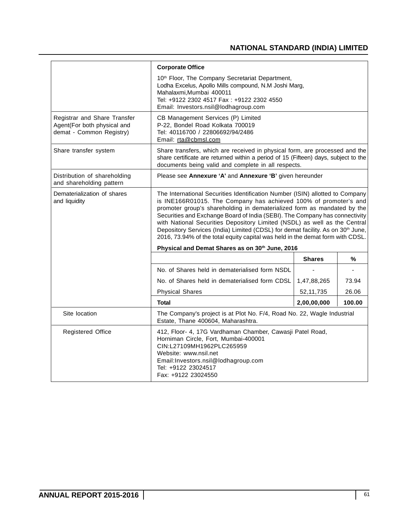|                                                                                                                                                                                                                                                                           | <b>Corporate Office</b>                                                                                                                                                                                                                                                                                                                                                                                                                                                                                                                                                                                                      |               |        |  |
|---------------------------------------------------------------------------------------------------------------------------------------------------------------------------------------------------------------------------------------------------------------------------|------------------------------------------------------------------------------------------------------------------------------------------------------------------------------------------------------------------------------------------------------------------------------------------------------------------------------------------------------------------------------------------------------------------------------------------------------------------------------------------------------------------------------------------------------------------------------------------------------------------------------|---------------|--------|--|
|                                                                                                                                                                                                                                                                           | 10 <sup>th</sup> Floor, The Company Secretariat Department,<br>Lodha Excelus, Apollo Mills compound, N.M Joshi Marg,<br>Mahalaxmi, Mumbai 400011<br>Tel: +9122 2302 4517 Fax: +9122 2302 4550<br>Email: Investors.nsil@lodhagroup.com                                                                                                                                                                                                                                                                                                                                                                                        |               |        |  |
| Registrar and Share Transfer<br>CB Management Services (P) Limited<br>P-22, Bondel Road Kolkata 700019<br>Agent(For both physical and<br>demat - Common Registry)<br>Tel: 40116700 / 22806692/94/2486<br>Email: rta@cbmsl.com                                             |                                                                                                                                                                                                                                                                                                                                                                                                                                                                                                                                                                                                                              |               |        |  |
| Share transfer system                                                                                                                                                                                                                                                     | Share transfers, which are received in physical form, are processed and the<br>share certificate are returned within a period of 15 (Fifteen) days, subject to the<br>documents being valid and complete in all respects.                                                                                                                                                                                                                                                                                                                                                                                                    |               |        |  |
| Distribution of shareholding<br>and shareholding pattern                                                                                                                                                                                                                  | Please see Annexure 'A' and Annexure 'B' given hereunder                                                                                                                                                                                                                                                                                                                                                                                                                                                                                                                                                                     |               |        |  |
| Dematerialization of shares<br>and liquidity                                                                                                                                                                                                                              | The International Securities Identification Number (ISIN) allotted to Company<br>is INE166R01015. The Company has achieved 100% of promoter's and<br>promoter group's shareholding in dematerialized form as mandated by the<br>Securities and Exchange Board of India (SEBI). The Company has connectivity<br>with National Securities Depository Limited (NSDL) as well as the Central<br>Depository Services (India) Limited (CDSL) for demat facility. As on 30 <sup>th</sup> June,<br>2016, 73.94% of the total equity capital was held in the demat form with CDSL.<br>Physical and Demat Shares as on 30th June, 2016 |               |        |  |
|                                                                                                                                                                                                                                                                           |                                                                                                                                                                                                                                                                                                                                                                                                                                                                                                                                                                                                                              | <b>Shares</b> | ℅      |  |
|                                                                                                                                                                                                                                                                           | No. of Shares held in dematerialised form NSDL                                                                                                                                                                                                                                                                                                                                                                                                                                                                                                                                                                               |               |        |  |
|                                                                                                                                                                                                                                                                           | No. of Shares held in dematerialised form CDSL                                                                                                                                                                                                                                                                                                                                                                                                                                                                                                                                                                               | 1,47,88,265   | 73.94  |  |
|                                                                                                                                                                                                                                                                           | <b>Physical Shares</b>                                                                                                                                                                                                                                                                                                                                                                                                                                                                                                                                                                                                       | 52, 11, 735   | 26.06  |  |
|                                                                                                                                                                                                                                                                           | <b>Total</b>                                                                                                                                                                                                                                                                                                                                                                                                                                                                                                                                                                                                                 | 2,00,00,000   | 100.00 |  |
| Site location                                                                                                                                                                                                                                                             | The Company's project is at Plot No. F/4, Road No. 22, Wagle Industrial<br>Estate, Thane 400604, Maharashtra.                                                                                                                                                                                                                                                                                                                                                                                                                                                                                                                |               |        |  |
| <b>Registered Office</b><br>412, Floor- 4, 17G Vardhaman Chamber, Cawasji Patel Road,<br>Horniman Circle, Fort, Mumbai-400001<br>CIN:L27109MH1962PLC265959<br>Website: www.nsil.net<br>Email: Investors.nsil@lodhagroup.com<br>Tel: +9122 23024517<br>Fax: +9122 23024550 |                                                                                                                                                                                                                                                                                                                                                                                                                                                                                                                                                                                                                              |               |        |  |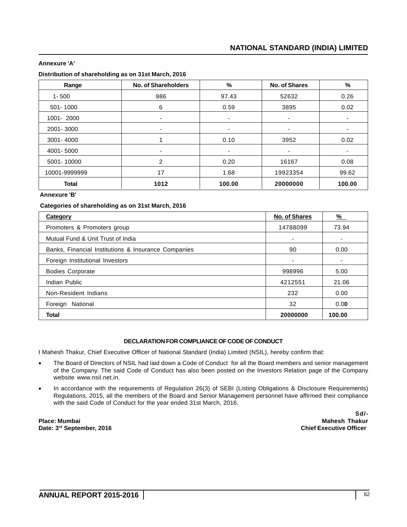# **Annexure 'A'**

# **Distribution of shareholding as on 31st March, 2016**

| Range         | <b>No. of Shareholders</b> | %      | <b>No. of Shares</b> | %      |
|---------------|----------------------------|--------|----------------------|--------|
| $1 - 500$     | 986                        | 97.43  | 52632                | 0.26   |
| 501-1000      | 6                          | 0.59   | 3895                 | 0.02   |
| 1001-2000     | ۰                          | ٠      | ۰                    |        |
| 2001-3000     | ۰                          |        |                      |        |
| 3001-4000     |                            | 0.10   | 3952                 | 0.02   |
| 4001-5000     | ٠                          | ٠      | ۰                    | ۰      |
| 5001-10000    | $\overline{2}$             | 0.20   | 16167                | 0.08   |
| 10001-9999999 | 17                         | 1.68   | 19923354             | 99.62  |
| <b>Total</b>  | 1012                       | 100.00 | 20000000             | 100.00 |

 **Annexure 'B'**

## **Categories of shareholding as on 31st March, 2016**

| <b>Category</b>                                     | <b>No. of Shares</b>     | $\frac{9}{6}$            |
|-----------------------------------------------------|--------------------------|--------------------------|
| Promoters & Promoters group                         | 14788099                 | 73.94                    |
| Mutual Fund & Unit Trust of India                   | $\overline{\phantom{a}}$ | $\overline{\phantom{a}}$ |
| Banks, Financial Institutions & Insurance Companies | 90                       | 0.00                     |
| Foreign Institutional Investors                     | $\overline{\phantom{0}}$ | $\blacksquare$           |
| <b>Bodies Corporate</b>                             | 998996                   | 5.00                     |
| Indian Public                                       | 4212551                  | 21.06                    |
| Non-Resident Indians                                | 232                      | 0.00                     |
| National<br>Foreign                                 | 32                       | 0.00                     |
| Total                                               | 20000000                 | 100.00                   |

# **DECLARATION FOR COMPLIANCE OF CODE OF CONDUCT**

I Mahesh Thakur, Chief Executive Officer of National Standard (India) Limited (NSIL), hereby confirm that:

- The Board of Directors of NSIL had laid down a Code of Conduct for all the Board members and senior management of the Company. The said Code of Conduct has also been posted on the Investors Relation page of the Company website www.nsil.net.in.
- In accordance with the requirements of Regulation 26(3) of SEBI (Listing Obligations & Disclosure Requirements) Regulations, 2015, all the members of the Board and Senior Management personnel have affirmed their compliance with the said Code of Conduct for the year ended 31st March, 2016.

**Place: Mumbai Mahesh Thakur** Date: 3<sup>rd</sup> September, 2016

**Sd/-**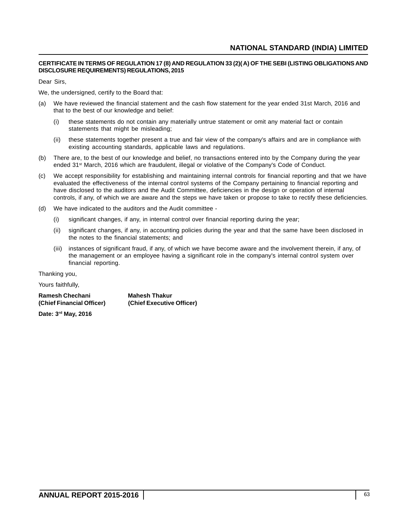## **CERTIFICATE IN TERMS OF REGULATION 17 (8) AND REGULATION 33 (2)( A) OF THE SEBI (LISTING OBLIGATIONS AND DISCLOSURE REQUIREMENTS) REGULATIONS, 2015**

Dear Sirs,

We, the undersigned, certify to the Board that:

- (a) We have reviewed the financial statement and the cash flow statement for the year ended 31st March, 2016 and that to the best of our knowledge and belief:
	- (i) these statements do not contain any materially untrue statement or omit any material fact or contain statements that might be misleading;
	- (ii) these statements together present a true and fair view of the company's affairs and are in compliance with existing accounting standards, applicable laws and regulations.
- (b) There are, to the best of our knowledge and belief, no transactions entered into by the Company during the year ended 31<sup>st</sup> March, 2016 which are fraudulent, illegal or violative of the Company's Code of Conduct.
- (c) We accept responsibility for establishing and maintaining internal controls for financial reporting and that we have evaluated the effectiveness of the internal control systems of the Company pertaining to financial reporting and have disclosed to the auditors and the Audit Committee, deficiencies in the design or operation of internal controls, if any, of which we are aware and the steps we have taken or propose to take to rectify these deficiencies.
- (d) We have indicated to the auditors and the Audit committee
	- (i) significant changes, if any, in internal control over financial reporting during the year;
	- (ii) significant changes, if any, in accounting policies during the year and that the same have been disclosed in the notes to the financial statements; and
	- (iii) instances of significant fraud, if any, of which we have become aware and the involvement therein, if any, of the management or an employee having a significant role in the company's internal control system over financial reporting.

Thanking you,

Yours faithfully,

**Ramesh Chechani** Mahesh Thakur **(Chief Financial Officer) (Chief Executive Officer)**

**Date: 3rd May, 2016**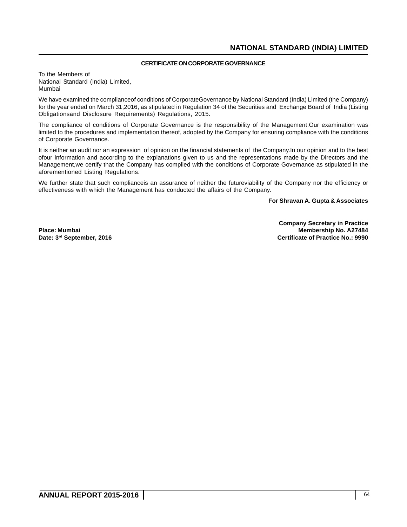# **CERTIFICATE ON CORPORATE GOVERNANCE**

To the Members of National Standard (India) Limited, Mumbai

We have examined the complianceof conditions of CorporateGovernance by National Standard (India) Limited (the Company) for the year ended on March 31,2016, as stipulated in Regulation 34 of the Securities and Exchange Board of India (Listing Obligationsand Disclosure Requirements) Regulations, 2015.

The compliance of conditions of Corporate Governance is the responsibility of the Management.Our examination was limited to the procedures and implementation thereof, adopted by the Company for ensuring compliance with the conditions of Corporate Governance.

It is neither an audit nor an expression of opinion on the financial statements of the Company.In our opinion and to the best ofour information and according to the explanations given to us and the representations made by the Directors and the Management,we certify that the Company has complied with the conditions of Corporate Governance as stipulated in the aforementioned Listing Regulations.

We further state that such complianceis an assurance of neither the futureviability of the Company nor the efficiency or effectiveness with which the Management has conducted the affairs of the Company.

**For Shravan A. Gupta & Associates**

**Company Secretary in Practice Place: Mumbai Membership No. A27484 Certificate of Practice No.: 9990**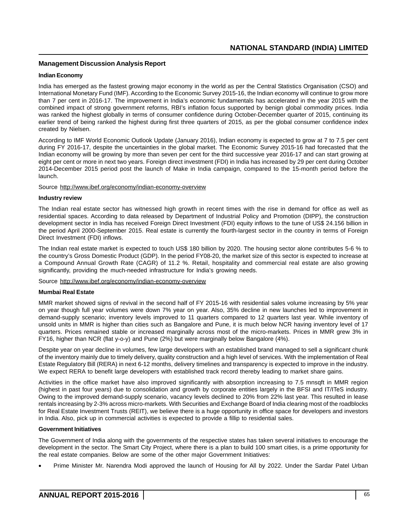# **Management Discussion Analysis Report**

## **Indian Economy**

India has emerged as the fastest growing major economy in the world as per the Central Statistics Organisation (CSO) and International Monetary Fund (IMF). According to the Economic Survey 2015-16, the Indian economy will continue to grow more than 7 per cent in 2016-17. The improvement in India's economic fundamentals has accelerated in the year 2015 with the combined impact of strong government reforms, RBI's inflation focus supported by benign global commodity prices. India was ranked the highest globally in terms of consumer confidence during October-December quarter of 2015, continuing its earlier trend of being ranked the highest during first three quarters of 2015, as per the global consumer confidence index created by Nielsen.

According to IMF World Economic Outlook Update (January 2016), Indian economy is expected to grow at 7 to 7.5 per cent during FY 2016-17, despite the uncertainties in the global market. The Economic Survey 2015-16 had forecasted that the Indian economy will be growing by more than seven per cent for the third successive year 2016-17 and can start growing at eight per cent or more in next two years. Foreign direct investment (FDI) in India has increased by 29 per cent during October 2014-December 2015 period post the launch of Make in India campaign, compared to the 15-month period before the launch.

Source http://www.ibef.org/economy/indian-economy-overview

#### **Industry review**

The Indian real estate sector has witnessed high growth in recent times with the rise in demand for office as well as residential spaces. According to data released by Department of Industrial Policy and Promotion (DIPP), the construction development sector in India has received Foreign Direct Investment (FDI) equity inflows to the tune of US\$ 24.156 billion in the period April 2000-September 2015. Real estate is currently the fourth-largest sector in the country in terms of Foreign Direct Investment (FDI) inflows.

The Indian real estate market is expected to touch US\$ 180 billion by 2020. The housing sector alone contributes 5-6 % to the country's Gross Domestic Product (GDP). In the period FY08-20, the market size of this sector is expected to increase at a Compound Annual Growth Rate (CAGR) of 11.2 %. Retail, hospitality and commercial real estate are also growing significantly, providing the much-needed infrastructure for India's growing needs.

## Source http://www.ibef.org/economy/indian-economy-overview

## **Mumbai Real Estate**

MMR market showed signs of revival in the second half of FY 2015-16 with residential sales volume increasing by 5% year on year though full year volumes were down 7% year on year. Also, 35% decline in new launches led to improvement in demand-supply scenario; inventory levels improved to 11 quarters compared to 12 quarters last year. While inventory of unsold units in MMR is higher than cities such as Bangalore and Pune, it is much below NCR having inventory level of 17 quarters. Prices remained stable or increased marginally across most of the micro-markets. Prices in MMR grew 3% in FY16, higher than NCR (flat y-o-y) and Pune (2%) but were marginally below Bangalore (4%).

Despite year on year decline in volumes, few large developers with an established brand managed to sell a significant chunk of the inventory mainly due to timely delivery, quality construction and a high level of services. With the implementation of Real Estate Regulatory Bill (RERA) in next 6-12 months, delivery timelines and transparency is expected to improve in the industry. We expect RERA to benefit large developers with established track record thereby leading to market share gains.

Activities in the office market have also improved significantly with absorption increasing to 7.5 mnsqft in MMR region (highest in past four years) due to consolidation and growth by corporate entities largely in the BFSI and IT/ITeS industry. Owing to the improved demand-supply scenario, vacancy levels declined to 20% from 22% last year. This resulted in lease rentals increasing by 2-3% across micro-markets. With Securities and Exchange Board of India clearing most of the roadblocks for Real Estate Investment Trusts (REIT), we believe there is a huge opportunity in office space for developers and investors in India. Also, pick up in commercial activities is expected to provide a fillip to residential sales.

#### **Government Initiatives**

The Government of India along with the governments of the respective states has taken several initiatives to encourage the development in the sector. The Smart City Project, where there is a plan to build 100 smart cities, is a prime opportunity for the real estate companies. Below are some of the other major Government Initiatives:

• Prime Minister Mr. Narendra Modi approved the launch of Housing for All by 2022. Under the Sardar Patel Urban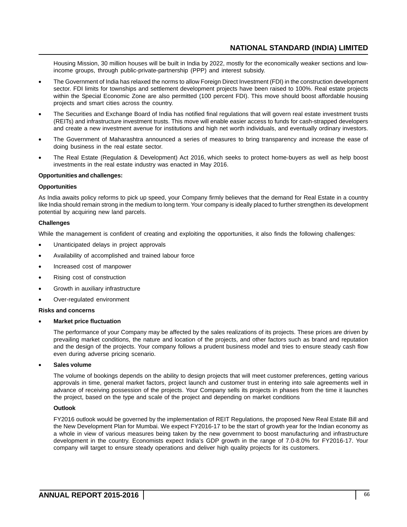Housing Mission, 30 million houses will be built in India by 2022, mostly for the economically weaker sections and lowincome groups, through public-private-partnership (PPP) and interest subsidy.

- The Government of India has relaxed the norms to allow Foreign Direct Investment (FDI) in the construction development sector. FDI limits for townships and settlement development projects have been raised to 100%. Real estate projects within the Special Economic Zone are also permitted (100 percent FDI). This move should boost affordable housing projects and smart cities across the country.
- The Securities and Exchange Board of India has notified final regulations that will govern real estate investment trusts (REITs) and infrastructure investment trusts. This move will enable easier access to funds for cash-strapped developers and create a new investment avenue for institutions and high net worth individuals, and eventually ordinary investors.
- The Government of Maharashtra announced a series of measures to bring transparency and increase the ease of doing business in the real estate sector.
- The Real Estate (Regulation & Development) Act 2016, which seeks to protect home-buyers as well as help boost investments in the real estate industry was enacted in May 2016.

## **Opportunities and challenges:**

#### **Opportunities**

As India awaits policy reforms to pick up speed, your Company firmly believes that the demand for Real Estate in a country like India should remain strong in the medium to long term. Your company is ideally placed to further strengthen its development potential by acquiring new land parcels.

#### **Challenges**

While the management is confident of creating and exploiting the opportunities, it also finds the following challenges:

- Unanticipated delays in project approvals
- Availability of accomplished and trained labour force
- Increased cost of manpower
- Rising cost of construction
- Growth in auxiliary infrastructure
- Over-regulated environment

#### **Risks and concerns**

#### • **Market price fluctuation**

The performance of your Company may be affected by the sales realizations of its projects. These prices are driven by prevailing market conditions, the nature and location of the projects, and other factors such as brand and reputation and the design of the projects. Your company follows a prudent business model and tries to ensure steady cash flow even during adverse pricing scenario.

#### • **Sales volume**

The volume of bookings depends on the ability to design projects that will meet customer preferences, getting various approvals in time, general market factors, project launch and customer trust in entering into sale agreements well in advance of receiving possession of the projects. Your Company sells its projects in phases from the time it launches the project, based on the type and scale of the project and depending on market conditions

#### **Outlook**

FY2016 outlook would be governed by the implementation of REIT Regulations, the proposed New Real Estate Bill and the New Development Plan for Mumbai. We expect FY2016-17 to be the start of growth year for the Indian economy as a whole in view of various measures being taken by the new government to boost manufacturing and infrastructure development in the country. Economists expect India's GDP growth in the range of 7.0-8.0% for FY2016-17. Your company will target to ensure steady operations and deliver high quality projects for its customers.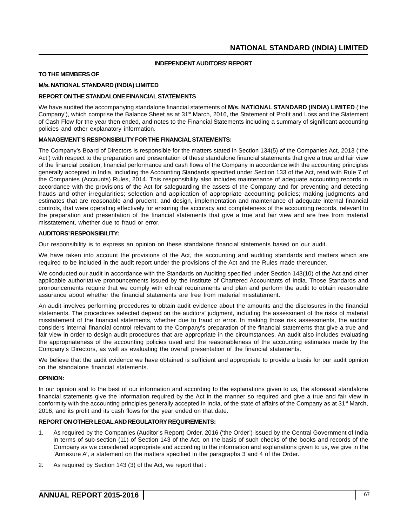# **INDEPENDENT AUDITORS' REPORT**

## **TO THE MEMBERS OF**

## **M/s. NATIONAL STANDARD (INDIA) LIMITED**

## **REPORT ON THE STANDALONE FINANCIAL STATEMENTS**

We have audited the accompanying standalone financial statements of **M/s. NATIONAL STANDARD (INDIA) LIMITED** ('the Company'), which comprise the Balance Sheet as at 31<sup>st</sup> March, 2016, the Statement of Profit and Loss and the Statement of Cash Flow for the year then ended, and notes to the Financial Statements including a summary of significant accounting policies and other explanatory information.

## **MANAGEMENT'S RESPONSIBILITY FOR THE FINANCIAL STATEMENTS:**

The Company's Board of Directors is responsible for the matters stated in Section 134(5) of the Companies Act, 2013 ('the Act') with respect to the preparation and presentation of these standalone financial statements that give a true and fair view of the financial position, financial performance and cash flows of the Company in accordance with the accounting principles generally accepted in India, including the Accounting Standards specified under Section 133 of the Act, read with Rule 7 of the Companies (Accounts) Rules, 2014. This responsibility also includes maintenance of adequate accounting records in accordance with the provisions of the Act for safeguarding the assets of the Company and for preventing and detecting frauds and other irregularities; selection and application of appropriate accounting policies; making judgments and estimates that are reasonable and prudent; and design, implementation and maintenance of adequate internal financial controls, that were operating effectively for ensuring the accuracy and completeness of the accounting records, relevant to the preparation and presentation of the financial statements that give a true and fair view and are free from material misstatement, whether due to fraud or error.

## **AUDITORS' RESPONSIBILITY:**

Our responsibility is to express an opinion on these standalone financial statements based on our audit.

We have taken into account the provisions of the Act, the accounting and auditing standards and matters which are required to be included in the audit report under the provisions of the Act and the Rules made thereunder.

We conducted our audit in accordance with the Standards on Auditing specified under Section 143(10) of the Act and other applicable authoritative pronouncements issued by the Institute of Chartered Accountants of India. Those Standards and pronouncements require that we comply with ethical requirements and plan and perform the audit to obtain reasonable assurance about whether the financial statements are free from material misstatement.

An audit involves performing procedures to obtain audit evidence about the amounts and the disclosures in the financial statements. The procedures selected depend on the auditors' judgment, including the assessment of the risks of material misstatement of the financial statements, whether due to fraud or error. In making those risk assessments, the auditor considers internal financial control relevant to the Company's preparation of the financial statements that give a true and fair view in order to design audit procedures that are appropriate in the circumstances. An audit also includes evaluating the appropriateness of the accounting policies used and the reasonableness of the accounting estimates made by the Company's Directors, as well as evaluating the overall presentation of the financial statements.

We believe that the audit evidence we have obtained is sufficient and appropriate to provide a basis for our audit opinion on the standalone financial statements.

## **OPINION:**

In our opinion and to the best of our information and according to the explanations given to us, the aforesaid standalone financial statements give the information required by the Act in the manner so required and give a true and fair view in conformity with the accounting principles generally accepted in India, of the state of affairs of the Company as at 31st March, 2016, and its profit and its cash flows for the year ended on that date.

## **REPORT ON OTHER LEGAL AND REGULATORY REQUIREMENTS:**

- 1. As required by the Companies (Auditor's Report) Order, 2016 ('the Order') issued by the Central Government of India in terms of sub-section (11) of Section 143 of the Act, on the basis of such checks of the books and records of the Company as we considered appropriate and according to the information and explanations given to us, we give in the 'Annexure A', a statement on the matters specified in the paragraphs 3 and 4 of the Order.
- 2. As required by Section 143 (3) of the Act, we report that :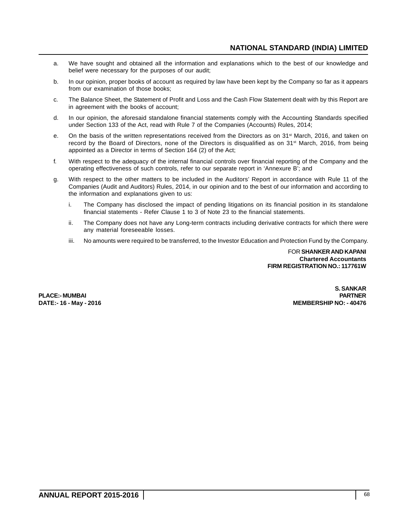- a. We have sought and obtained all the information and explanations which to the best of our knowledge and belief were necessary for the purposes of our audit;
- b. In our opinion, proper books of account as required by law have been kept by the Company so far as it appears from our examination of those books;
- c. The Balance Sheet, the Statement of Profit and Loss and the Cash Flow Statement dealt with by this Report are in agreement with the books of account;
- d. In our opinion, the aforesaid standalone financial statements comply with the Accounting Standards specified under Section 133 of the Act, read with Rule 7 of the Companies (Accounts) Rules, 2014;
- e. On the basis of the written representations received from the Directors as on 31<sup>st</sup> March, 2016, and taken on record by the Board of Directors, none of the Directors is disqualified as on 31<sup>st</sup> March, 2016, from being appointed as a Director in terms of Section 164 (2) of the Act;
- f. With respect to the adequacy of the internal financial controls over financial reporting of the Company and the operating effectiveness of such controls, refer to our separate report in 'Annexure B'; and
- g. With respect to the other matters to be included in the Auditors' Report in accordance with Rule 11 of the Companies (Audit and Auditors) Rules, 2014, in our opinion and to the best of our information and according to the information and explanations given to us:
	- i. The Company has disclosed the impact of pending litigations on its financial position in its standalone financial statements - Refer Clause 1 to 3 of Note 23 to the financial statements.
	- ii. The Company does not have any Long-term contracts including derivative contracts for which there were any material foreseeable losses.
	- iii. No amounts were required to be transferred, to the Investor Education and Protection Fund by the Company.

FOR **SHANKER AND KAPANI Chartered Accountants FIRM REGISTRATION NO.: 117761W**

**S. SANKAR PLACE:- MUMBAI PARTNER DATE:- 16 - May - 2016 MEMBERSHIP NO: - 40476**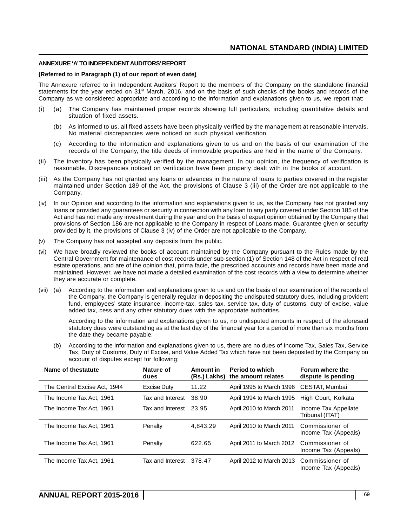## **ANNEXURE 'A' TO INDEPENDENT AUDITORS' REPORT**

### **(Referred to in Paragraph (1) of our report of even date)**

The Annexure referred to in Independent Auditors' Report to the members of the Company on the standalone financial statements for the year ended on 31<sup>st</sup> March, 2016, and on the basis of such checks of the books and records of the Company as we considered appropriate and according to the information and explanations given to us, we report that:

- (i) (a) The Company has maintained proper records showing full particulars, including quantitative details and situation of fixed assets.
	- (b) As informed to us, all fixed assets have been physically verified by the management at reasonable intervals. No material discrepancies were noticed on such physical verification.
	- (c) According to the information and explanations given to us and on the basis of our examination of the records of the Company, the title deeds of immovable properties are held in the name of the Company.
- (ii) The inventory has been physically verified by the management. In our opinion, the frequency of verification is reasonable. Discrepancies noticed on verification have been properly dealt with in the books of account.
- (iii) As the Company has not granted any loans or advances in the nature of loans to parties covered in the register maintained under Section 189 of the Act, the provisions of Clause 3 (iii) of the Order are not applicable to the Company.
- (iv) In our Opinion and according to the information and explanations given to us, as the Company has not granted any loans or provided any guarantees or security in connection with any loan to any party covered under Section 185 of the Act and has not made any investment during the year and on the basis of expert opinion obtained by the Company that provisions of Section 186 are not applicable to the Company in respect of Loans made, Guarantee given or security provided by it, the provisions of Clause 3 (iv) of the Order are not applicable to the Company.
- (v) The Company has not accepted any deposits from the public.
- (vi) We have broadly reviewed the books of account maintained by the Company pursuant to the Rules made by the Central Government for maintenance of cost records under sub-section (1) of Section 148 of the Act in respect of real estate operations, and are of the opinion that, prima facie, the prescribed accounts and records have been made and maintained. However, we have not made a detailed examination of the cost records with a view to determine whether they are accurate or complete.
- (vii) (a) According to the information and explanations given to us and on the basis of our examination of the records of the Company, the Company is generally regular in depositing the undisputed statutory dues, including provident fund, employees' state insurance, income-tax, sales tax, service tax, duty of customs, duty of excise, value added tax, cess and any other statutory dues with the appropriate authorities.

According to the information and explanations given to us, no undisputed amounts in respect of the aforesaid statutory dues were outstanding as at the last day of the financial year for a period of more than six months from the date they became payable.

(b) According to the information and explanations given to us, there are no dues of Income Tax, Sales Tax, Service Tax, Duty of Customs, Duty of Excise, and Value Added Tax which have not been deposited by the Company on account of disputes except for following:

| Name of thestatute           | Nature of<br>dues       | Amount in<br>(Rs.) Lakhs) | <b>Period to which</b><br>the amount relates | Forum where the<br>dispute is pending   |
|------------------------------|-------------------------|---------------------------|----------------------------------------------|-----------------------------------------|
| The Central Excise Act, 1944 | Excise Duty             | 11.22                     | April 1995 to March 1996 CESTAT. Mumbai      |                                         |
| The Income Tax Act, 1961     | Tax and Interest        | 38.90                     | April 1994 to March 1995                     | High Court, Kolkata                     |
| The Income Tax Act, 1961     | Tax and Interest        | 23.95                     | April 2010 to March 2011                     | Income Tax Appellate<br>Tribunal (ITAT) |
| The Income Tax Act, 1961     | Penalty                 | 4.843.29                  | April 2010 to March 2011                     | Commissioner of<br>Income Tax (Appeals) |
| The Income Tax Act, 1961     | Penalty                 | 622.65                    | April 2011 to March 2012                     | Commissioner of<br>Income Tax (Appeals) |
| The Income Tax Act, 1961     | Tax and Interest 378.47 |                           | April 2012 to March 2013 Commissioner of     | Income Tax (Appeals)                    |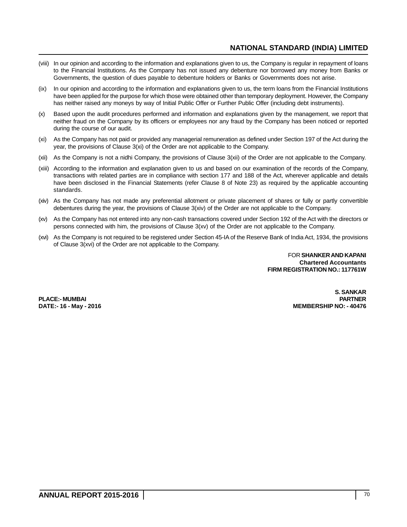- (viii) In our opinion and according to the information and explanations given to us, the Company is regular in repayment of loans to the Financial Institutions. As the Company has not issued any debenture nor borrowed any money from Banks or Governments, the question of dues payable to debenture holders or Banks or Governments does not arise.
- (ix) In our opinion and according to the information and explanations given to us, the term loans from the Financial Institutions have been applied for the purpose for which those were obtained other than temporary deployment. However, the Company has neither raised any moneys by way of Initial Public Offer or Further Public Offer (including debt instruments).
- (x) Based upon the audit procedures performed and information and explanations given by the management, we report that neither fraud on the Company by its officers or employees nor any fraud by the Company has been noticed or reported during the course of our audit.
- (xi) As the Company has not paid or provided any managerial remuneration as defined under Section 197 of the Act during the year, the provisions of Clause 3(xi) of the Order are not applicable to the Company.
- (xii) As the Company is not a nidhi Company, the provisions of Clause 3(xii) of the Order are not applicable to the Company.
- (xiii) According to the information and explanation given to us and based on our examination of the records of the Company, transactions with related parties are in compliance with section 177 and 188 of the Act, wherever applicable and details have been disclosed in the Financial Statements (refer Clause 8 of Note 23) as required by the applicable accounting standards.
- (xiv) As the Company has not made any preferential allotment or private placement of shares or fully or partly convertible debentures during the year, the provisions of Clause 3(xiv) of the Order are not applicable to the Company.
- (xv) As the Company has not entered into any non-cash transactions covered under Section 192 of the Act with the directors or persons connected with him, the provisions of Clause 3(xv) of the Order are not applicable to the Company.
- (xvi) As the Company is not required to be registered under Section 45-IA of the Reserve Bank of India Act, 1934, the provisions of Clause 3(xvi) of the Order are not applicable to the Company.

FOR **SHANKER AND KAPANI Chartered Accountants FIRM REGISTRATION NO.: 117761W**

**S. SANKAR PLACE:- MUMBAI PARTNER DATE:- 16 - May - 2016 MEMBERSHIP NO: - 40476**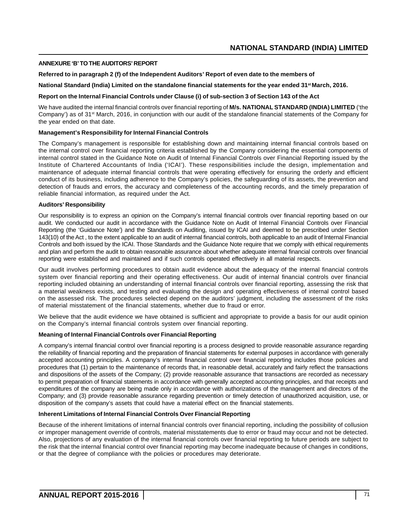# **ANNEXURE 'B' TO THE AUDITORS' REPORT**

## **Referred to in paragraph 2 (f) of the Independent Auditors' Report of even date to the members of**

## **National Standard (India) Limited on the standalone financial statements for the year ended 31st March, 2016.**

## **Report on the Internal Financial Controls under Clause (i) of sub-section 3 of Section 143 of the Act**

We have audited the internal financial controls over financial reporting of **M/s. NATIONAL STANDARD (INDIA) LIMITED** ('the Company') as of 31st March, 2016, in conjunction with our audit of the standalone financial statements of the Company for the year ended on that date.

#### **Management's Responsibility for Internal Financial Controls**

The Company's management is responsible for establishing down and maintaining internal financial controls based on the internal control over financial reporting criteria established by the Company considering the essential components of internal control stated in the Guidance Note on Audit of Internal Financial Controls over Financial Reporting issued by the Institute of Chartered Accountants of India ('ICAI'). These responsibilities include the design, implementation and maintenance of adequate internal financial controls that were operating effectively for ensuring the orderly and efficient conduct of its business, including adherence to the Company's policies, the safeguarding of its assets, the prevention and detection of frauds and errors, the accuracy and completeness of the accounting records, and the timely preparation of reliable financial information, as required under the Act.

## **Auditors' Responsibility**

Our responsibility is to express an opinion on the Company's internal financial controls over financial reporting based on our audit. We conducted our audit in accordance with the Guidance Note on Audit of Internal Financial Controls over Financial Reporting (the 'Guidance Note') and the Standards on Auditing, issued by ICAI and deemed to be prescribed under Section 143(10) of the Act , to the extent applicable to an audit of internal financial controls, both applicable to an audit of Internal Financial Controls and both issued by the ICAI. Those Standards and the Guidance Note require that we comply with ethical requirements and plan and perform the audit to obtain reasonable assurance about whether adequate internal financial controls over financial reporting were established and maintained and if such controls operated effectively in all material respects.

Our audit involves performing procedures to obtain audit evidence about the adequacy of the internal financial controls system over financial reporting and their operating effectiveness. Our audit of internal financial controls over financial reporting included obtaining an understanding of internal financial controls over financial reporting, assessing the risk that a material weakness exists, and testing and evaluating the design and operating effectiveness of internal control based on the assessed risk. The procedures selected depend on the auditors' judgment, including the assessment of the risks of material misstatement of the financial statements, whether due to fraud or error.

We believe that the audit evidence we have obtained is sufficient and appropriate to provide a basis for our audit opinion on the Company's internal financial controls system over financial reporting.

## **Meaning of Internal Financial Controls over Financial Reporting**

A company's internal financial control over financial reporting is a process designed to provide reasonable assurance regarding the reliability of financial reporting and the preparation of financial statements for external purposes in accordance with generally accepted accounting principles. A company's internal financial control over financial reporting includes those policies and procedures that (1) pertain to the maintenance of records that, in reasonable detail, accurately and fairly reflect the transactions and dispositions of the assets of the Company; (2) provide reasonable assurance that transactions are recorded as necessary to permit preparation of financial statements in accordance with generally accepted accounting principles, and that receipts and expenditures of the company are being made only in accordance with authorizations of the management and directors of the Company; and (3) provide reasonable assurance regarding prevention or timely detection of unauthorized acquisition, use, or disposition of the company's assets that could have a material effect on the financial statements.

## **Inherent Limitations of Internal Financial Controls Over Financial Reporting**

Because of the inherent limitations of internal financial controls over financial reporting, including the possibility of collusion or improper management override of controls, material misstatements due to error or fraud may occur and not be detected. Also, projections of any evaluation of the internal financial controls over financial reporting to future periods are subject to the risk that the internal financial control over financial reporting may become inadequate because of changes in conditions, or that the degree of compliance with the policies or procedures may deteriorate.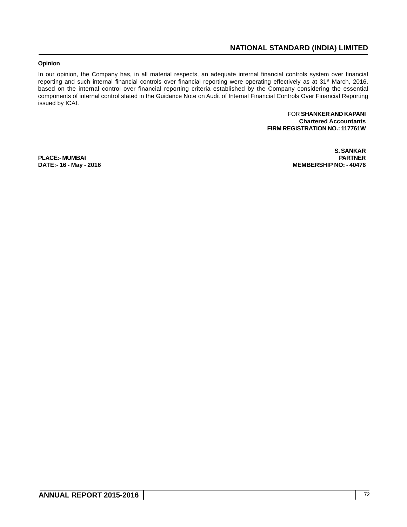#### **Opinion**

In our opinion, the Company has, in all material respects, an adequate internal financial controls system over financial reporting and such internal financial controls over financial reporting were operating effectively as at 31st March, 2016, based on the internal control over financial reporting criteria established by the Company considering the essential components of internal control stated in the Guidance Note on Audit of Internal Financial Controls Over Financial Reporting issued by ICAI.

> FOR **SHANKER AND KAPANI Chartered Accountants FIRM REGISTRATION NO.: 117761W**

**S. SANKAR PLACE:- MUMBAI PARTNER DATE:- 16 - May - 2016 MEMBERSHIP NO: - 40476**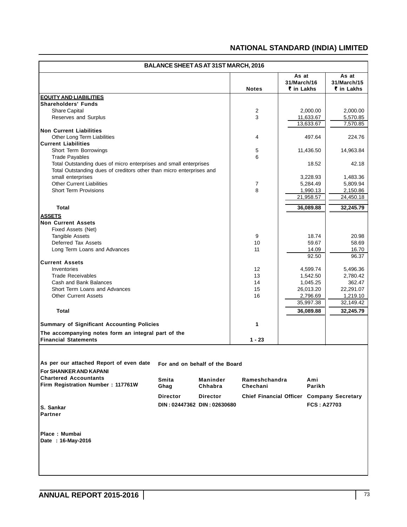| <b>BALANCE SHEET AS AT 31ST MARCH, 2016</b>                          |                 |                                |                |                                           |                                    |
|----------------------------------------------------------------------|-----------------|--------------------------------|----------------|-------------------------------------------|------------------------------------|
|                                                                      |                 |                                | <b>Notes</b>   | As at<br>31/March/16<br>₹ in Lakhs        | As at<br>31/March/15<br>₹ in Lakhs |
| <b>EQUITY AND LIABILITIES</b>                                        |                 |                                |                |                                           |                                    |
| <b>Shareholders' Funds</b>                                           |                 |                                |                |                                           |                                    |
| <b>Share Capital</b>                                                 |                 |                                | $\overline{2}$ | 2,000.00                                  | 2,000.00                           |
| Reserves and Surplus                                                 |                 |                                | 3              | 11,633.67                                 | 5,570.85                           |
|                                                                      |                 |                                |                | 13,633.67                                 | 7,570.85                           |
| <b>Non Current Liabilities</b>                                       |                 |                                |                |                                           |                                    |
| Other Long Term Liabilities<br><b>Current Liabilities</b>            |                 |                                | 4              | 497.64                                    | 224.76                             |
| Short Term Borrowings                                                |                 |                                | 5              | 11,436.50                                 | 14,963.84                          |
| <b>Trade Payables</b>                                                |                 |                                | 6              |                                           |                                    |
| Total Outstanding dues of micro enterprises and small enterprises    |                 |                                |                | 18.52                                     | 42.18                              |
| Total Outstanding dues of creditors other than micro enterprises and |                 |                                |                |                                           |                                    |
| small enterprises                                                    |                 |                                |                | 3,228.93                                  | 1,483.36                           |
| <b>Other Current Liabilities</b>                                     |                 |                                | 7              | 5,284.49                                  | 5,809.94                           |
| <b>Short Term Provisions</b>                                         |                 |                                | 8              | 1,990.13                                  | 2,150.86                           |
|                                                                      |                 |                                |                | 21,958.57                                 | 24,450.18                          |
|                                                                      |                 |                                |                |                                           |                                    |
| Total                                                                |                 |                                |                | 36,089.88                                 | 32,245.79                          |
| <b>ASSETS</b>                                                        |                 |                                |                |                                           |                                    |
| <b>Non Current Assets</b>                                            |                 |                                |                |                                           |                                    |
| Fixed Assets (Net)                                                   |                 |                                |                |                                           |                                    |
| <b>Tangible Assets</b>                                               |                 |                                | 9              | 18.74                                     | 20.98                              |
| Deferred Tax Assets                                                  |                 |                                | 10             | 59.67                                     | 58.69                              |
| Long Term Loans and Advances                                         |                 |                                | 11             | 14.09                                     | 16.70                              |
|                                                                      |                 |                                |                | 92.50                                     | 96.37                              |
| <b>Current Assets</b>                                                |                 |                                |                |                                           |                                    |
| Inventories                                                          |                 |                                | 12             | 4,599.74                                  | 5,496.36                           |
| <b>Trade Receivables</b>                                             |                 |                                | 13             | 1,542.50                                  | 2,780.42                           |
| Cash and Bank Balances                                               |                 |                                | 14             | 1,045.25                                  | 362.47                             |
| Short Term Loans and Advances                                        |                 |                                | 15             | 26,013.20                                 | 22,291.07                          |
| <b>Other Current Assets</b>                                          |                 |                                | 16             | 2,796.69                                  | 1,219.10                           |
|                                                                      |                 |                                |                | 35,997.38                                 | 32,149.42                          |
| Total                                                                |                 |                                |                | 36,089.88                                 | 32,245.79                          |
| <b>Summary of Significant Accounting Policies</b>                    |                 |                                | 1              |                                           |                                    |
| The accompanying notes form an integral part of the                  |                 |                                |                |                                           |                                    |
| <b>Financial Statements</b>                                          |                 |                                | $1 - 23$       |                                           |                                    |
|                                                                      |                 |                                |                |                                           |                                    |
|                                                                      |                 |                                |                |                                           |                                    |
| As per our attached Report of even date                              |                 | For and on behalf of the Board |                |                                           |                                    |
| <b>For SHANKER AND KAPANI</b>                                        |                 |                                |                |                                           |                                    |
| <b>Chartered Accountants</b>                                         | Smita           | Maninder                       | Rameshchandra  | Ami                                       |                                    |
| Firm Registration Number: 117761W                                    | Ghag            | Chhabra                        | Chechani       | Parikh                                    |                                    |
|                                                                      |                 |                                |                |                                           |                                    |
|                                                                      | <b>Director</b> | <b>Director</b>                |                | Chief Financial Officer Company Secretary |                                    |
| S. Sankar                                                            |                 | DIN: 02447362 DIN: 02630680    |                | <b>FCS: A27703</b>                        |                                    |
| Partner                                                              |                 |                                |                |                                           |                                    |
|                                                                      |                 |                                |                |                                           |                                    |
|                                                                      |                 |                                |                |                                           |                                    |
| Place: Mumbai                                                        |                 |                                |                |                                           |                                    |
| Date: 16-May-2016                                                    |                 |                                |                |                                           |                                    |
|                                                                      |                 |                                |                |                                           |                                    |
|                                                                      |                 |                                |                |                                           |                                    |
|                                                                      |                 |                                |                |                                           |                                    |
|                                                                      |                 |                                |                |                                           |                                    |
|                                                                      |                 |                                |                |                                           |                                    |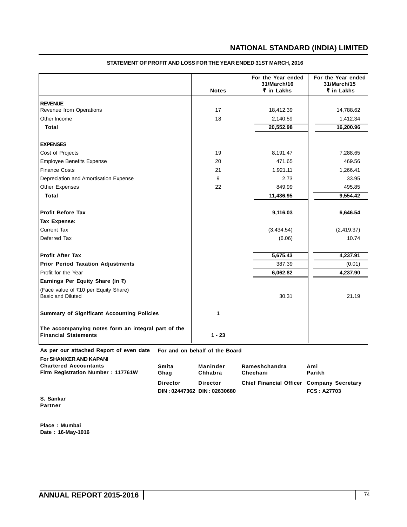|                                                                                    | <b>Notes</b> | For the Year ended<br>31/March/16<br>₹ in Lakhs | For the Year ended<br>31/March/15<br>₹ in Lakhs |
|------------------------------------------------------------------------------------|--------------|-------------------------------------------------|-------------------------------------------------|
| <b>REVENUE</b>                                                                     |              |                                                 |                                                 |
| Revenue from Operations                                                            | 17           | 18,412.39                                       | 14,788.62                                       |
| Other Income                                                                       | 18           | 2,140.59                                        | 1,412.34                                        |
| Total                                                                              |              | 20,552.98                                       | 16,200.96                                       |
| <b>EXPENSES</b>                                                                    |              |                                                 |                                                 |
| Cost of Projects                                                                   | 19           | 8,191.47                                        | 7,288.65                                        |
| <b>Employee Benefits Expense</b>                                                   | 20           | 471.65                                          | 469.56                                          |
| <b>Finance Costs</b>                                                               | 21           | 1,921.11                                        | 1,266.41                                        |
| Depreciation and Amortisation Expense                                              | 9            | 2.73                                            | 33.95                                           |
| Other Expenses                                                                     | 22           | 849.99                                          | 495.85                                          |
| <b>Total</b>                                                                       |              | 11,436.95                                       | 9,554.42                                        |
| <b>Profit Before Tax</b>                                                           |              | 9,116.03                                        | 6,646.54                                        |
| Tax Expense:                                                                       |              |                                                 |                                                 |
| <b>Current Tax</b>                                                                 |              | (3,434.54)                                      | (2,419.37)                                      |
| Deferred Tax                                                                       |              | (6.06)                                          | 10.74                                           |
| <b>Profit After Tax</b>                                                            |              | 5,675.43                                        | 4,237.91                                        |
| <b>Prior Period Taxation Adjustments</b>                                           |              | 387.39                                          | (0.01)                                          |
| Profit for the Year                                                                |              | 6,062.82                                        | 4,237.90                                        |
| Earnings Per Equity Share (in ₹)                                                   |              |                                                 |                                                 |
| (Face value of ₹10 per Equity Share)<br><b>Basic and Diluted</b>                   |              | 30.31                                           | 21.19                                           |
| <b>Summary of Significant Accounting Policies</b>                                  | 1            |                                                 |                                                 |
| The accompanying notes form an integral part of the<br><b>Financial Statements</b> | $1 - 23$     |                                                 |                                                 |

#### **STATEMENT OF PROFIT AND LOSS FOR THE YEAR ENDED 31ST MARCH, 2016**

**As per our attached Report of even date For and on behalf of the Board**

| For SHANKER AND KAPANI            |                 |                             |                                           |                    |
|-----------------------------------|-----------------|-----------------------------|-------------------------------------------|--------------------|
| <b>Chartered Accountants</b>      | Smita           | Maninder                    | Rameshchandra                             | Ami                |
| Firm Registration Number: 117761W | Ghag            | Chhabra                     | Chechani                                  | Parikh             |
|                                   | <b>Director</b> | <b>Director</b>             | Chief Financial Officer Company Secretary |                    |
|                                   |                 | DIN: 02447362 DIN: 02630680 |                                           | <b>FCS: A27703</b> |
| $R = R + L + L$                   |                 |                             |                                           |                    |

**S. Sankar Partner**

**Place : Mumbai Date : 16-May-1016**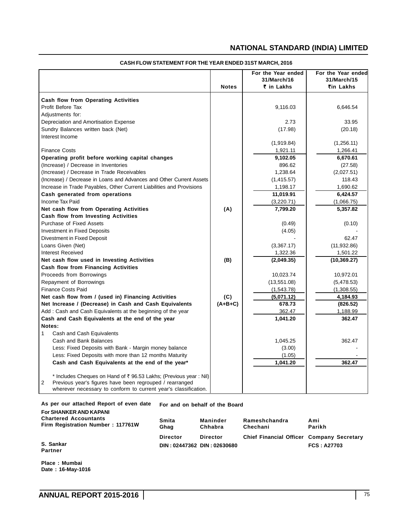|                                                                                                                                                                                                      | <b>Notes</b> | For the Year ended<br>31/March/16<br>₹ in Lakhs | For the Year ended<br>31/March/15<br>₹in Lakhs |
|------------------------------------------------------------------------------------------------------------------------------------------------------------------------------------------------------|--------------|-------------------------------------------------|------------------------------------------------|
| <b>Cash flow from Operating Activities</b>                                                                                                                                                           |              |                                                 |                                                |
| Profit Before Tax                                                                                                                                                                                    |              | 9,116.03                                        | 6,646.54                                       |
| Adjustments for:                                                                                                                                                                                     |              |                                                 |                                                |
| Depreciation and Amortisation Expense                                                                                                                                                                |              | 2.73                                            | 33.95                                          |
| Sundry Balances written back (Net)                                                                                                                                                                   |              | (17.98)                                         | (20.18)                                        |
| Interest Income                                                                                                                                                                                      |              |                                                 |                                                |
|                                                                                                                                                                                                      |              | (1,919.84)                                      | (1,256.11)                                     |
| <b>Finance Costs</b>                                                                                                                                                                                 |              | 1,921.11                                        | 1,266.41                                       |
| Operating profit before working capital changes                                                                                                                                                      |              | 9,102.05                                        | 6,670.61                                       |
| (Increase) / Decrease in Inventories                                                                                                                                                                 |              | 896.62                                          | (27.58)                                        |
| (Increase) / Decrease in Trade Receivables                                                                                                                                                           |              | 1,238.64                                        | (2,027.51)                                     |
| (Increase) / Decrease in Loans and Advances and Other Current Assets                                                                                                                                 |              | (1,415.57)                                      | 118.43                                         |
| Increase in Trade Payables, Other Current Liabilities and Provisions                                                                                                                                 |              | 1,198.17                                        | 1,690.62                                       |
| Cash generated from operations                                                                                                                                                                       |              | 11,019.91                                       | 6,424.57                                       |
| Income Tax Paid                                                                                                                                                                                      |              | (3,220.71)                                      | (1,066.75)                                     |
| Net cash flow from Operating Activities                                                                                                                                                              | (A)          | 7,799.20                                        | 5,357.82                                       |
| Cash flow from Investing Activities                                                                                                                                                                  |              |                                                 |                                                |
| Purchase of Fixed Assets                                                                                                                                                                             |              | (0.49)                                          | (0.10)                                         |
| <b>Investment in Fixed Deposits</b>                                                                                                                                                                  |              | (4.05)                                          |                                                |
| Divestment in Fixed Deposit                                                                                                                                                                          |              |                                                 | 62.47                                          |
| Loans Given (Net)                                                                                                                                                                                    |              | (3,367.17)                                      | (11, 932.86)                                   |
| Interest Received                                                                                                                                                                                    |              | 1,322.36                                        | 1,501.22                                       |
| Net cash flow used in Investing Activities                                                                                                                                                           | (B)          | (2,049.35)                                      | (10, 369.27)                                   |
| <b>Cash flow from Financing Activities</b>                                                                                                                                                           |              |                                                 |                                                |
| Proceeds from Borrowings                                                                                                                                                                             |              | 10,023.74                                       | 10,972.01                                      |
| Repayment of Borrowings                                                                                                                                                                              |              | (13,551.08)                                     | (5,478.53)                                     |
| <b>Finance Costs Paid</b>                                                                                                                                                                            |              | (1,543.78)                                      | (1,308.55)                                     |
| Net cash flow from / (used in) Financing Activities                                                                                                                                                  | (C)          | (5,071.12)                                      | 4,184.93                                       |
| Net Increase / (Decrease) in Cash and Cash Equivalents                                                                                                                                               | $(A+B+C)$    | 678.73                                          | (826.52)                                       |
| Add: Cash and Cash Equivalents at the beginning of the year                                                                                                                                          |              | 362.47                                          | 1,188.99                                       |
| Cash and Cash Equivalents at the end of the year                                                                                                                                                     |              | 1,041.20                                        | 362.47                                         |
| Notes:                                                                                                                                                                                               |              |                                                 |                                                |
| Cash and Cash Equivalents<br>1                                                                                                                                                                       |              |                                                 |                                                |
| Cash and Bank Balances                                                                                                                                                                               |              | 1,045.25                                        | 362.47                                         |
| Less: Fixed Deposits with Bank - Margin money balance                                                                                                                                                |              | (3.00)                                          |                                                |
| Less: Fixed Deposits with more than 12 months Maturity                                                                                                                                               |              | (1.05)                                          |                                                |
| Cash and Cash Equivalents at the end of the year*                                                                                                                                                    |              | 1,041.20                                        | 362.47                                         |
| * Includes Cheques on Hand of ₹96.53 Lakhs; (Previous year: Nil)<br>2<br>Previous year's figures have been regrouped / rearranged<br>wherever necessary to conform to current year's classification. |              |                                                 |                                                |

#### **CASH FLOW STATEMENT FOR THE YEAR ENDED 31ST MARCH, 2016**

**As per our attached Report of even date For SHANKER AND KAPANI Chartered Accountants Firm Registration Number : 117761W S. Sankar Partner For and on behalf of the Board Smita Maninder Rameshchandra Ami Ghag Chhabra Chechani Parikh Director Director Chief Financial Officer Company Secretary DIN : 02447362 DIN : 02630680 FCS : A27703**

**Place : Mumbai Date : 16-May-1016**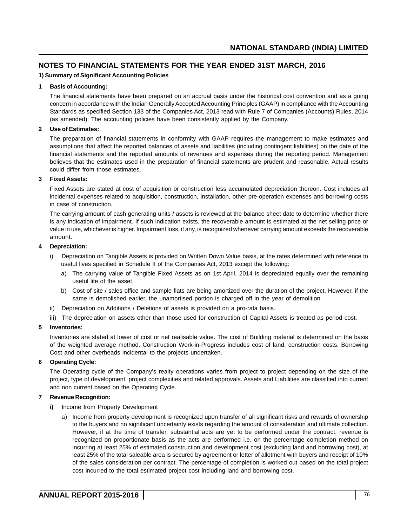### **NOTES TO FINANCIAL STATEMENTS FOR THE YEAR ENDED 31ST MARCH, 2016**

#### **1) Summary of Significant Accounting Policies**

#### **1 Basis of Accounting:**

The financial statements have been prepared on an accrual basis under the historical cost convention and as a going concern in accordance with the Indian Generally Accepted Accounting Principles (GAAP) in compliance with the Accounting Standards as specified Section 133 of the Companies Act, 2013 read with Rule 7 of Companies (Accounts) Rules, 2014 (as amended). The accounting policies have been consistently applied by the Company.

#### **2 Use of Estimates:**

The preparation of financial statements in conformity with GAAP requires the management to make estimates and assumptions that affect the reported balances of assets and liabilities (including contingent liabilities) on the date of the financial statements and the reported amounts of revenues and expenses during the reporting period. Management believes that the estimates used in the preparation of financial statements are prudent and reasonable. Actual results could differ from those estimates.

#### **3 Fixed Assets:**

Fixed Assets are stated at cost of acquisition or construction less accumulated depreciation thereon. Cost includes all incidental expenses related to acquisition, construction, installation, other pre-operation expenses and borrowing costs in case of construction.

The carrying amount of cash generating units / assets is reviewed at the balance sheet date to determine whether there is any indication of impairment. If such indication exists, the recoverable amount is estimated at the net selling price or value in use, whichever is higher. Impairment loss, if any, is recognized whenever carrying amount exceeds the recoverable amount.

#### **4 Depreciation:**

- Depreciation on Tangible Assets is provided on Written Down Value basis, at the rates determined with reference to useful lives specified in Schedule II of the Companies Act, 2013 except the following:
	- a) The carrying value of Tangible Fixed Assets as on 1st April, 2014 is depreciated equally over the remaining useful life of the asset.
	- b) Cost of site / sales office and sample flats are being amortized over the duration of the project. However, if the same is demolished earlier, the unamortised portion is charged off in the year of demolition.
- ii) Depreciation on Additions / Deletions of assets is provided on a pro-rata basis.
- iii) The depreciation on assets other than those used for construction of Capital Assets is treated as period cost.

#### **5 Inventories:**

Inventories are stated at lower of cost or net realisable value. The cost of Building material is determined on the basis of the weighted average method. Construction Work-in-Progress includes cost of land, construction costs, Borrowing Cost and other overheads incidental to the projects undertaken.

#### **6 Operating Cycle:**

The Operating cycle of the Company's realty operations varies from project to project depending on the size of the project, type of development, project complexities and related approvals. Assets and Liabilities are classified into current and non current based on the Operating Cycle.

#### **7 Revenue Recognition:**

- **i)** Income from Property Development
	- a) Income from property development is recognized upon transfer of all significant risks and rewards of ownership to the buyers and no significant uncertainty exists regarding the amount of consideration and ultimate collection. However, if at the time of transfer, substantial acts are yet to be performed under the contract, revenue is recognized on proportionate basis as the acts are performed i.e. on the percentage completion method on incurring at least 25% of estimated construction and development cost (excluding land and borrowing cost), at least 25% of the total saleable area is secured by agreement or letter of allotment with buyers and receipt of 10% of the sales consideration per contract. The percentage of completion is worked out based on the total project cost incurred to the total estimated project cost including land and borrowing cost.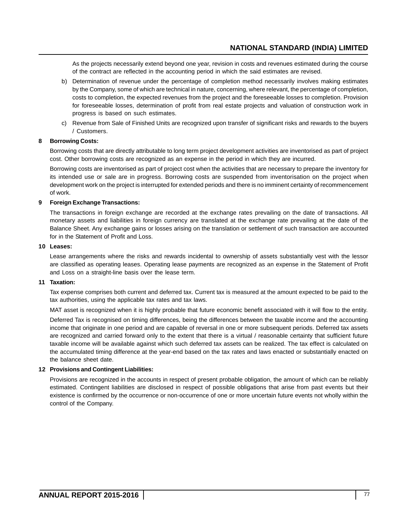As the projects necessarily extend beyond one year, revision in costs and revenues estimated during the course of the contract are reflected in the accounting period in which the said estimates are revised.

- b) Determination of revenue under the percentage of completion method necessarily involves making estimates by the Company, some of which are technical in nature, concerning, where relevant, the percentage of completion, costs to completion, the expected revenues from the project and the foreseeable losses to completion. Provision for foreseeable losses, determination of profit from real estate projects and valuation of construction work in progress is based on such estimates.
- c) Revenue from Sale of Finished Units are recognized upon transfer of significant risks and rewards to the buyers / Customers.

#### **8 Borrowing Costs:**

Borrowing costs that are directly attributable to long term project development activities are inventorised as part of project cost. Other borrowing costs are recognized as an expense in the period in which they are incurred.

Borrowing costs are inventorised as part of project cost when the activities that are necessary to prepare the inventory for its intended use or sale are in progress. Borrowing costs are suspended from inventorisation on the project when development work on the project is interrupted for extended periods and there is no imminent certainty of recommencement of work.

#### **9 Foreign Exchange Transactions:**

The transactions in foreign exchange are recorded at the exchange rates prevailing on the date of transactions. All monetary assets and liabilities in foreign currency are translated at the exchange rate prevailing at the date of the Balance Sheet. Any exchange gains or losses arising on the translation or settlement of such transaction are accounted for in the Statement of Profit and Loss.

#### **10 Leases:**

Lease arrangements where the risks and rewards incidental to ownership of assets substantially vest with the lessor are classified as operating leases. Operating lease payments are recognized as an expense in the Statement of Profit and Loss on a straight-line basis over the lease term.

#### **11 Taxation:**

Tax expense comprises both current and deferred tax. Current tax is measured at the amount expected to be paid to the tax authorities, using the applicable tax rates and tax laws.

MAT asset is recognized when it is highly probable that future economic benefit associated with it will flow to the entity.

Deferred Tax is recognised on timing differences, being the differences between the taxable income and the accounting income that originate in one period and are capable of reversal in one or more subsequent periods. Deferred tax assets are recognized and carried forward only to the extent that there is a virtual / reasonable certainty that sufficient future taxable income will be available against which such deferred tax assets can be realized. The tax effect is calculated on the accumulated timing difference at the year-end based on the tax rates and laws enacted or substantially enacted on the balance sheet date.

#### **12 Provisions and Contingent Liabilities:**

Provisions are recognized in the accounts in respect of present probable obligation, the amount of which can be reliably estimated. Contingent liabilities are disclosed in respect of possible obligations that arise from past events but their existence is confirmed by the occurrence or non-occurrence of one or more uncertain future events not wholly within the control of the Company.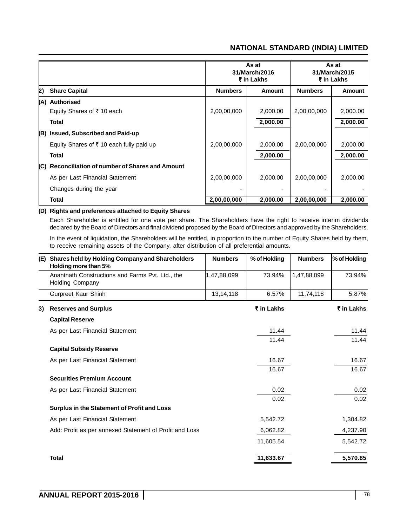|     |                                                      |                | As at<br>31/March/2016<br>₹ in Lakhs |                | As at<br>31/March/2015<br>₹ in Lakhs |
|-----|------------------------------------------------------|----------------|--------------------------------------|----------------|--------------------------------------|
| 2)  | <b>Share Capital</b>                                 | <b>Numbers</b> | Amount                               | <b>Numbers</b> | Amount                               |
| (A) | <b>Authorised</b>                                    |                |                                      |                |                                      |
|     | Equity Shares of ₹10 each                            | 2,00,00,000    | 2,000.00                             | 2,00,00,000    | 2,000.00                             |
|     | <b>Total</b>                                         |                | 2,000.00                             |                | 2,000.00                             |
| (B) | <b>Issued, Subscribed and Paid-up</b>                |                |                                      |                |                                      |
|     | Equity Shares of $\bar{\tau}$ 10 each fully paid up  | 2,00,00,000    | 2,000.00                             | 2,00,00,000    | 2,000.00                             |
|     | <b>Total</b>                                         |                | 2,000.00                             |                | 2,000.00                             |
| (C) | <b>Reconciliation of number of Shares and Amount</b> |                |                                      |                |                                      |
|     | As per Last Financial Statement                      | 2,00,00,000    | 2,000.00                             | 2,00,00,000    | 2,000.00                             |
|     | Changes during the year                              |                |                                      |                |                                      |
|     | <b>Total</b>                                         | 2,00,00,000    | 2,000.00                             | 2,00,00,000    | 2,000.00                             |

#### **(D) Rights and preferences attached to Equity Shares**

Each Shareholder is entitled for one vote per share. The Shareholders have the right to receive interim dividends declared by the Board of Directors and final dividend proposed by the Board of Directors and approved by the Shareholders.

In the event of liquidation, the Shareholders will be entitled, in proportion to the number of Equity Shares held by them, to receive remaining assets of the Company, after distribution of all preferential amounts.

| (E) | Shares held by Holding Company and Shareholders<br>Holding more than 5% | <b>Numbers</b> | % of Holding | <b>Numbers</b> | % of Holding |
|-----|-------------------------------------------------------------------------|----------------|--------------|----------------|--------------|
|     | Anantnath Constructions and Farms Pvt. Ltd., the<br>Holding Company     | 1,47,88,099    | 73.94%       | 1,47,88,099    | 73.94%       |
|     | Gurpreet Kaur Shinh                                                     | 13,14,118      | 6.57%        | 11,74,118      | 5.87%        |
| 3)  | <b>Reserves and Surplus</b>                                             |                | ₹ in Lakhs   |                | ₹ in Lakhs   |
|     | <b>Capital Reserve</b>                                                  |                |              |                |              |
|     | As per Last Financial Statement                                         |                | 11.44        |                | 11.44        |
|     |                                                                         |                | 11.44        |                | 11.44        |
|     | <b>Capital Subsidy Reserve</b>                                          |                |              |                |              |
|     | As per Last Financial Statement                                         |                | 16.67        |                | 16.67        |
|     |                                                                         |                | 16.67        |                | 16.67        |
|     | <b>Securities Premium Account</b>                                       |                |              |                |              |
|     | As per Last Financial Statement                                         |                | 0.02         |                | 0.02         |
|     |                                                                         |                | 0.02         |                | 0.02         |
|     | Surplus in the Statement of Profit and Loss                             |                |              |                |              |
|     | As per Last Financial Statement                                         |                | 5,542.72     |                | 1,304.82     |
|     | Add: Profit as per annexed Statement of Profit and Loss                 |                | 6,062.82     |                | 4,237.90     |
|     |                                                                         |                | 11,605.54    |                | 5,542.72     |
|     | <b>Total</b>                                                            |                | 11,633.67    |                | 5,570.85     |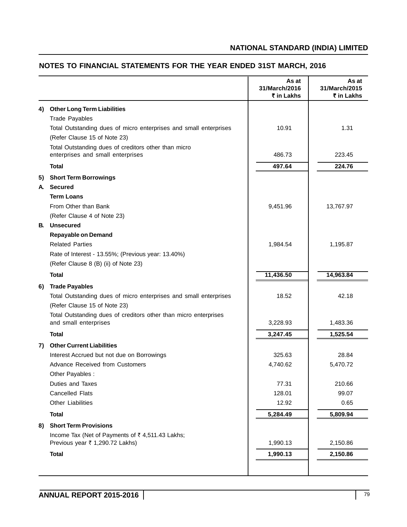## **NOTES TO FINANCIAL STATEMENTS FOR THE YEAR ENDED 31ST MARCH, 2016**

|    |                                                                   | As at<br>31/March/2016<br>₹ in Lakhs | As at<br>31/March/2015<br>₹ in Lakhs |
|----|-------------------------------------------------------------------|--------------------------------------|--------------------------------------|
| 4) | <b>Other Long Term Liabilities</b>                                |                                      |                                      |
|    | <b>Trade Payables</b>                                             |                                      |                                      |
|    | Total Outstanding dues of micro enterprises and small enterprises | 10.91                                | 1.31                                 |
|    | (Refer Clause 15 of Note 23)                                      |                                      |                                      |
|    | Total Outstanding dues of creditors other than micro              |                                      |                                      |
|    | enterprises and small enterprises                                 | 486.73                               | 223.45                               |
|    | <b>Total</b>                                                      | 497.64                               | 224.76                               |
| 5) | <b>Short Term Borrowings</b>                                      |                                      |                                      |
| А. | <b>Secured</b>                                                    |                                      |                                      |
|    | <b>Term Loans</b>                                                 |                                      |                                      |
|    | From Other than Bank                                              | 9,451.96                             | 13,767.97                            |
|    | (Refer Clause 4 of Note 23)                                       |                                      |                                      |
|    | <b>B.</b> Unsecured                                               |                                      |                                      |
|    | <b>Repayable on Demand</b>                                        |                                      |                                      |
|    | <b>Related Parties</b>                                            | 1,984.54                             | 1,195.87                             |
|    | Rate of Interest - 13.55%; (Previous year: 13.40%)                |                                      |                                      |
|    | (Refer Clause 8 (B) (ii) of Note 23)                              |                                      |                                      |
|    | <b>Total</b>                                                      | 11,436.50                            | 14,963.84                            |
| 6) | <b>Trade Payables</b>                                             |                                      |                                      |
|    | Total Outstanding dues of micro enterprises and small enterprises | 18.52                                | 42.18                                |
|    | (Refer Clause 15 of Note 23)                                      |                                      |                                      |
|    | Total Outstanding dues of creditors other than micro enterprises  |                                      |                                      |
|    | and small enterprises                                             | 3,228.93                             | 1,483.36                             |
|    | <b>Total</b>                                                      | 3,247.45                             | 1,525.54                             |
| 7) | <b>Other Current Liabilities</b>                                  |                                      |                                      |
|    | Interest Accrued but not due on Borrowings                        | 325.63                               | 28.84                                |
|    | <b>Advance Received from Customers</b>                            | 4,740.62                             | 5,470.72                             |
|    | Other Payables:                                                   |                                      |                                      |
|    | Duties and Taxes                                                  | 77.31                                | 210.66                               |
|    | <b>Cancelled Flats</b>                                            | 128.01                               | 99.07                                |
|    | <b>Other Liabilities</b>                                          | 12.92                                | 0.65                                 |
|    | <b>Total</b>                                                      | 5,284.49                             | 5,809.94                             |
| 8) | <b>Short Term Provisions</b>                                      |                                      |                                      |
|    | Income Tax (Net of Payments of ₹4,511.43 Lakhs;                   |                                      |                                      |
|    | Previous year ₹ 1,290.72 Lakhs)                                   | 1,990.13                             | 2,150.86                             |
|    | <b>Total</b>                                                      | 1,990.13                             | 2,150.86                             |
|    |                                                                   |                                      |                                      |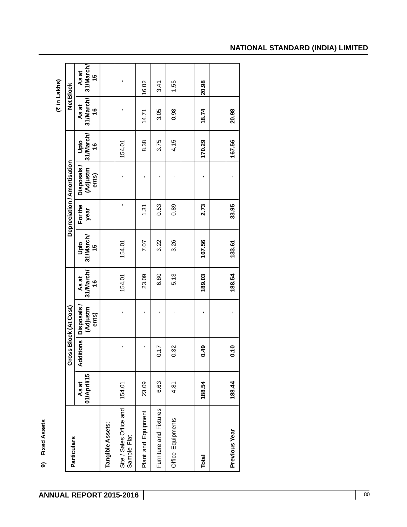|  |  | <b>ANNUAL REPORT 2015-2016</b> |
|--|--|--------------------------------|
|--|--|--------------------------------|

| <b>Particulars</b>                     |                      |           | Gross Block (At Cost)           |                                     |                        |                 | Depreciation/Amortisation       |                         | Net Block                           |           |
|----------------------------------------|----------------------|-----------|---------------------------------|-------------------------------------|------------------------|-----------------|---------------------------------|-------------------------|-------------------------------------|-----------|
|                                        | 01/April/15<br>As at | Additions | Disposals/<br>(Adjustm<br>ents) | 31/March/<br>As at<br>$\frac{6}{5}$ | 31March/<br>Upto<br>15 | For the<br>year | Disposals/<br>(Adjustm<br>ents) | 31/March/<br>Upto<br>16 | 31/March/<br>As at<br>$\frac{6}{1}$ | 31/March/ |
| Tangible Assets:                       |                      |           |                                 |                                     |                        |                 |                                 |                         |                                     |           |
| Site / Sales Office and<br>Sample Flat | 154.01               |           | $\blacksquare$                  | 154.01                              | 154.01                 | $\blacksquare$  | $\blacksquare$                  | 154.01                  |                                     |           |
| Plant and Equipment                    | 23.09                |           | $\blacksquare$                  | 23.09                               | 7.07                   | 1.31            | $\blacksquare$                  | 8.38                    | 14.71                               | 16.02     |
| Furniture and Fixtures                 | 6.63                 | 0.17      | $\blacksquare$                  | 6.80                                | 3.22                   | 0.53            | $\blacksquare$                  | 3.75                    | 3.05                                | 3.41      |
| Office Equipments                      | 4.81                 | 0.32      | $\blacksquare$                  | 5.13                                | 3.26                   | 0.89            | $\blacksquare$                  | 4.15                    | 0.98                                | 1.55      |
|                                        |                      |           |                                 |                                     |                        |                 |                                 |                         |                                     |           |
| <b>Total</b>                           | 188.54               | 0.49      | $\blacksquare$                  | 189.03                              | 167.56                 | 2.73            | $\blacksquare$                  | 170.29                  | 18.74                               | 20.98     |
|                                        |                      |           |                                 |                                     |                        |                 |                                 |                         |                                     |           |
|                                        |                      |           |                                 |                                     |                        |                 |                                 |                         |                                     |           |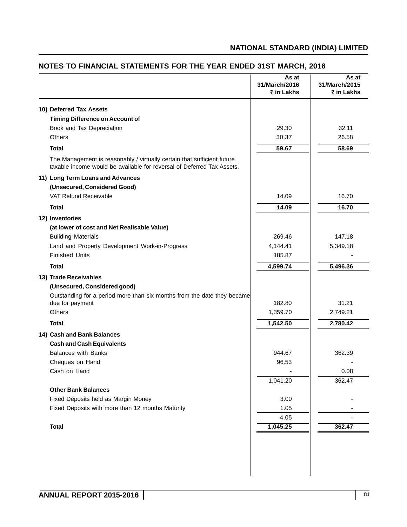|                                                                                                                                                   | As at<br>31/March/2016<br>₹ in Lakhs | As at<br>31/March/2015<br>₹ in Lakhs |
|---------------------------------------------------------------------------------------------------------------------------------------------------|--------------------------------------|--------------------------------------|
| 10) Deferred Tax Assets                                                                                                                           |                                      |                                      |
| <b>Timing Difference on Account of</b>                                                                                                            |                                      |                                      |
| Book and Tax Depreciation                                                                                                                         | 29.30                                | 32.11                                |
| <b>Others</b>                                                                                                                                     | 30.37                                | 26.58                                |
| <b>Total</b>                                                                                                                                      | 59.67                                | 58.69                                |
| The Management is reasonably / virtually certain that sufficient future<br>taxable income would be available for reversal of Deferred Tax Assets. |                                      |                                      |
| 11) Long Term Loans and Advances                                                                                                                  |                                      |                                      |
| (Unsecured, Considered Good)                                                                                                                      |                                      |                                      |
| VAT Refund Receivable                                                                                                                             | 14.09                                | 16.70                                |
| Total                                                                                                                                             | 14.09                                | 16.70                                |
| 12) Inventories                                                                                                                                   |                                      |                                      |
| (at lower of cost and Net Realisable Value)                                                                                                       |                                      |                                      |
| <b>Building Materials</b>                                                                                                                         | 269.46                               | 147.18                               |
| Land and Property Development Work-in-Progress                                                                                                    | 4,144.41                             | 5,349.18                             |
| <b>Finished Units</b>                                                                                                                             | 185.87                               |                                      |
| <b>Total</b>                                                                                                                                      | 4,599.74                             | 5,496.36                             |
| 13) Trade Receivables                                                                                                                             |                                      |                                      |
| (Unsecured, Considered good)                                                                                                                      |                                      |                                      |
| Outstanding for a period more than six months from the date they became                                                                           |                                      |                                      |
| due for payment                                                                                                                                   | 182.80                               | 31.21                                |
| <b>Others</b>                                                                                                                                     | 1,359.70                             | 2,749.21                             |
| <b>Total</b>                                                                                                                                      | 1,542.50                             | 2,780.42                             |
| 14) Cash and Bank Balances                                                                                                                        |                                      |                                      |
| <b>Cash and Cash Equivalents</b>                                                                                                                  |                                      |                                      |
| <b>Balances with Banks</b>                                                                                                                        | 944.67                               | 362.39                               |
| Cheques on Hand                                                                                                                                   | 96.53                                |                                      |
| Cash on Hand                                                                                                                                      |                                      | 0.08                                 |
|                                                                                                                                                   | 1,041.20                             | 362.47                               |
| <b>Other Bank Balances</b>                                                                                                                        |                                      |                                      |
| Fixed Deposits held as Margin Money                                                                                                               | 3.00                                 |                                      |
| Fixed Deposits with more than 12 months Maturity                                                                                                  | 1.05                                 |                                      |
| <b>Total</b>                                                                                                                                      | 4.05<br>1,045.25                     | 362.47                               |
|                                                                                                                                                   |                                      |                                      |
|                                                                                                                                                   |                                      |                                      |
|                                                                                                                                                   |                                      |                                      |

## **NOTES TO FINANCIAL STATEMENTS FOR THE YEAR ENDED 31ST MARCH, 2016**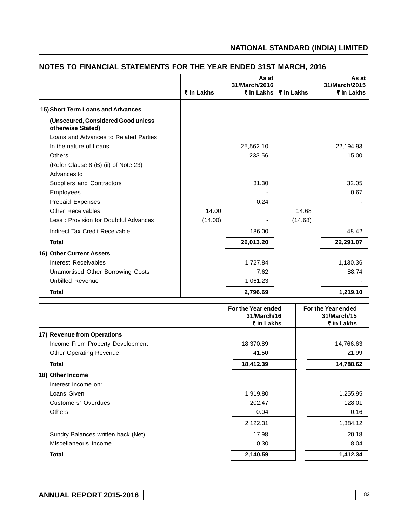## **NOTES TO FINANCIAL STATEMENTS FOR THE YEAR ENDED 31ST MARCH, 2016**

|                                                         | ₹ in Lakhs | As at<br>31/March/2016<br>₹ in Lakhs | ₹ in Lakhs | As at<br>31/March/2015<br>₹ in Lakhs |
|---------------------------------------------------------|------------|--------------------------------------|------------|--------------------------------------|
| 15) Short Term Loans and Advances                       |            |                                      |            |                                      |
| (Unsecured, Considered Good unless<br>otherwise Stated) |            |                                      |            |                                      |
| Loans and Advances to Related Parties                   |            |                                      |            |                                      |
| In the nature of Loans                                  |            | 25,562.10                            |            | 22,194.93                            |
| Others                                                  |            | 233.56                               |            | 15.00                                |
| (Refer Clause 8 (B) (ii) of Note 23)                    |            |                                      |            |                                      |
| Advances to:                                            |            |                                      |            |                                      |
| Suppliers and Contractors                               |            | 31.30                                |            | 32.05                                |
| Employees                                               |            |                                      |            | 0.67                                 |
| Prepaid Expenses                                        |            | 0.24                                 |            |                                      |
| <b>Other Receivables</b>                                | 14.00      |                                      | 14.68      |                                      |
| Less: Provision for Doubtful Advances                   | (14.00)    |                                      | (14.68)    |                                      |
| Indirect Tax Credit Receivable                          |            | 186.00                               |            | 48.42                                |
| Total                                                   |            | 26,013.20                            |            | 22,291.07                            |
| 16) Other Current Assets                                |            |                                      |            |                                      |
| Interest Receivables                                    |            | 1,727.84                             |            | 1,130.36                             |
| Unamortised Other Borrowing Costs                       |            | 7.62                                 |            | 88.74                                |
| <b>Unbilled Revenue</b>                                 |            | 1,061.23                             |            |                                      |
| <b>Total</b>                                            |            | 2,796.69                             |            | 1,219.10                             |
|                                                         |            | For the Year ended                   |            | For the Year ended                   |
|                                                         |            | 31/March/16                          |            | 31/March/15                          |
|                                                         |            | ₹ in Lakhs                           |            | ₹ in Lakhs                           |
| 17) Revenue from Operations                             |            |                                      |            |                                      |
| Income From Property Development                        |            | 18,370.89                            |            | 14,766.63                            |
| <b>Other Operating Revenue</b>                          |            | 41.50                                |            | 21.99                                |
| Total                                                   |            | 18,412.39                            |            | 14,788.62                            |
| 18) Other Income                                        |            |                                      |            |                                      |
| Interest Income on:                                     |            |                                      |            |                                      |
| Loans Given                                             |            | 1,919.80                             |            | 1,255.95                             |
| <b>Customers' Overdues</b>                              |            | 202.47                               |            | 128.01                               |
| Others                                                  |            | 0.04                                 |            | 0.16                                 |
|                                                         |            | 2,122.31                             |            | 1,384.12                             |

Sundry Balances written back (Net) 17.98 17.98 20.18 Miscellaneous Income 0.30 8.04 **Total 2,140.59 1,412.34**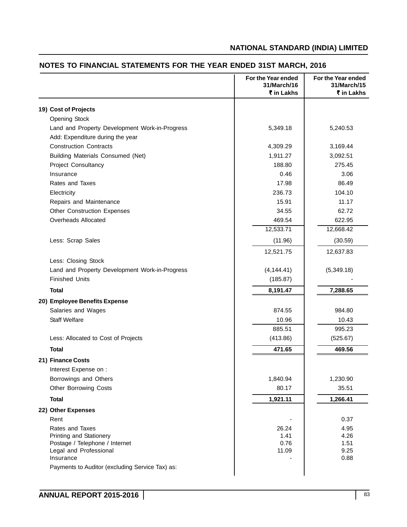## **NOTES TO FINANCIAL STATEMENTS FOR THE YEAR ENDED 31ST MARCH, 2016**

|                                                 | For the Year ended<br>31/March/16<br>₹ in Lakhs | For the Year ended<br>31/March/15<br>₹ in Lakhs |
|-------------------------------------------------|-------------------------------------------------|-------------------------------------------------|
| 19) Cost of Projects                            |                                                 |                                                 |
| Opening Stock                                   |                                                 |                                                 |
| Land and Property Development Work-in-Progress  | 5,349.18                                        | 5,240.53                                        |
| Add: Expenditure during the year                |                                                 |                                                 |
| <b>Construction Contracts</b>                   | 4,309.29                                        | 3,169.44                                        |
| Building Materials Consumed (Net)               | 1,911.27                                        | 3,092.51                                        |
| <b>Project Consultancy</b>                      | 188.80                                          | 275.45                                          |
| Insurance                                       | 0.46                                            | 3.06                                            |
| Rates and Taxes                                 | 17.98                                           | 86.49                                           |
| Electricity                                     | 236.73                                          | 104.10                                          |
| Repairs and Maintenance                         | 15.91                                           | 11.17                                           |
| <b>Other Construction Expenses</b>              | 34.55                                           | 62.72                                           |
| Overheads Allocated                             | 469.54                                          | 622.95                                          |
|                                                 | 12,533.71                                       | 12,668.42                                       |
| Less: Scrap Sales                               | (11.96)                                         | (30.59)                                         |
|                                                 | 12,521.75                                       | 12,637.83                                       |
| Less: Closing Stock                             |                                                 |                                                 |
| Land and Property Development Work-in-Progress  | (4, 144.41)                                     | (5,349.18)                                      |
| <b>Finished Units</b>                           | (185.87)                                        |                                                 |
| <b>Total</b>                                    | 8,191.47                                        | 7,288.65                                        |
| 20) Employee Benefits Expense                   |                                                 |                                                 |
| Salaries and Wages                              | 874.55                                          | 984.80                                          |
| <b>Staff Welfare</b>                            | 10.96                                           | 10.43                                           |
|                                                 | 885.51                                          | 995.23                                          |
| Less: Allocated to Cost of Projects             | (413.86)                                        | (525.67)                                        |
| <b>Total</b>                                    | 471.65                                          | 469.56                                          |
| 21) Finance Costs                               |                                                 |                                                 |
| Interest Expense on :                           |                                                 |                                                 |
| Borrowings and Others                           | 1,840.94                                        | 1,230.90                                        |
| <b>Other Borrowing Costs</b>                    | 80.17                                           | 35.51                                           |
| <b>Total</b>                                    | 1,921.11                                        | 1,266.41                                        |
| 22) Other Expenses                              |                                                 |                                                 |
| Rent                                            |                                                 | 0.37                                            |
| Rates and Taxes                                 | 26.24                                           | 4.95                                            |
| Printing and Stationery                         | 1.41                                            | 4.26                                            |
| Postage / Telephone / Internet                  | 0.76                                            | 1.51                                            |
| Legal and Professional                          | 11.09                                           | 9.25                                            |
| Insurance                                       |                                                 | 0.88                                            |
| Payments to Auditor (excluding Service Tax) as: |                                                 |                                                 |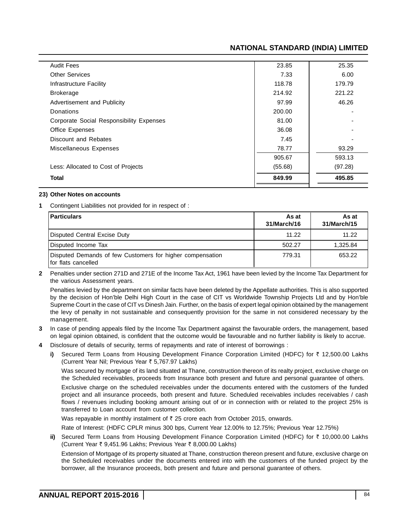| <b>Audit Fees</b>                        | 23.85   | 25.35   |
|------------------------------------------|---------|---------|
| <b>Other Services</b>                    | 7.33    | 6.00    |
| Infrastructure Facility                  | 118.78  | 179.79  |
| <b>Brokerage</b>                         | 214.92  | 221.22  |
| Advertisement and Publicity              | 97.99   | 46.26   |
| Donations                                | 200.00  |         |
| Corporate Social Responsibility Expenses | 81.00   |         |
| Office Expenses                          | 36.08   |         |
| Discount and Rebates                     | 7.45    |         |
| Miscellaneous Expenses                   | 78.77   | 93.29   |
|                                          | 905.67  | 593.13  |
| Less: Allocated to Cost of Projects      | (55.68) | (97.28) |
| <b>Total</b>                             | 849.99  | 495.85  |
|                                          |         |         |

#### **23) Other Notes on accounts**

**1** Contingent Liabilities not provided for in respect of :

| <b>Particulars</b>                                                                | As at<br>31/March/16 | As at<br>31/March/15 |
|-----------------------------------------------------------------------------------|----------------------|----------------------|
| Disputed Central Excise Duty                                                      | 11.22                | 11.22                |
| Disputed Income Tax                                                               | 502.27               | 1,325.84             |
| Disputed Demands of few Customers for higher compensation<br>lfor flats cancelled | 779.31               | 653.22               |

**2** Penalties under section 271D and 271E of the Income Tax Act, 1961 have been levied by the Income Tax Department for the various Assessment years.

Penalties levied by the department on similar facts have been deleted by the Appellate authorities. This is also supported by the decision of Hon'ble Delhi High Court in the case of CIT vs Worldwide Township Projects Ltd and by Hon'ble Supreme Court in the case of CIT vs Dinesh Jain. Further, on the basis of expert legal opinion obtained by the management the levy of penalty in not sustainable and consequently provision for the same in not considered necessary by the management.

- **3** In case of pending appeals filed by the Income Tax Department against the favourable orders, the management, based on legal opinion obtained, is confident that the outcome would be favourable and no further liability is likely to accrue.
- **4** Disclosure of details of security, terms of repayments and rate of interest of borrowings :
	- **i)** Secured Term Loans from Housing Development Finance Corporation Limited (HDFC) for ₹ 12,500.00 Lakhs (Current Year Nil; Previous Year ₹ 5,767.97 Lakhs)

Was secured by mortgage of its land situated at Thane, construction thereon of its realty project, exclusive charge on the Scheduled receivables, proceeds from Insurance both present and future and personal guarantee of others.

Exclusive charge on the scheduled receivables under the documents entered with the customers of the funded project and all insurance proceeds, both present and future. Scheduled receivables includes receivables / cash flows / revenues including booking amount arising out of or in connection with or related to the project 25% is transferred to Loan account from customer collection.

Was repayable in monthly instalment of  $\bar{\tau}$  25 crore each from October 2015, onwards.

Rate of Interest: (HDFC CPLR minus 300 bps, Current Year 12.00% to 12.75%; Previous Year 12.75%)

**ii)** Secured Term Loans from Housing Development Finance Corporation Limited (HDFC) for ₹ 10,000.00 Lakhs (Current Year ₹ 9,451.96 Lakhs; Previous Year ₹ 8,000.00 Lakhs)

Extension of Mortgage of its property situated at Thane, construction thereon present and future, exclusive charge on the Scheduled receivables under the documents entered into with the customers of the funded project by the borrower, all the Insurance proceeds, both present and future and personal guarantee of others.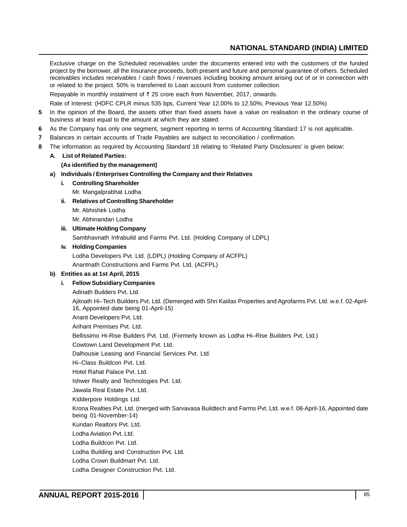Exclusive charge on the Scheduled receivables under the documents entered into with the customers of the funded project by the borrower, all the Insurance proceeds, both present and future and personal guarantee of others. Scheduled receivables includes receivables / cash flows / revenues including booking amount arising out of or in connection with or related to the project. 50% is transferred to Loan account from customer collection.

Repayable in monthly instalment of  $\bar{\tau}$  25 crore each from November, 2017, onwards.

Rate of Interest: (HDFC CPLR minus 535 bps, Current Year 12.00% to 12.50%; Previous Year 12.50%)

- **5** In the opinion of the Board, the assets other than fixed assets have a value on realisation in the ordinary course of business at least equal to the amount at which they are stated.
- **6** As the Company has only one segment, segment reporting in terms of Accounting Standard 17 is not applicable.
- **7** Balances in certain accounts of Trade Payables are subject to reconciliation / confirmation.
- **8** The information as required by Accounting Standard 18 relating to 'Related Party Disclosures' is given below:

#### **A. List of Related Parties:**

#### **(As identified by the management)**

#### **a) Individuals / Enterprises Controlling the Company and their Relatives**

#### **i. Controlling Shareholder**

Mr. Mangalprabhat Lodha

**ii. Relatives of Controlling Shareholder**

Mr. Abhishek Lodha

Mr. Abhinandan Lodha

**iii. Ultimate Holding Company**

Sambhavnath Infrabuild and Farms Pvt. Ltd. (Holding Company of LDPL)

#### **iv. Holding Companies**

Lodha Developers Pvt. Ltd. (LDPL) (Holding Company of ACFPL) Anantnath Constructions and Farms Pvt. Ltd. (ACFPL)

#### **b) Entities as at 1st April, 2015**

#### **i. Fellow Subsidiary Companies**

Adinath Builders Pvt. Ltd.

Ajitnath Hi–Tech Builders Pvt. Ltd. (Demerged with Shri Kaiilas Properties and Agrofarms Pvt. Ltd. w.e.f. 02-April-16, Appointed date being 01-April-15)

Anant Developers Pvt. Ltd.

Arihant Premises Pvt. Ltd.

Bellissimo Hi-Rise Builders Pvt. Ltd. (Formerly known as Lodha Hi–Rise Builders Pvt. Ltd.)

Cowtown Land Development Pvt. Ltd.

Dalhousie Leasing and Financial Services Pvt. Ltd.

Hi–Class Buildcon Pvt. Ltd.

Hotel Rahat Palace Pvt. Ltd.

Ishwer Realty and Technologies Pvt. Ltd.

Jawala Real Estate Pvt. Ltd.

Kidderpore Holdings Ltd.

Krona Realties Pvt. Ltd. (merged with Sarvavasa Buildtech and Farms Pvt. Ltd. w.e.f. 08-April-16, Appointed date being 01-November-14)

Kundan Realtors Pvt. Ltd.

Lodha Aviation Pvt. Ltd.

Lodha Buildcon Pvt. Ltd.

Lodha Building and Construction Pvt. Ltd.

Lodha Crown Buildmart Pvt. Ltd.

Lodha Designer Construction Pvt. Ltd.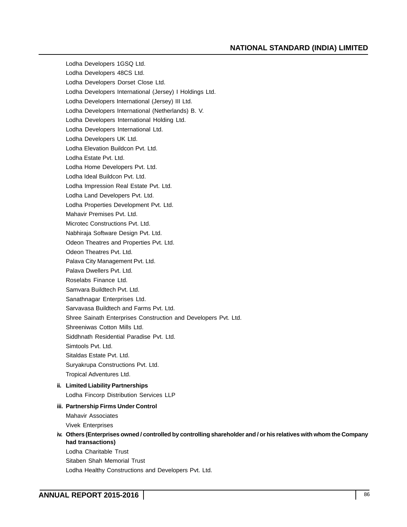Lodha Developers 1GSQ Ltd. Lodha Developers 48CS Ltd. Lodha Developers Dorset Close Ltd. Lodha Developers International (Jersey) I Holdings Ltd. Lodha Developers International (Jersey) III Ltd. Lodha Developers International (Netherlands) B. V. Lodha Developers International Holding Ltd. Lodha Developers International Ltd. Lodha Developers UK Ltd. Lodha Elevation Buildcon Pvt. Ltd. Lodha Estate Pvt. Ltd. Lodha Home Developers Pvt. Ltd. Lodha Ideal Buildcon Pvt. Ltd. Lodha Impression Real Estate Pvt. Ltd. Lodha Land Developers Pvt. Ltd. Lodha Properties Development Pvt. Ltd. Mahavir Premises Pvt. Ltd. Microtec Constructions Pvt. Ltd. Nabhiraja Software Design Pvt. Ltd. Odeon Theatres and Properties Pvt. Ltd. Odeon Theatres Pvt. Ltd. Palava City Management Pvt. Ltd. Palava Dwellers Pvt. Ltd. Roselabs Finance Ltd. Samvara Buildtech Pvt. Ltd. Sanathnagar Enterprises Ltd. Sarvavasa Buildtech and Farms Pvt. Ltd. Shree Sainath Enterprises Construction and Developers Pvt. Ltd. Shreeniwas Cotton Mills Ltd. Siddhnath Residential Paradise Pvt. Ltd. Simtools Pvt. Ltd. Sitaldas Estate Pvt. Ltd. Suryakrupa Constructions Pvt. Ltd. Tropical Adventures Ltd. **ii. Limited Liability Partnerships** Lodha Fincorp Distribution Services LLP **iii. Partnership Firms Under Control** Mahavir Associates Vivek Enterprises **iv. Others (Enterprises owned / controlled by controlling shareholder and / or his relatives with whom the Company had transactions)** Lodha Charitable Trust Sitaben Shah Memorial Trust Lodha Healthy Constructions and Developers Pvt. Ltd.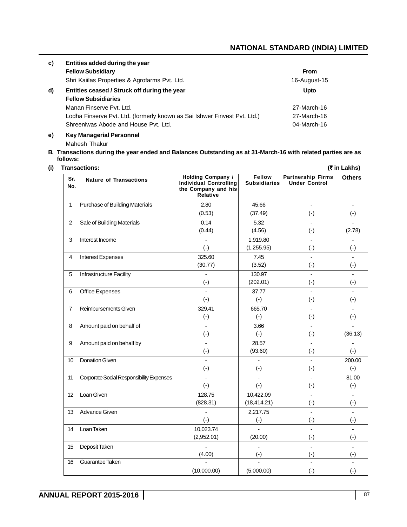| c) | Entities added during the year                                            |              |
|----|---------------------------------------------------------------------------|--------------|
|    | <b>Fellow Subsidiary</b>                                                  | From         |
|    | Shri Kaiilas Properties & Agrofarms Pvt. Ltd.                             | 16-August-15 |
| d) | Entities ceased / Struck off during the year                              | Upto         |
|    | <b>Fellow Subsidiaries</b>                                                |              |
|    | Manan Finserve Pyt. Ltd.                                                  | 27-March-16  |
|    | Lodha Finserve Pvt. Ltd. (formerly known as Sai Ishwer Finvest Pvt. Ltd.) | 27-March-16  |
|    | Shreeniwas Abode and House Pyt. Ltd.                                      | 04-March-16  |
|    |                                                                           |              |

- **e) Key Managerial Personnel** Mahesh Thakur
- **B. Transactions during the year ended and Balances Outstanding as at 31-March-16 with related parties are as follows:**

|                | <b>Transactions:</b>                     |                                                                                              |                                      |                                                  | (₹ in Lakhs)       |
|----------------|------------------------------------------|----------------------------------------------------------------------------------------------|--------------------------------------|--------------------------------------------------|--------------------|
| Sr.<br>No.     | <b>Nature of Transactions</b>            | <b>Holding Company /</b><br><b>Individual Controlling</b><br>the Company and his<br>Relative | <b>Fellow</b><br><b>Subsidiaries</b> | <b>Partnership Firms</b><br><b>Under Control</b> | <b>Others</b>      |
| 1              | Purchase of Building Materials           | 2.80                                                                                         | 45.66                                |                                                  |                    |
|                |                                          | (0.53)                                                                                       | (37.49)                              | $(-)$                                            | $(-)$              |
| $\overline{2}$ | Sale of Building Materials               | 0.14<br>(0.44)                                                                               | 5.32<br>(4.56)                       | $(-)$                                            | (2.78)             |
|                |                                          |                                                                                              |                                      |                                                  |                    |
| 3              | Interest Income                          | $\overline{a}$<br>$(-)$                                                                      | 1,919.80<br>(1,255.95)               | $(-)$                                            | $(-)$              |
| 4              | Interest Expenses                        | 325.60                                                                                       | 7.45                                 |                                                  |                    |
|                |                                          | (30.77)                                                                                      | (3.52)                               | $(-)$                                            | $(\text{-})$       |
| 5              | Infrastructure Facility                  | $\overline{a}$                                                                               | 130.97                               | $\overline{a}$                                   |                    |
|                |                                          | $(-)$                                                                                        | (202.01)                             | $(-)$                                            | $(-)$              |
| 6              | Office Expenses                          | $\overline{a}$                                                                               | 37.77                                | $\overline{a}$                                   |                    |
|                |                                          | $(-)$                                                                                        | $(-)$                                | $(-)$                                            | $(-)$              |
| 7              | Reimbursements Given                     | 329.41                                                                                       | 665.70                               |                                                  |                    |
|                |                                          | $(-)$                                                                                        | $(-)$                                | $(-)$                                            | $(-)$              |
| 8              | Amount paid on behalf of                 |                                                                                              | 3.66                                 |                                                  |                    |
|                |                                          | $(-)$                                                                                        | $(-)$                                | $(-)$                                            | (36.13)            |
| 9              | Amount paid on behalf by                 |                                                                                              | 28.57                                |                                                  |                    |
|                |                                          | $(-)$                                                                                        | (93.60)                              | $(-)$                                            | $(-)$              |
| 10             | Donation Given                           |                                                                                              |                                      |                                                  | 200.00             |
|                |                                          | $(-)$                                                                                        | $(\text{-})$                         | $(-)$                                            | $(-)$              |
| 11             | Corporate Social Responsibility Expenses |                                                                                              |                                      |                                                  | 81.00              |
|                |                                          | $(-)$                                                                                        | $(-)$                                | $(-)$                                            | $(\text{-})$       |
| 12             | Loan Given                               | 128.75                                                                                       | 10,422.09                            | $\overline{a}$                                   |                    |
|                |                                          | (828.31)                                                                                     | (18, 414.21)                         | $(-)$                                            | $(-)$              |
| 13             | Advance Given                            |                                                                                              | 2,217.75                             |                                                  |                    |
|                |                                          | $(-)$                                                                                        | $(-)$                                | $(-)$                                            | $(\textnormal{-})$ |
| 14             | Loan Taken                               | 10,023.74                                                                                    |                                      |                                                  |                    |
|                |                                          | (2,952.01)                                                                                   | (20.00)                              | $(-)$                                            | $(\text{-})$       |
| 15             | Deposit Taken                            | $\overline{a}$                                                                               |                                      | $\overline{a}$                                   |                    |
|                |                                          | (4.00)                                                                                       | $(-)$                                | $(-)$                                            | $(\text{-})$       |
| 16             | Guarantee Taken                          |                                                                                              |                                      |                                                  |                    |
|                |                                          | (10,000.00)                                                                                  | (5,000.00)                           | $(-)$                                            | $(-)$              |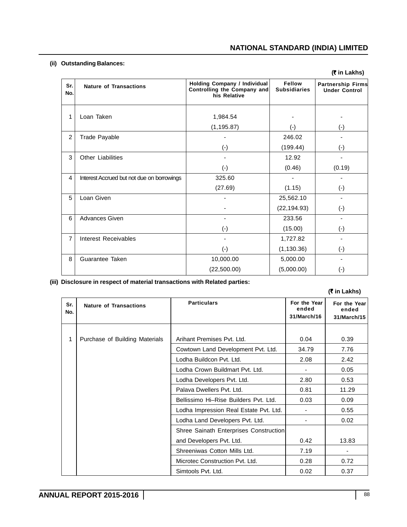#### **(ii) Outstanding Balances:**

|                |                                            |                                                                             |                                      | (₹ in Lakhs)                              |
|----------------|--------------------------------------------|-----------------------------------------------------------------------------|--------------------------------------|-------------------------------------------|
| Sr.<br>No.     | <b>Nature of Transactions</b>              | Holding Company / Individual<br>Controlling the Company and<br>his Relative | <b>Fellow</b><br><b>Subsidiaries</b> | Partnership Firms<br><b>Under Control</b> |
| 1              | Loan Taken                                 | 1,984.54                                                                    |                                      |                                           |
| $\overline{2}$ | <b>Trade Payable</b>                       | (1, 195.87)                                                                 | (-)<br>246.02                        | $(\textnormal{-})$                        |
|                |                                            | $(\cdot)$                                                                   | (199.44)                             | $(\cdot)$                                 |
| 3              | <b>Other Liabilities</b>                   |                                                                             | 12.92                                |                                           |
|                |                                            | $(\cdot)$                                                                   | (0.46)                               | (0.19)                                    |
| 4              | Interest Accrued but not due on borrowings | 325.60                                                                      |                                      |                                           |
|                |                                            | (27.69)                                                                     | (1.15)                               | $(-)$                                     |
| 5              | Loan Given                                 |                                                                             | 25,562.10                            |                                           |
|                |                                            |                                                                             | (22, 194.93)                         | $(\cdot)$                                 |
| 6              | <b>Advances Given</b>                      |                                                                             | 233.56                               |                                           |
|                |                                            | $(\cdot)$                                                                   | (15.00)                              | $(\cdot)$                                 |
| $\overline{7}$ | Interest Receivables                       |                                                                             | 1,727.82                             |                                           |
|                |                                            | $(-)$                                                                       | (1, 130.36)                          | $(-)$                                     |
| 8              | Guarantee Taken                            | 10,000.00                                                                   | 5,000.00                             |                                           |
|                |                                            | (22,500.00)                                                                 | (5,000.00)                           | $(\cdot)$                                 |

**(iii) Disclosure in respect of material transactions with Related parties:**

 **(**` **in Lakhs)**

| Sr.<br>No. | <b>Nature of Transactions</b>  | <b>Particulars</b>                     | For the Year<br>ended<br>31/March/16 | For the Year<br>ended<br>31/March/15 |
|------------|--------------------------------|----------------------------------------|--------------------------------------|--------------------------------------|
|            |                                |                                        |                                      |                                      |
| 1          | Purchase of Building Materials | Arihant Premises Pvt. Ltd.             | 0.04                                 | 0.39                                 |
|            |                                | Cowtown Land Development Pvt. Ltd.     | 34.79                                | 7.76                                 |
|            |                                | Lodha Buildcon Pyt. Ltd.               | 2.08                                 | 2.42                                 |
|            |                                | Lodha Crown Buildmart Pyt. Ltd.        |                                      | 0.05                                 |
|            |                                | Lodha Developers Pvt. Ltd.             | 2.80                                 | 0.53                                 |
|            |                                | Palava Dwellers Pvt. Ltd.              | 0.81                                 | 11.29                                |
|            |                                | Bellissimo Hi-Rise Builders Pyt. Ltd.  | 0.03                                 | 0.09                                 |
|            |                                | Lodha Impression Real Estate Pvt. Ltd. |                                      | 0.55                                 |
|            |                                | Lodha Land Developers Pvt. Ltd.        |                                      | 0.02                                 |
|            |                                | Shree Sainath Enterprises Construction |                                      |                                      |
|            |                                | and Developers Pvt. Ltd.               | 0.42                                 | 13.83                                |
|            |                                | Shreeniwas Cotton Mills Ltd.           | 7.19                                 |                                      |
|            |                                | Microtec Construction Pvt. Ltd.        | 0.28                                 | 0.72                                 |
|            |                                | Simtools Pvt. Ltd.                     | 0.02                                 | 0.37                                 |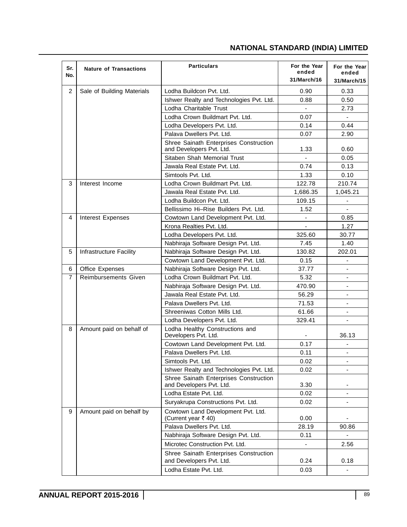| Sr.<br>No.     | <b>Nature of Transactions</b>  | <b>Particulars</b>                                                 | For the Year<br>ended<br>31/March/16 | For the Year<br>ended<br>31/March/15 |
|----------------|--------------------------------|--------------------------------------------------------------------|--------------------------------------|--------------------------------------|
| $\overline{2}$ | Sale of Building Materials     | Lodha Buildcon Pvt. Ltd.                                           | 0.90                                 | 0.33                                 |
|                |                                | Ishwer Realty and Technologies Pvt. Ltd.                           | 0.88                                 | 0.50                                 |
|                |                                | Lodha Charitable Trust                                             |                                      | 2.73                                 |
|                |                                | Lodha Crown Buildmart Pvt. Ltd.                                    | 0.07                                 | $\overline{\phantom{a}}$             |
|                |                                | Lodha Developers Pvt. Ltd.                                         | 0.14                                 | 0.44                                 |
|                |                                | Palava Dwellers Pvt. Ltd.                                          | 0.07                                 | 2.90                                 |
|                |                                | Shree Sainath Enterprises Construction<br>and Developers Pvt. Ltd. | 1.33                                 | 0.60                                 |
|                |                                | Sitaben Shah Memorial Trust                                        | L.                                   | 0.05                                 |
|                |                                | Jawala Real Estate Pvt. Ltd.                                       | 0.74                                 | 0.13                                 |
|                |                                | Simtools Pvt. Ltd.                                                 | 1.33                                 | 0.10                                 |
| 3              | Interest Income                | Lodha Crown Buildmart Pyt. Ltd.                                    | 122.78                               | 210.74                               |
|                |                                | Jawala Real Estate Pyt. Ltd.                                       | 1,686.35                             | 1,045.21                             |
|                |                                | Lodha Buildcon Pvt. Ltd.                                           | 109.15                               |                                      |
|                |                                | Bellissimo Hi-Rise Builders Pvt. Ltd.                              | 1.52                                 |                                      |
| 4              | <b>Interest Expenses</b>       | Cowtown Land Development Pvt. Ltd.                                 |                                      | 0.85                                 |
|                |                                | Krona Realties Pvt. Ltd.                                           |                                      | 1.27                                 |
|                |                                | Lodha Developers Pvt. Ltd.                                         | 325.60                               | 30.77                                |
|                |                                | Nabhiraja Software Design Pvt. Ltd.                                | 7.45                                 | 1.40                                 |
| 5              | <b>Infrastructure Facility</b> | Nabhiraja Software Design Pvt. Ltd.                                | 130.82                               | 202.01                               |
|                |                                | Cowtown Land Development Pvt. Ltd.                                 | 0.15                                 |                                      |
| 6              | Office Expenses                | Nabhiraja Software Design Pvt. Ltd.                                | 37.77                                |                                      |
| $\overline{7}$ | Reimbursements Given           | Lodha Crown Buildmart Pvt. Ltd.                                    | 5.32                                 |                                      |
|                |                                | Nabhiraja Software Design Pvt. Ltd.                                | 470.90                               |                                      |
|                |                                | Jawala Real Estate Pvt. Ltd.                                       | 56.29                                |                                      |
|                |                                | Palava Dwellers Pvt. Ltd.                                          | 71.53                                |                                      |
|                |                                | Shreeniwas Cotton Mills Ltd.                                       | 61.66                                |                                      |
|                |                                | Lodha Developers Pvt. Ltd.                                         | 329.41                               | $\overline{\phantom{a}}$             |
| 8              | Amount paid on behalf of       | Lodha Healthy Constructions and<br>Developers Pvt. Ltd.            |                                      | 36.13                                |
|                |                                | Cowtown Land Development Pvt. Ltd.                                 | 0.17                                 |                                      |
|                |                                | Palava Dwellers Pvt. Ltd.                                          | 0.11                                 | $\overline{\phantom{a}}$             |
|                |                                | Simtools Pvt. Ltd.                                                 | 0.02                                 |                                      |
|                |                                | Ishwer Realty and Technologies Pvt. Ltd.                           | 0.02                                 |                                      |
|                |                                | Shree Sainath Enterprises Construction<br>and Developers Pvt. Ltd. |                                      |                                      |
|                | Lodha Estate Pvt. Ltd.         |                                                                    | 0.02                                 |                                      |
|                |                                | Suryakrupa Constructions Pvt. Ltd.                                 | 0.02                                 |                                      |
| 9              | Amount paid on behalf by       | Cowtown Land Development Pvt. Ltd.<br>(Current year ₹ 40)          | 0.00                                 |                                      |
|                |                                | Palava Dwellers Pvt. Ltd.                                          | 28.19                                | 90.86                                |
|                |                                | Nabhiraja Software Design Pvt. Ltd.                                | 0.11                                 |                                      |
|                |                                | Microtec Construction Pvt. Ltd.                                    | $\blacksquare$                       | 2.56                                 |
|                |                                | Shree Sainath Enterprises Construction<br>and Developers Pvt. Ltd. | 0.24                                 | 0.18                                 |
|                |                                | Lodha Estate Pvt. Ltd.                                             | 0.03                                 |                                      |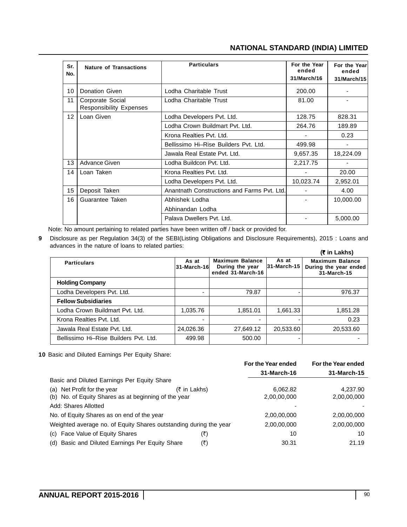| Sr.             | <b>Nature of Transactions</b>                      | <b>Particulars</b>                          | For the Year<br>ended | For the Year<br>ended |
|-----------------|----------------------------------------------------|---------------------------------------------|-----------------------|-----------------------|
| No.             |                                                    |                                             | 31/March/16           | 31/March/15           |
| 10              | <b>Donation Given</b>                              | Lodha Charitable Trust                      | 200.00                |                       |
| 11              | Corporate Social<br><b>Responsibility Expenses</b> | Lodha Charitable Trust                      | 81.00                 |                       |
| 12 <sup>2</sup> | Loan Given                                         | Lodha Developers Pvt. Ltd.                  | 128.75                | 828.31                |
|                 |                                                    | Lodha Crown Buildmart Pyt. Ltd.             | 264.76                | 189.89                |
|                 |                                                    | Krona Realties Pvt. Ltd.                    |                       | 0.23                  |
|                 |                                                    | Bellissimo Hi-Rise Builders Pyt. Ltd.       | 499.98                |                       |
|                 |                                                    | Jawala Real Estate Pvt. Ltd.                | 9,657.35              | 18,224.09             |
| 13              | Advance Given                                      | Lodha Buildcon Pvt. Ltd.                    | 2,217.75              |                       |
| 14              | Loan Taken                                         | Krona Realties Pyt. Ltd.                    |                       | 20.00                 |
|                 |                                                    | Lodha Developers Pvt. Ltd.                  | 10,023.74             | 2,952.01              |
| 15              | Deposit Taken                                      | Anantnath Constructions and Farms Pvt. Ltd. |                       | 4.00                  |
| 16              | Guarantee Taken                                    | Abhishek Lodha                              |                       | 10,000.00             |
|                 |                                                    | Abhinandan Lodha                            |                       |                       |
|                 |                                                    | Palava Dwellers Pvt. Ltd.                   |                       | 5,000.00              |

Note: No amount pertaining to related parties have been written off / back or provided for.

**9** Disclosure as per Regulation 34(3) of the SEBI(Listing Obligations and Disclosure Requirements), 2015 : Loans and advances in the nature of loans to related parties: (` **in Lakhs)**

|                                       |                        |                                                                |                      | (र in Lakhs)                                                   |
|---------------------------------------|------------------------|----------------------------------------------------------------|----------------------|----------------------------------------------------------------|
| <b>Particulars</b>                    | As at<br>∣31-March-16∣ | <b>Maximum Balance</b><br>During the year<br>ended 31-March-16 | As at<br>31-March-15 | <b>Maximum Balance</b><br>During the year ended<br>31-March-15 |
| <b>Holding Company</b>                |                        |                                                                |                      |                                                                |
| Lodha Developers Pvt. Ltd.            | -                      | 79.87                                                          |                      | 976.37                                                         |
| <b>Fellow Subsidiaries</b>            |                        |                                                                |                      |                                                                |
| Lodha Crown Buildmart Pyt. Ltd.       | 1,035.76               | 1,851.01                                                       | 1,661.33             | 1,851.28                                                       |
| Krona Realties Pyt. Ltd.              | -                      |                                                                |                      | 0.23                                                           |
| Jawala Real Estate Pyt. Ltd.          | 24,026.36              | 27,649.12                                                      | 20,533.60            | 20,533.60                                                      |
| Bellissimo Hi-Rise Builders Pyt. Ltd. | 499.98                 | 500.00                                                         |                      |                                                                |
|                                       |                        |                                                                |                      |                                                                |

**10** Basic and Diluted Earnings Per Equity Share:

|                                                                   |              | For the Year ended | For the Year ended |
|-------------------------------------------------------------------|--------------|--------------------|--------------------|
|                                                                   |              | 31-March-16        | 31-March-15        |
| Basic and Diluted Earnings Per Equity Share                       |              |                    |                    |
| Net Profit for the year<br>(a)                                    | (₹ in Lakhs) | 6.062.82           | 4.237.90           |
| (b) No. of Equity Shares as at beginning of the year              |              | 2,00,00,000        | 2,00,00,000        |
| Add: Shares Allotted                                              |              |                    |                    |
| No. of Equity Shares as on end of the year                        |              | 2,00,00,000        | 2,00,00,000        |
| Weighted average no. of Equity Shares outstanding during the year |              | 2,00,00,000        | 2,00,00,000        |
| (c) Face Value of Equity Shares                                   | (₹)          | 10                 | 10                 |
| Basic and Diluted Earnings Per Equity Share<br>(d)                | (₹)          | 30.31              | 21.19              |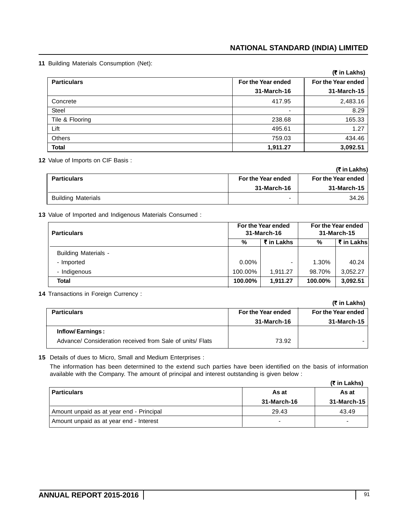#### **11** Building Materials Consumption (Net):

|                    |                          | (* 111 LUNII 19    |
|--------------------|--------------------------|--------------------|
| <b>Particulars</b> | For the Year ended       | For the Year ended |
|                    | 31-March-16              | 31-March-15        |
| Concrete           | 417.95                   | 2,483.16           |
| Steel              | $\overline{\phantom{0}}$ | 8.29               |
| Tile & Flooring    | 238.68                   | 165.33             |
| Lift               | 495.61                   | 1.27               |
| <b>Others</b>      | 759.03                   | 434.46             |
| <b>Total</b>       | 1,911.27                 | 3,092.51           |

**12** Value of Imports on CIF Basis :

|                           |                    | (₹ in Lakhs)       |
|---------------------------|--------------------|--------------------|
| <b>Particulars</b>        | For the Year ended | For the Year ended |
|                           | 31-March-16        | 31-March-15        |
| <b>Building Materials</b> |                    | 34.26              |

**13** Value of Imported and Indigenous Materials Consumed :

| <b>Particulars</b>          | For the Year ended<br>31-March-16 |            | For the Year ended<br>31-March-15 |            |
|-----------------------------|-----------------------------------|------------|-----------------------------------|------------|
|                             | %                                 | ₹ in Lakhs | %                                 | ₹ in Lakhs |
| <b>Building Materials -</b> |                                   |            |                                   |            |
| - Imported                  | $0.00\%$                          | -          | 1.30%                             | 40.24      |
| - Indigenous                | 100.00%                           | 1.911.27   | 98.70%                            | 3.052.27   |
| <b>Total</b>                | 100.00%                           | 1.911.27   | 100.00%                           | 3,092.51   |

#### **14** Transactions in Foreign Currency :

|                                                           |                    | (₹ in Lakhs)       |
|-----------------------------------------------------------|--------------------|--------------------|
| <b>Particulars</b>                                        | For the Year ended | For the Year ended |
|                                                           | 31-March-16        | 31-March-15        |
| <b>Inflow/Earnings:</b>                                   |                    |                    |
| Advance/ Consideration received from Sale of units/ Flats | 73.92              |                    |

**15** Details of dues to Micro, Small and Medium Enterprises :

The information has been determined to the extend such parties have been identified on the basis of information available with the Company. The amount of principal and interest outstanding is given below :

|                                          |             | (₹ in Lakhs) |
|------------------------------------------|-------------|--------------|
| <b>Particulars</b>                       | As at       | As at        |
|                                          | 31-March-16 | 31-March-15  |
| Amount unpaid as at year end - Principal | 29.43       | 43.49        |
| Amount unpaid as at year end - Interest  | ۰           |              |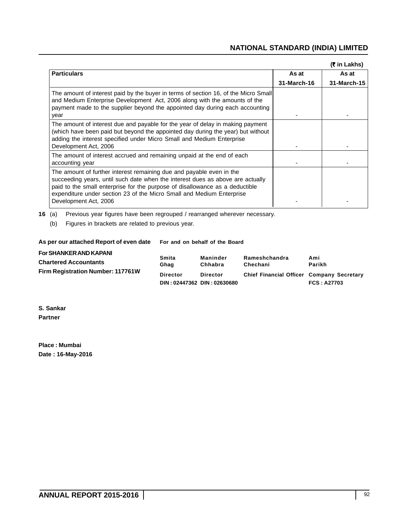|                                                                                                                                                                                                                                                                                                                                          |             | (₹ in Lakhs) |
|------------------------------------------------------------------------------------------------------------------------------------------------------------------------------------------------------------------------------------------------------------------------------------------------------------------------------------------|-------------|--------------|
| <b>Particulars</b>                                                                                                                                                                                                                                                                                                                       | As at       | As at        |
|                                                                                                                                                                                                                                                                                                                                          | 31-March-16 | 31-March-15  |
| The amount of interest paid by the buyer in terms of section 16, of the Micro Small<br>and Medium Enterprise Development Act, 2006 along with the amounts of the<br>payment made to the supplier beyond the appointed day during each accounting<br>year                                                                                 |             |              |
| The amount of interest due and payable for the year of delay in making payment<br>(which have been paid but beyond the appointed day during the year) but without<br>adding the interest specified under Micro Small and Medium Enterprise<br>Development Act, 2006                                                                      |             |              |
| The amount of interest accrued and remaining unpaid at the end of each<br>accounting year                                                                                                                                                                                                                                                |             |              |
| The amount of further interest remaining due and payable even in the<br>succeeding years, until such date when the interest dues as above are actually<br>paid to the small enterprise for the purpose of disallowance as a deductible<br>expenditure under section 23 of the Micro Small and Medium Enterprise<br>Development Act, 2006 |             |              |

**16** (a) Previous year figures have been regrouped / rearranged wherever necessary.

(b) Figures in brackets are related to previous year.

#### **As per our attached Report of even date For and on behalf of the Board**

| For SHANKER AND KAPANI            |                 |                             |                                           |                    |
|-----------------------------------|-----------------|-----------------------------|-------------------------------------------|--------------------|
| <b>Chartered Accountants</b>      | Smita<br>Ghag   | Maninder<br>Chhabra         | Rameshchandra<br>Chechani                 | Ami<br>Parikh      |
| Firm Registration Number: 117761W | <b>Director</b> | <b>Director</b>             | Chief Financial Officer Company Secretary |                    |
|                                   |                 | DIN: 02447362 DIN: 02630680 |                                           | <b>FCS: A27703</b> |

**S. Sankar Partner**

**Place : Mumbai Date : 16-May-2016**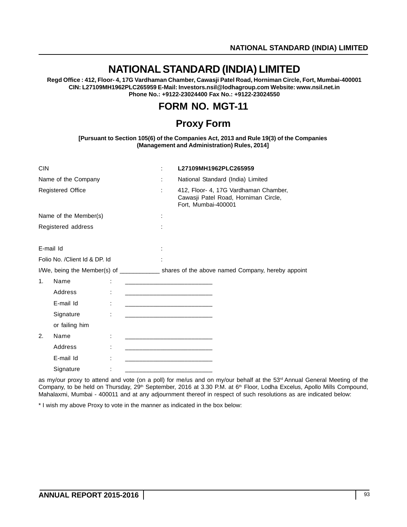**Regd Office : 412, Floor- 4, 17G Vardhaman Chamber, Cawasji Patel Road, Horniman Circle, Fort, Mumbai-400001 CIN: L27109MH1962PLC265959 E-Mail: Investors.nsil@lodhagroup.com Website: www.nsil.net.in Phone No.: +9122-23024400 Fax No.: +9122-23024550**

## **FORM NO. MGT-11**

## **Proxy Form**

**[Pursuant to Section 105(6) of the Companies Act, 2013 and Rule 19(3) of the Companies (Management and Administration) Rules, 2014]**

| <b>CIN</b>     |                                | ٠ | L27109MH1962PLC265959                                                                                |
|----------------|--------------------------------|---|------------------------------------------------------------------------------------------------------|
|                | Name of the Company            |   | National Standard (India) Limited                                                                    |
|                | <b>Registered Office</b>       |   | 412, Floor- 4, 17G Vardhaman Chamber,<br>Cawasji Patel Road, Horniman Circle,<br>Fort, Mumbai-400001 |
|                | Name of the Member(s)          |   |                                                                                                      |
|                | Registered address             |   |                                                                                                      |
|                |                                |   |                                                                                                      |
| E-mail Id      |                                |   |                                                                                                      |
|                | Folio No. / Client Id & DP. Id |   |                                                                                                      |
|                |                                |   | I/We, being the Member(s) of _______________ shares of the above named Company, hereby appoint       |
| 1 <sub>1</sub> | Name                           |   |                                                                                                      |
|                | Address                        |   | _________________________________                                                                    |
|                | E-mail Id                      |   | <u> 1990 - Johann John Stone, mars eta bainar</u>                                                    |
|                | Signature                      |   | <u> 1990 - Johann John Harrison, martin a</u>                                                        |
|                | or failing him                 |   |                                                                                                      |
| 2.             | Name                           |   | _________________________________                                                                    |
|                | Address                        |   |                                                                                                      |
|                | E-mail Id                      |   | ______________________________                                                                       |
|                | Signature                      |   |                                                                                                      |

as my/our proxy to attend and vote (on a poll) for me/us and on my/our behalf at the 53<sup>rd</sup> Annual General Meeting of the Company, to be held on Thursday, 29<sup>th</sup> September, 2016 at 3.30 P.M. at 6<sup>th</sup> Floor, Lodha Excelus, Apollo Mills Compound, Mahalaxmi, Mumbai - 400011 and at any adjournment thereof in respect of such resolutions as are indicated below:

\* I wish my above Proxy to vote in the manner as indicated in the box below: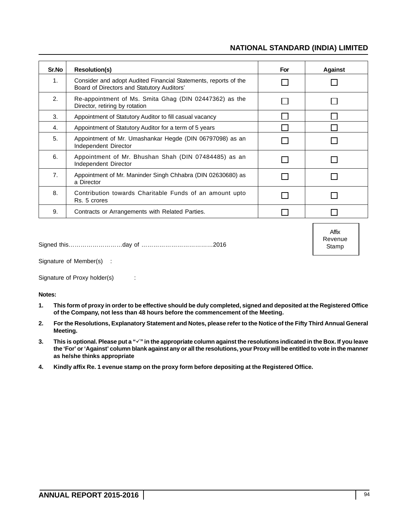| Sr.No | <b>Resolution(s)</b>                                                                                          | For | <b>Against</b> |
|-------|---------------------------------------------------------------------------------------------------------------|-----|----------------|
| 1.    | Consider and adopt Audited Financial Statements, reports of the<br>Board of Directors and Statutory Auditors' |     |                |
| 2.    | Re-appointment of Ms. Smita Ghag (DIN 02447362) as the<br>Director, retiring by rotation                      |     |                |
| 3.    | Appointment of Statutory Auditor to fill casual vacancy                                                       |     |                |
| 4.    | Appointment of Statutory Auditor for a term of 5 years                                                        |     |                |
| 5.    | Appointment of Mr. Umashankar Hegde (DIN 06797098) as an<br>Independent Director                              |     |                |
| 6.    | Appointment of Mr. Bhushan Shah (DIN 07484485) as an<br>Independent Director                                  |     |                |
| 7.    | Appointment of Mr. Maninder Singh Chhabra (DIN 02630680) as<br>a Director                                     |     |                |
| 8.    | Contribution towards Charitable Funds of an amount upto<br>Rs. 5 crores                                       |     |                |
| 9.    | Contracts or Arrangements with Related Parties.                                                               |     |                |

Affix Revenue Stamp

Signed this………………………day of ………………………………2016

Signature of Member(s) :

Signature of Proxy holder(s) :

#### **Notes:**

- **1. This form of proxy in order to be effective should be duly completed, signed and deposited at the Registered Office of the Company, not less than 48 hours before the commencement of the Meeting.**
- **2. For the Resolutions, Explanatory Statement and Notes, please refer to the Notice of the Fifty Third Annual General Meeting.**
- **3. This is optional. Please put a "" in the appropriate column against the resolutions indicated in the Box. If you leave the 'For' or 'Against' column blank against any or all the resolutions, your Proxy will be entitled to vote in the manner as he/she thinks appropriate**
- **4. Kindly affix Re. 1 evenue stamp on the proxy form before depositing at the Registered Office.**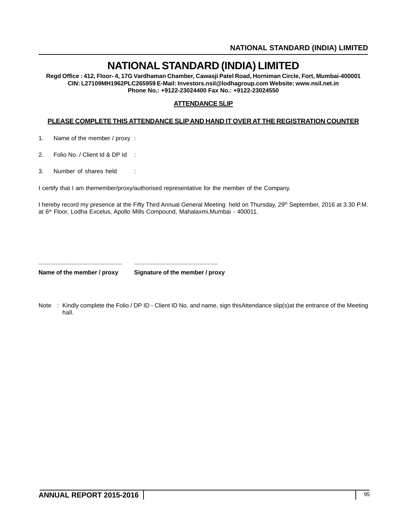**Regd Office : 412, Floor- 4, 17G Vardhaman Chamber, Cawasji Patel Road, Horniman Circle, Fort, Mumbai-400001 CIN: L27109MH1962PLC265959 E-Mail: Investors.nsil@lodhagroup.com Website: www.nsil.net.in Phone No.: +9122-23024400 Fax No.: +9122-23024550**

### **ATTENDANCE SLIP**

#### **PLEASE COMPLETE THIS ATTENDANCE SLIPAND HAND IT OVER AT THE REGISTRATION COUNTER**

1. Name of the member / proxy :

- 2. Folio No. / Client Id & DP Id :
- 3. Number of shares held :

I certify that I am themember/proxy/authorised representative for the member of the Company.

I hereby record my presence at the Fifty Third Annual General Meeting held on Thursday, 29<sup>th</sup> September, 2016 at 3.30 P.M. at 6<sup>th</sup> Floor, Lodha Excelus, Apollo Mills Compound, Mahalaxmi, Mumbai - 400011.

**Name of the member / proxy Signature of the member / proxy**

**\_\_\_\_\_\_\_\_\_\_\_\_\_\_\_\_\_\_\_\_\_\_\_\_ \_\_\_\_\_\_\_\_\_\_\_\_\_\_\_\_\_\_\_\_\_\_\_\_**

Note : Kindly complete the Folio / DP ID - Client ID No. and name, sign thisAttendance slip(s) at the entrance of the Meeting hall.